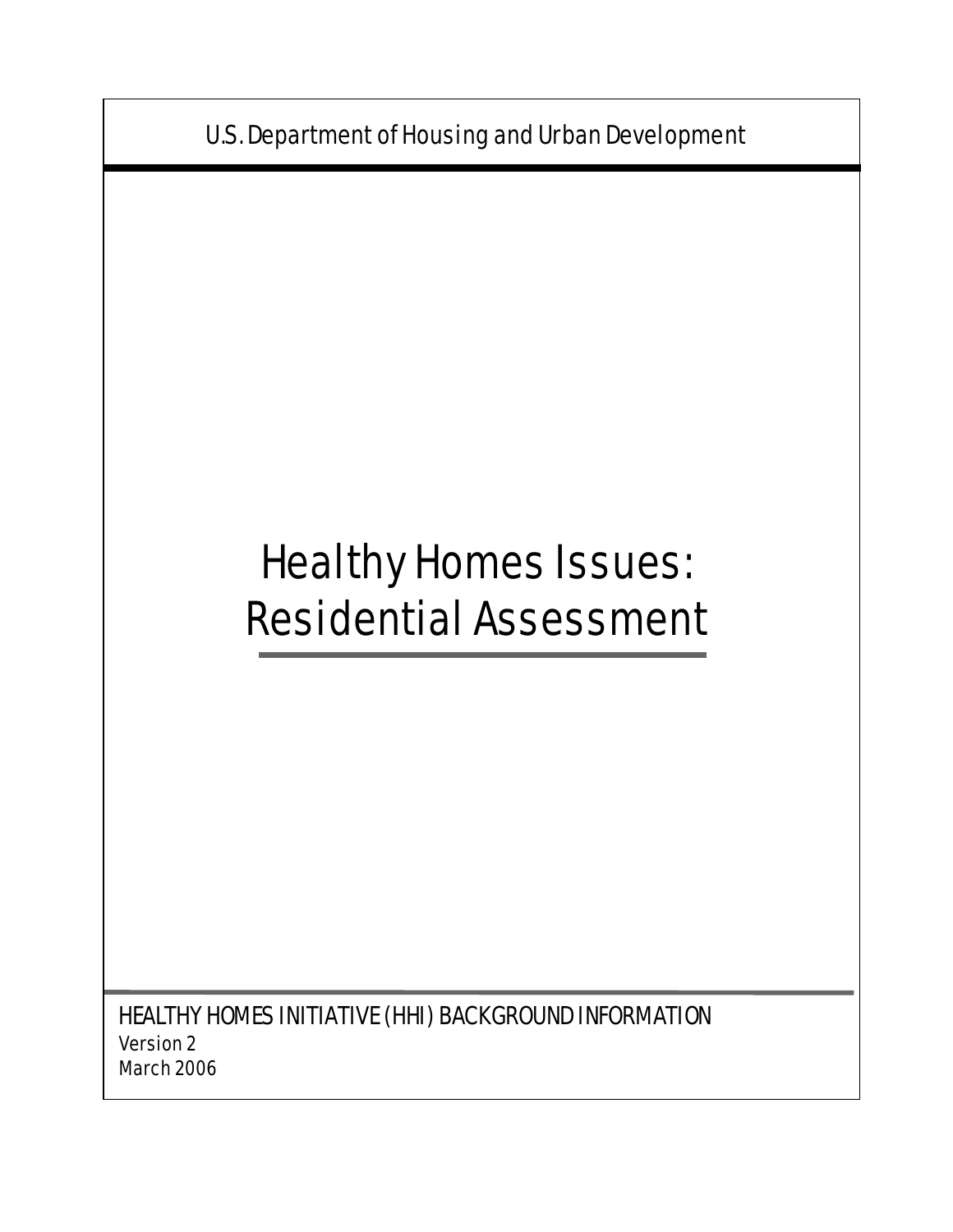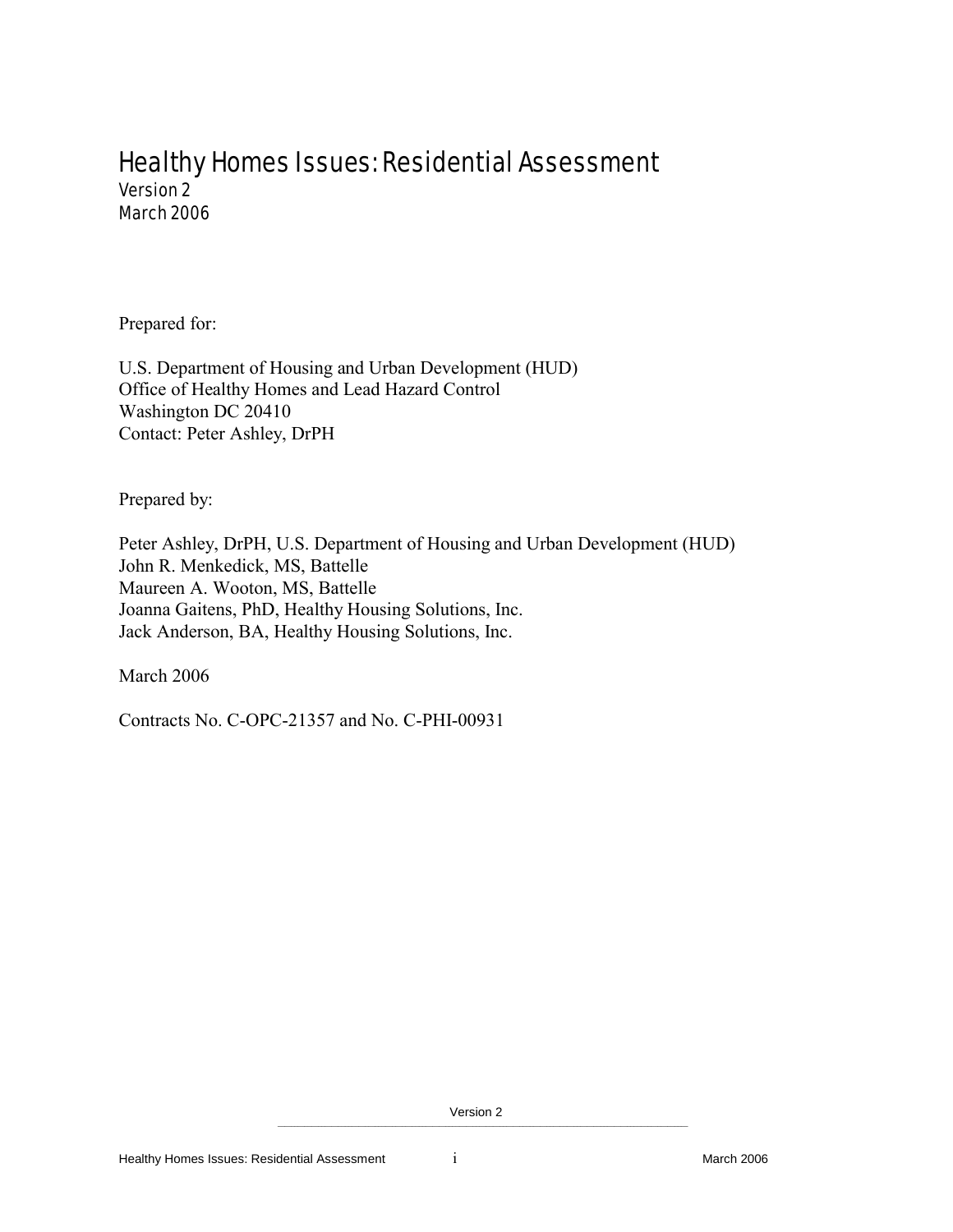## Healthy Homes Issues: Residential Assessment Version 2 March 2006

Prepared for:

U.S. Department of Housing and Urban Development (HUD) Office of Healthy Homes and Lead Hazard Control Washington DC 20410 Contact: Peter Ashley, DrPH

Prepared by:

Peter Ashley, DrPH, U.S. Department of Housing and Urban Development (HUD) John R. Menkedick, MS, Battelle Maureen A. Wooton, MS, Battelle Joanna Gaitens, PhD, Healthy Housing Solutions, Inc. Jack Anderson, BA, Healthy Housing Solutions, Inc.

March 2006

Contracts No. C-OPC-21357 and No. C-PHI-00931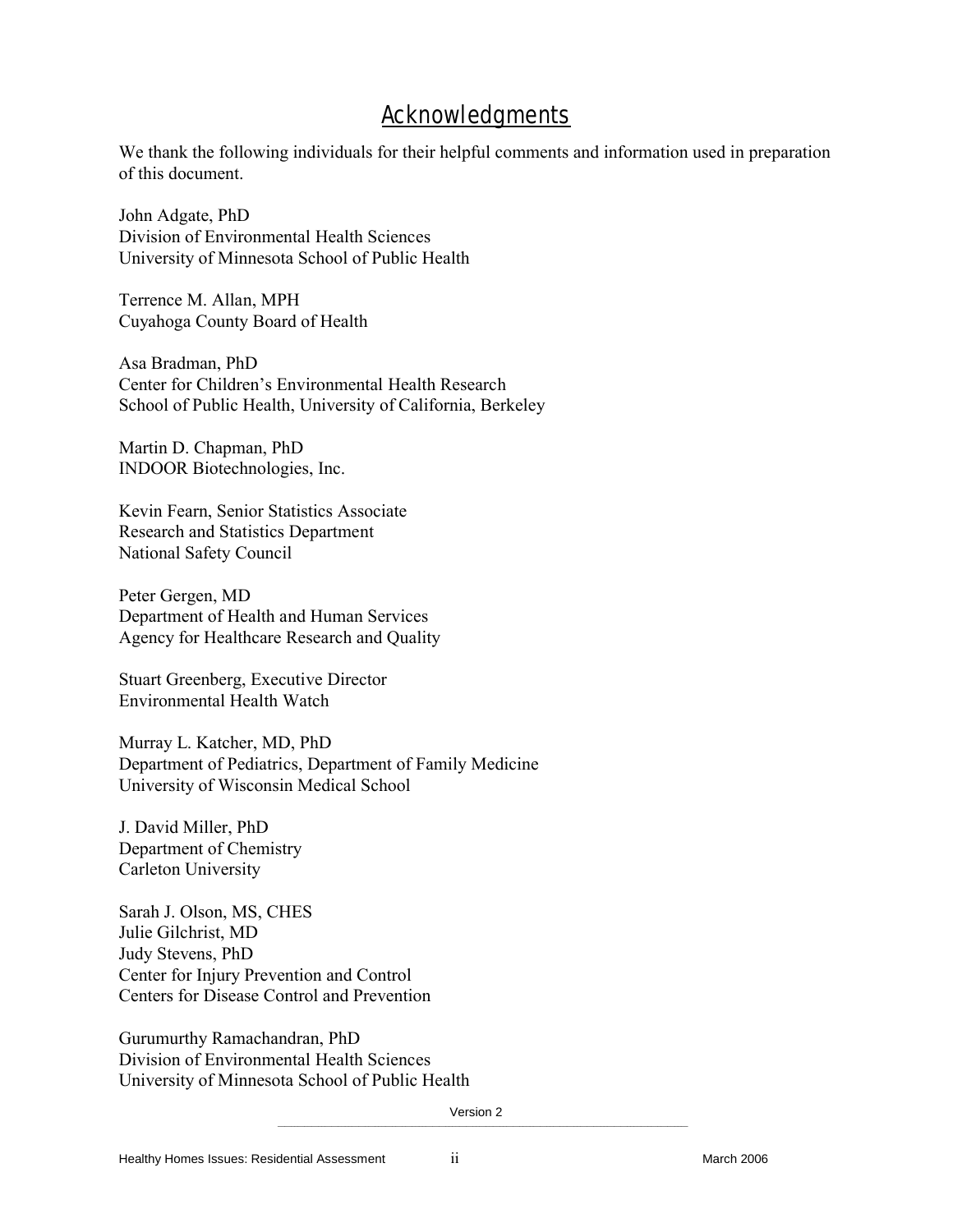# **Acknowledgments**

We thank the following individuals for their helpful comments and information used in preparation of this document.

John Adgate, PhD Division of Environmental Health Sciences University of Minnesota School of Public Health

Terrence M. Allan, MPH Cuyahoga County Board of Health

Asa Bradman, PhD Center for Children's Environmental Health Research School of Public Health, University of California, Berkeley

Martin D. Chapman, PhD INDOOR Biotechnologies, Inc.

Kevin Fearn, Senior Statistics Associate Research and Statistics Department National Safety Council

Peter Gergen, MD Department of Health and Human Services Agency for Healthcare Research and Quality

Stuart Greenberg, Executive Director Environmental Health Watch

Murray L. Katcher, MD, PhD Department of Pediatrics, Department of Family Medicine University of Wisconsin Medical School

J. David Miller, PhD Department of Chemistry Carleton University

Sarah J. Olson, MS, CHES Julie Gilchrist, MD Judy Stevens, PhD Center for Injury Prevention and Control Centers for Disease Control and Prevention

Gurumurthy Ramachandran, PhD Division of Environmental Health Sciences University of Minnesota School of Public Health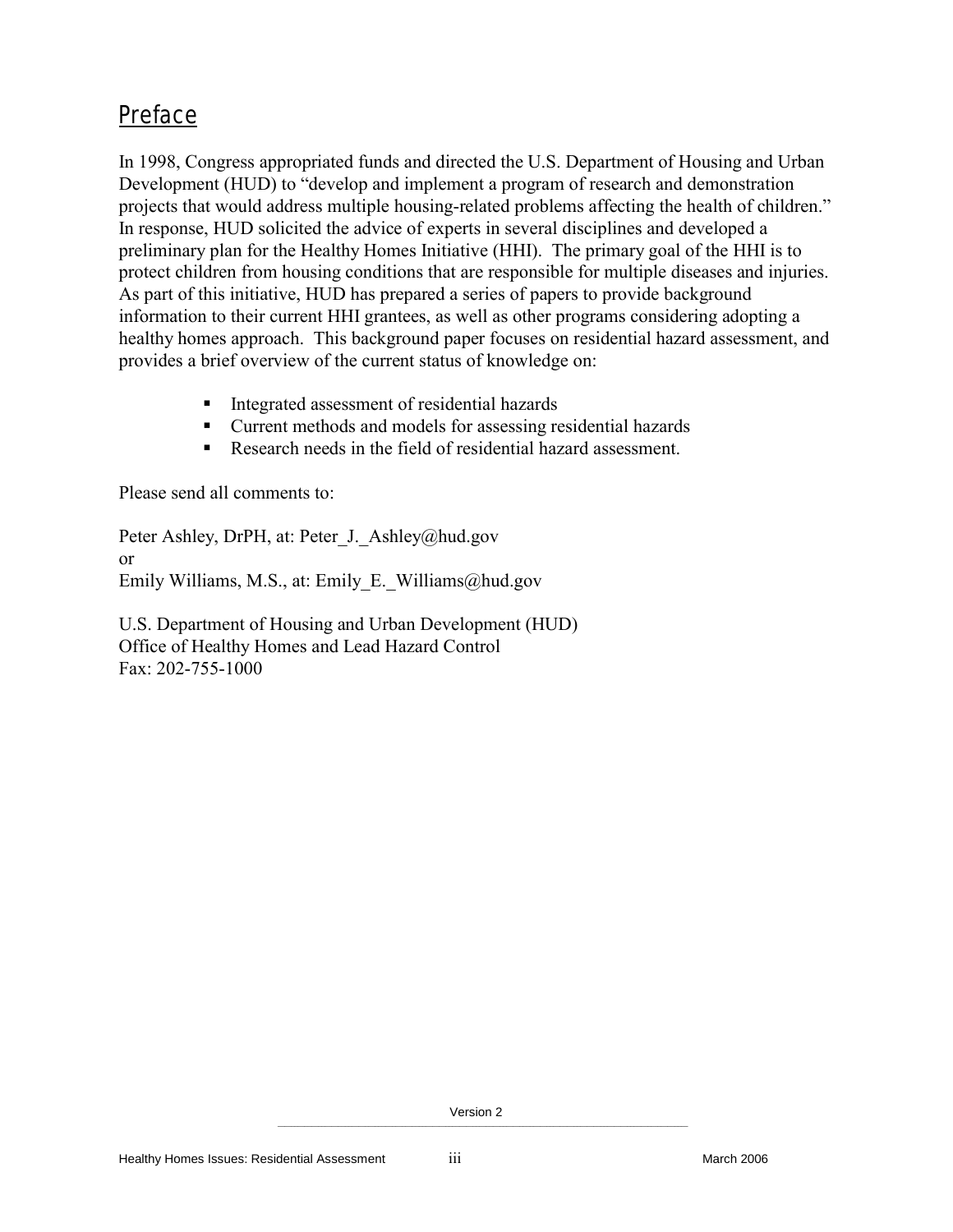# Preface

In 1998, Congress appropriated funds and directed the U.S. Department of Housing and Urban Development (HUD) to "develop and implement a program of research and demonstration projects that would address multiple housing-related problems affecting the health of children." In response, HUD solicited the advice of experts in several disciplines and developed a preliminary plan for the Healthy Homes Initiative (HHI). The primary goal of the HHI is to protect children from housing conditions that are responsible for multiple diseases and injuries. As part of this initiative, HUD has prepared a series of papers to provide background information to their current HHI grantees, as well as other programs considering adopting a healthy homes approach. This background paper focuses on residential hazard assessment, and provides a brief overview of the current status of knowledge on:

- Integrated assessment of residential hazards
- Current methods and models for assessing residential hazards
- Research needs in the field of residential hazard assessment.

Please send all comments to:

Peter Ashley, DrPH, at: Peter J. Ashley@hud.gov or Emily Williams, M.S., at: Emily\_E.\_Williams@hud.gov

U.S. Department of Housing and Urban Development (HUD) Office of Healthy Homes and Lead Hazard Control Fax: 202-755-1000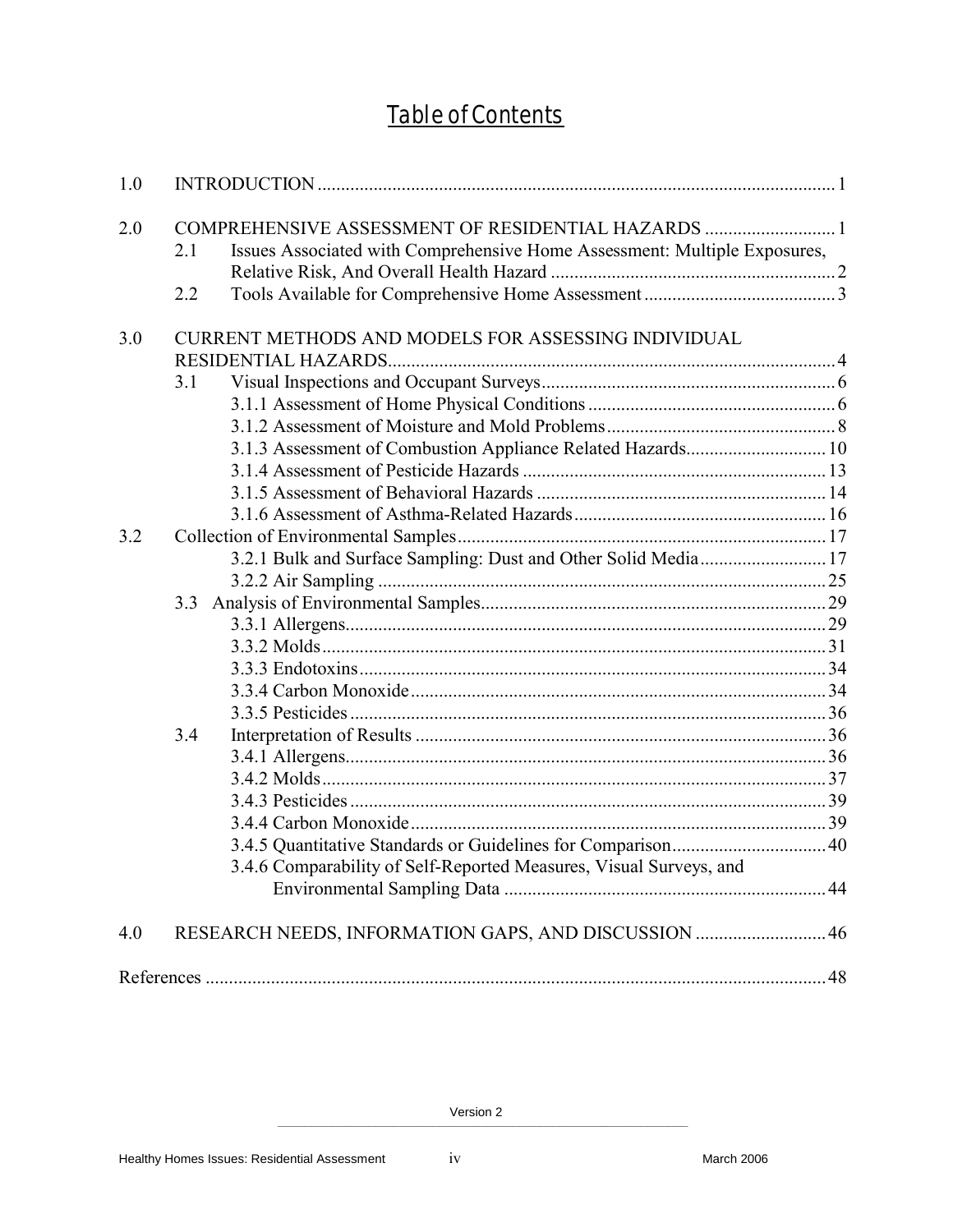# Table of Contents

| 1.0 |     |                                                                           |  |
|-----|-----|---------------------------------------------------------------------------|--|
| 2.0 |     | COMPREHENSIVE ASSESSMENT OF RESIDENTIAL HAZARDS  1                        |  |
|     | 2.1 | Issues Associated with Comprehensive Home Assessment: Multiple Exposures, |  |
|     |     |                                                                           |  |
|     | 2.2 |                                                                           |  |
| 3.0 |     | CURRENT METHODS AND MODELS FOR ASSESSING INDIVIDUAL                       |  |
|     |     |                                                                           |  |
|     | 3.1 |                                                                           |  |
|     |     |                                                                           |  |
|     |     |                                                                           |  |
|     |     | 3.1.3 Assessment of Combustion Appliance Related Hazards 10               |  |
|     |     |                                                                           |  |
|     |     |                                                                           |  |
|     |     |                                                                           |  |
| 3.2 |     |                                                                           |  |
|     |     | 3.2.1 Bulk and Surface Sampling: Dust and Other Solid Media 17            |  |
|     |     |                                                                           |  |
|     | 3.3 |                                                                           |  |
|     |     |                                                                           |  |
|     |     |                                                                           |  |
|     |     |                                                                           |  |
|     |     |                                                                           |  |
|     |     |                                                                           |  |
|     | 3.4 |                                                                           |  |
|     |     |                                                                           |  |
|     |     |                                                                           |  |
|     |     |                                                                           |  |
|     |     |                                                                           |  |
|     |     |                                                                           |  |
|     |     | 3.4.6 Comparability of Self-Reported Measures, Visual Surveys, and        |  |
|     |     |                                                                           |  |
| 4.0 |     | RESEARCH NEEDS, INFORMATION GAPS, AND DISCUSSION  46                      |  |
|     |     |                                                                           |  |
|     |     |                                                                           |  |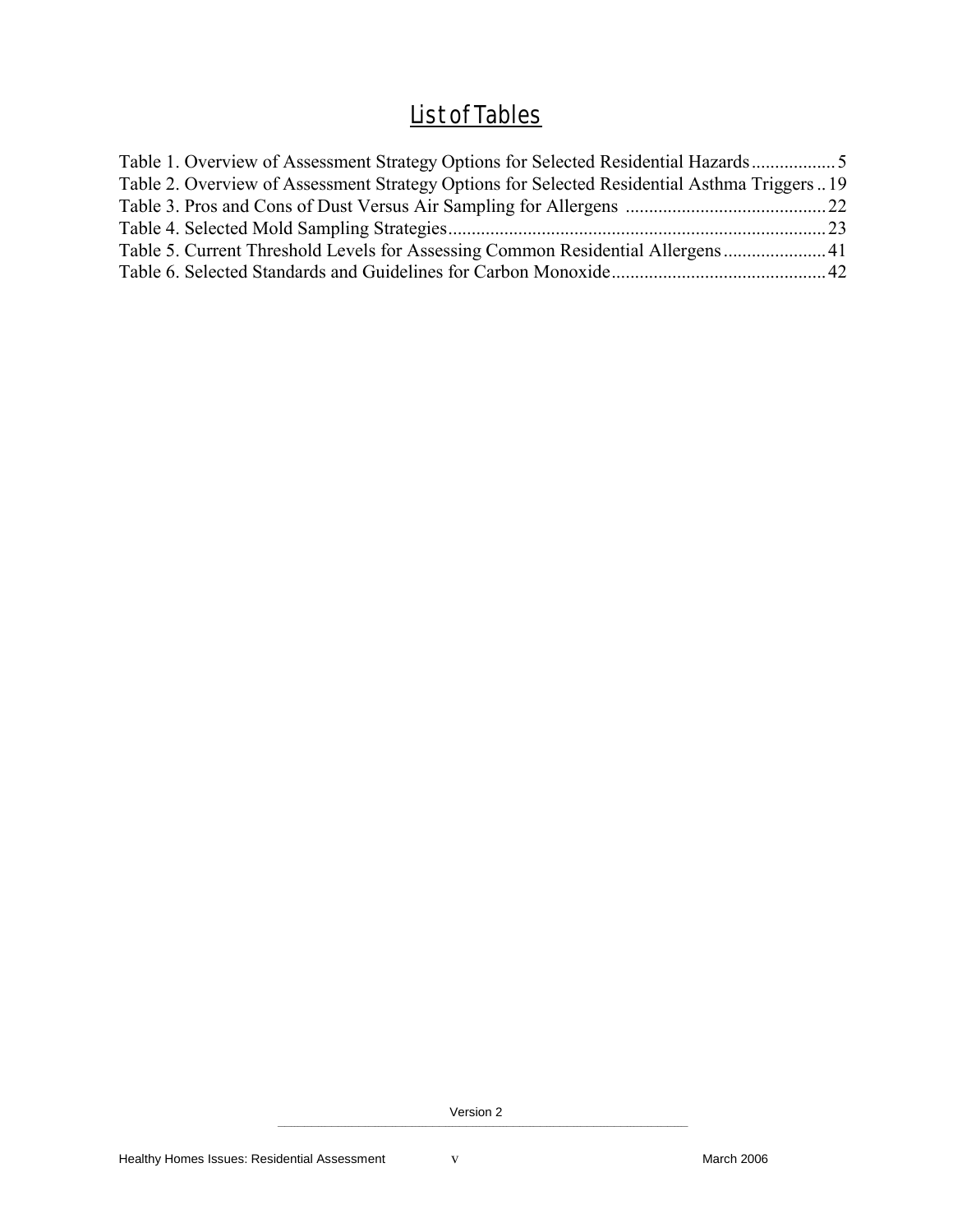# List of Tables

| Table 1. Overview of Assessment Strategy Options for Selected Residential Hazards           |  |
|---------------------------------------------------------------------------------------------|--|
| Table 2. Overview of Assessment Strategy Options for Selected Residential Asthma Triggers19 |  |
|                                                                                             |  |
|                                                                                             |  |
| Table 5. Current Threshold Levels for Assessing Common Residential Allergens 41             |  |
|                                                                                             |  |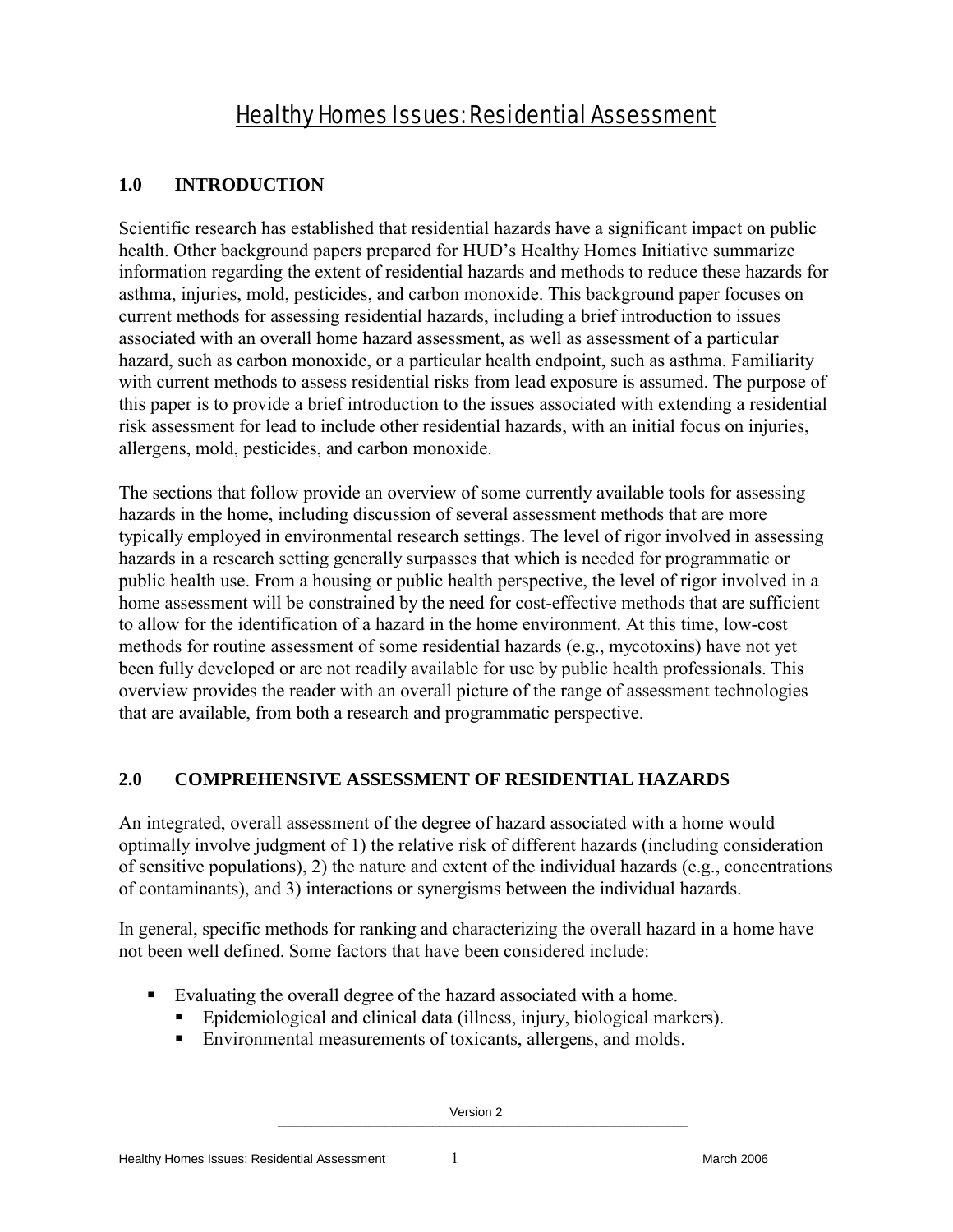# Healthy Homes Issues: Residential Assessment

## **1.0 INTRODUCTION**

Scientific research has established that residential hazards have a significant impact on public health. Other background papers prepared for HUD's Healthy Homes Initiative summarize information regarding the extent of residential hazards and methods to reduce these hazards for asthma, injuries, mold, pesticides, and carbon monoxide. This background paper focuses on current methods for assessing residential hazards, including a brief introduction to issues associated with an overall home hazard assessment, as well as assessment of a particular hazard, such as carbon monoxide, or a particular health endpoint, such as asthma. Familiarity with current methods to assess residential risks from lead exposure is assumed. The purpose of this paper is to provide a brief introduction to the issues associated with extending a residential risk assessment for lead to include other residential hazards, with an initial focus on injuries, allergens, mold, pesticides, and carbon monoxide.

The sections that follow provide an overview of some currently available tools for assessing hazards in the home, including discussion of several assessment methods that are more typically employed in environmental research settings. The level of rigor involved in assessing hazards in a research setting generally surpasses that which is needed for programmatic or public health use. From a housing or public health perspective, the level of rigor involved in a home assessment will be constrained by the need for cost-effective methods that are sufficient to allow for the identification of a hazard in the home environment. At this time, low-cost methods for routine assessment of some residential hazards (e.g., mycotoxins) have not yet been fully developed or are not readily available for use by public health professionals. This overview provides the reader with an overall picture of the range of assessment technologies that are available, from both a research and programmatic perspective.

#### **2.0 COMPREHENSIVE ASSESSMENT OF RESIDENTIAL HAZARDS**

An integrated, overall assessment of the degree of hazard associated with a home would optimally involve judgment of 1) the relative risk of different hazards (including consideration of sensitive populations), 2) the nature and extent of the individual hazards (e.g., concentrations of contaminants), and 3) interactions or synergisms between the individual hazards.

In general, specific methods for ranking and characterizing the overall hazard in a home have not been well defined. Some factors that have been considered include:

- Evaluating the overall degree of the hazard associated with a home.
	- Epidemiological and clinical data (illness, injury, biological markers).
	- Environmental measurements of toxicants, allergens, and molds.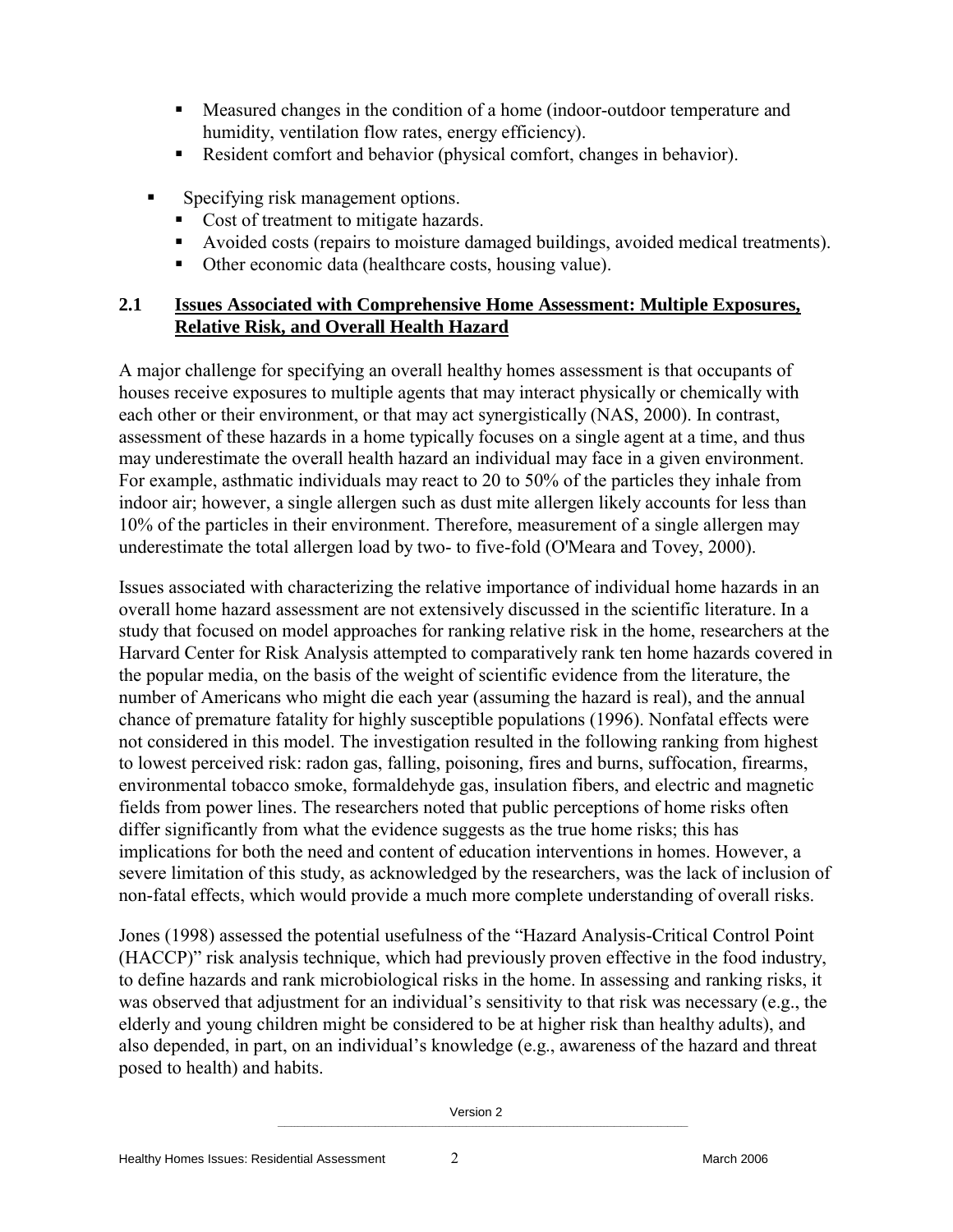- Measured changes in the condition of a home (indoor-outdoor temperature and humidity, ventilation flow rates, energy efficiency).
- Resident comfort and behavior (physical comfort, changes in behavior).
- Specifying risk management options.
	- Cost of treatment to mitigate hazards.
	- Avoided costs (repairs to moisture damaged buildings, avoided medical treatments).
	- Other economic data (healthcare costs, housing value).

#### **2.1 Issues Associated with Comprehensive Home Assessment: Multiple Exposures, Relative Risk, and Overall Health Hazard**

A major challenge for specifying an overall healthy homes assessment is that occupants of houses receive exposures to multiple agents that may interact physically or chemically with each other or their environment, or that may act synergistically (NAS, 2000). In contrast, assessment of these hazards in a home typically focuses on a single agent at a time, and thus may underestimate the overall health hazard an individual may face in a given environment. For example, asthmatic individuals may react to 20 to 50% of the particles they inhale from indoor air; however, a single allergen such as dust mite allergen likely accounts for less than 10% of the particles in their environment. Therefore, measurement of a single allergen may underestimate the total allergen load by two- to five-fold (O'Meara and Tovey, 2000).

Issues associated with characterizing the relative importance of individual home hazards in an overall home hazard assessment are not extensively discussed in the scientific literature. In a study that focused on model approaches for ranking relative risk in the home, researchers at the Harvard Center for Risk Analysis attempted to comparatively rank ten home hazards covered in the popular media, on the basis of the weight of scientific evidence from the literature, the number of Americans who might die each year (assuming the hazard is real), and the annual chance of premature fatality for highly susceptible populations (1996). Nonfatal effects were not considered in this model. The investigation resulted in the following ranking from highest to lowest perceived risk: radon gas, falling, poisoning, fires and burns, suffocation, firearms, environmental tobacco smoke, formaldehyde gas, insulation fibers, and electric and magnetic fields from power lines. The researchers noted that public perceptions of home risks often differ significantly from what the evidence suggests as the true home risks; this has implications for both the need and content of education interventions in homes. However, a severe limitation of this study, as acknowledged by the researchers, was the lack of inclusion of non-fatal effects, which would provide a much more complete understanding of overall risks.

Jones (1998) assessed the potential usefulness of the "Hazard Analysis-Critical Control Point (HACCP)" risk analysis technique, which had previously proven effective in the food industry, to define hazards and rank microbiological risks in the home. In assessing and ranking risks, it was observed that adjustment for an individual's sensitivity to that risk was necessary (e.g., the elderly and young children might be considered to be at higher risk than healthy adults), and also depended, in part, on an individual's knowledge (e.g., awareness of the hazard and threat posed to health) and habits.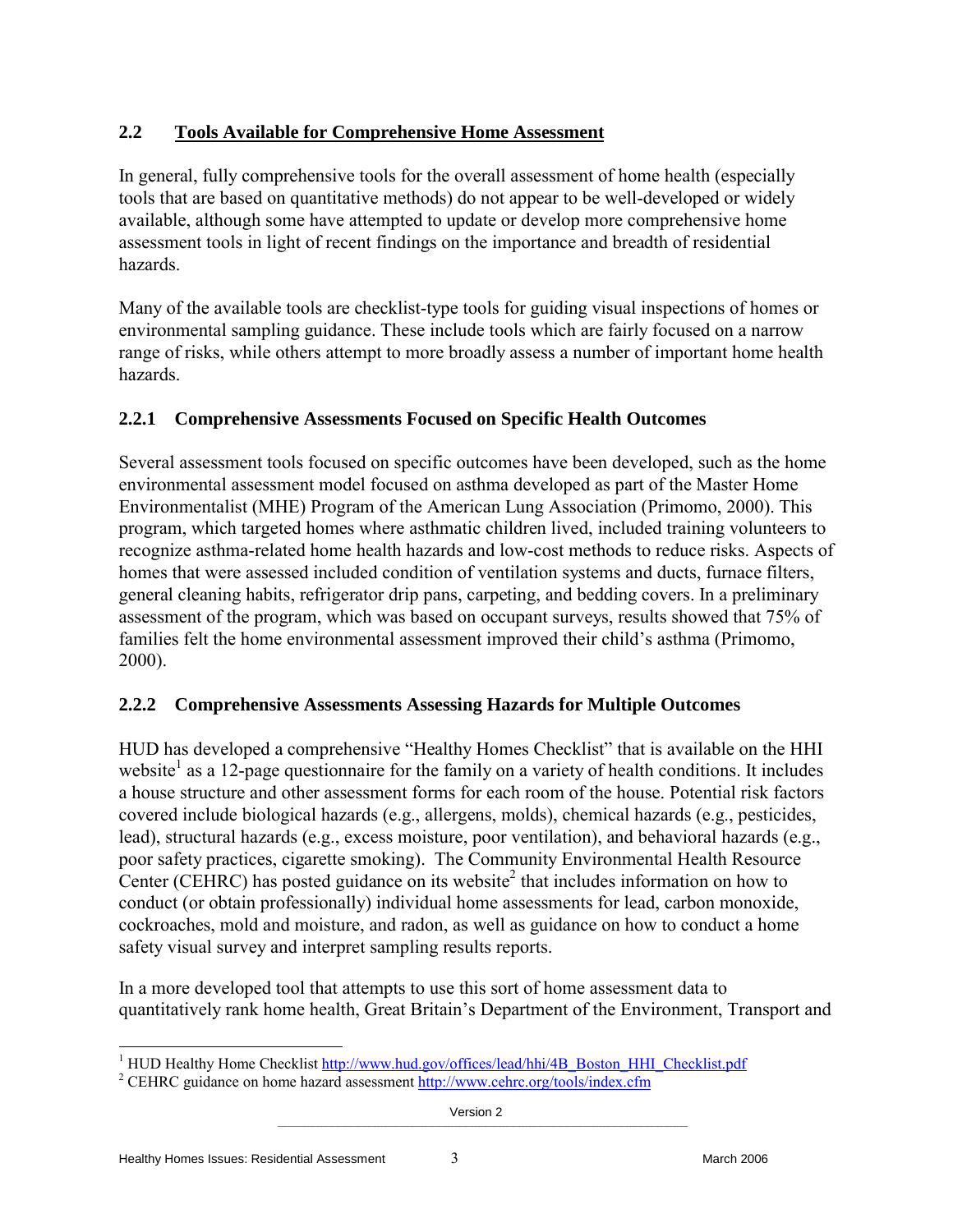## **2.2 Tools Available for Comprehensive Home Assessment**

In general, fully comprehensive tools for the overall assessment of home health (especially tools that are based on quantitative methods) do not appear to be well-developed or widely available, although some have attempted to update or develop more comprehensive home assessment tools in light of recent findings on the importance and breadth of residential hazards.

Many of the available tools are checklist-type tools for guiding visual inspections of homes or environmental sampling guidance. These include tools which are fairly focused on a narrow range of risks, while others attempt to more broadly assess a number of important home health hazards.

## **2.2.1 Comprehensive Assessments Focused on Specific Health Outcomes**

Several assessment tools focused on specific outcomes have been developed, such as the home environmental assessment model focused on asthma developed as part of the Master Home Environmentalist (MHE) Program of the American Lung Association (Primomo, 2000). This program, which targeted homes where asthmatic children lived, included training volunteers to recognize asthma-related home health hazards and low-cost methods to reduce risks. Aspects of homes that were assessed included condition of ventilation systems and ducts, furnace filters, general cleaning habits, refrigerator drip pans, carpeting, and bedding covers. In a preliminary assessment of the program, which was based on occupant surveys, results showed that 75% of families felt the home environmental assessment improved their child's asthma (Primomo, 2000).

#### **2.2.2 Comprehensive Assessments Assessing Hazards for Multiple Outcomes**

HUD has developed a comprehensive "Healthy Homes Checklist" that is available on the HHI website<sup>1</sup> as a 12-page questionnaire for the family on a variety of health conditions. It includes a house structure and other assessment forms for each room of the house. Potential risk factors covered include biological hazards (e.g., allergens, molds), chemical hazards (e.g., pesticides, lead), structural hazards (e.g., excess moisture, poor ventilation), and behavioral hazards (e.g., poor safety practices, cigarette smoking). The Community Environmental Health Resource Center (CEHRC) has posted guidance on its website<sup>2</sup> that includes information on how to conduct (or obtain professionally) individual home assessments for lead, carbon monoxide, cockroaches, mold and moisture, and radon, as well as guidance on how to conduct a home safety visual survey and interpret sampling results reports.

In a more developed tool that attempts to use this sort of home assessment data to quantitatively rank home health, Great Britain's Department of the Environment, Transport and

<sup>-</sup><sup>1</sup> HUD Healthy Home Checklist http://www.hud.gov/offices/lead/hhi/4B\_Boston\_HHI\_Checklist.pdf

<sup>&</sup>lt;sup>2</sup> CEHRC guidance on home hazard assessment http://www.cehrc.org/tools/index.cfm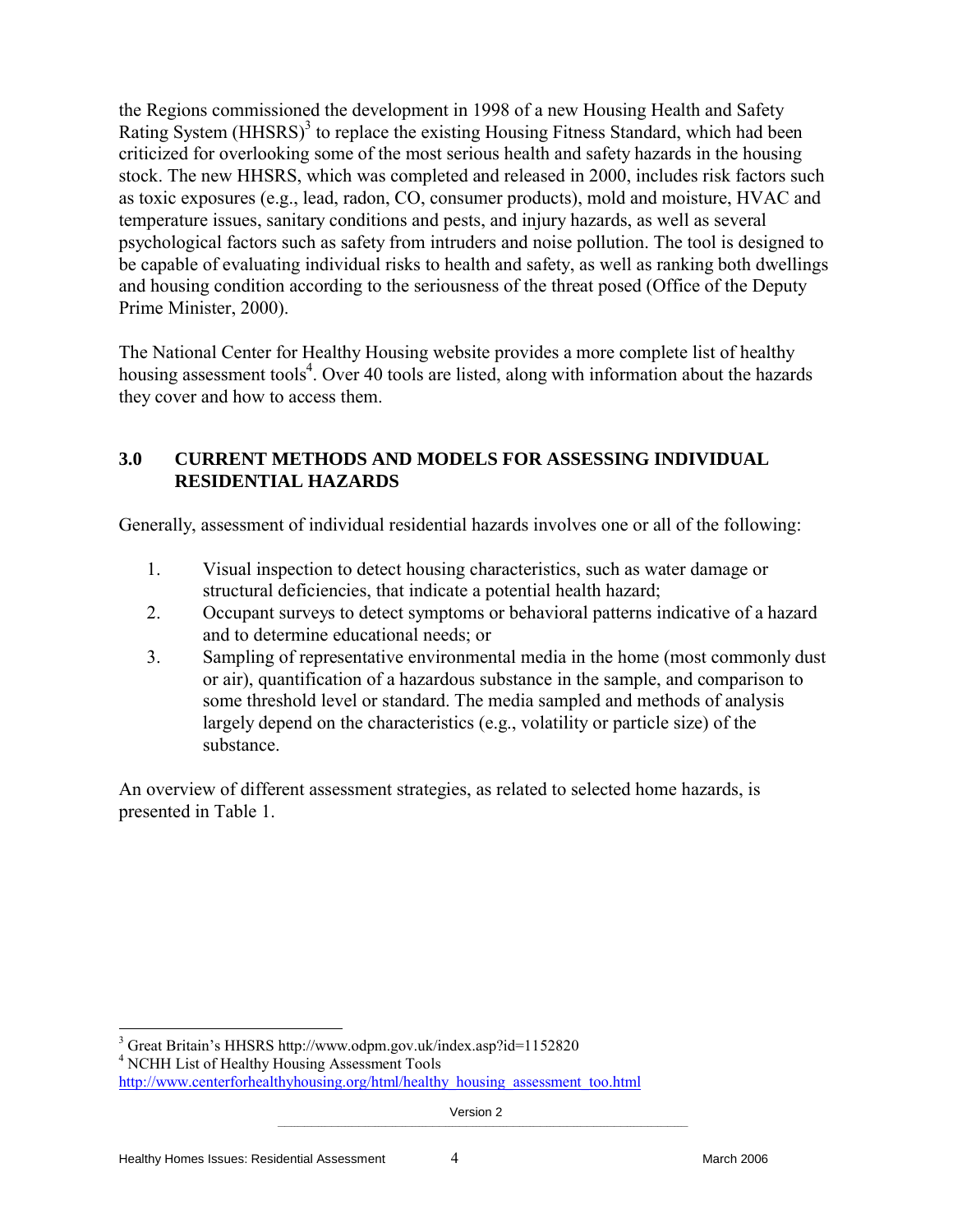the Regions commissioned the development in 1998 of a new Housing Health and Safety Rating System (HHSRS)<sup>3</sup> to replace the existing Housing Fitness Standard, which had been criticized for overlooking some of the most serious health and safety hazards in the housing stock. The new HHSRS, which was completed and released in 2000, includes risk factors such as toxic exposures (e.g., lead, radon, CO, consumer products), mold and moisture, HVAC and temperature issues, sanitary conditions and pests, and injury hazards, as well as several psychological factors such as safety from intruders and noise pollution. The tool is designed to be capable of evaluating individual risks to health and safety, as well as ranking both dwellings and housing condition according to the seriousness of the threat posed (Office of the Deputy Prime Minister, 2000).

The National Center for Healthy Housing website provides a more complete list of healthy housing assessment tools<sup>4</sup>. Over 40 tools are listed, along with information about the hazards they cover and how to access them.

#### **3.0 CURRENT METHODS AND MODELS FOR ASSESSING INDIVIDUAL RESIDENTIAL HAZARDS**

Generally, assessment of individual residential hazards involves one or all of the following:

- 1. Visual inspection to detect housing characteristics, such as water damage or structural deficiencies, that indicate a potential health hazard;
- 2. Occupant surveys to detect symptoms or behavioral patterns indicative of a hazard and to determine educational needs; or
- 3. Sampling of representative environmental media in the home (most commonly dust or air), quantification of a hazardous substance in the sample, and comparison to some threshold level or standard. The media sampled and methods of analysis largely depend on the characteristics (e.g., volatility or particle size) of the substance.

An overview of different assessment strategies, as related to selected home hazards, is presented in Table 1.

 3 Great Britain's HHSRS http://www.odpm.gov.uk/index.asp?id=1152820

<sup>4</sup> NCHH List of Healthy Housing Assessment Tools

http://www.centerforhealthyhousing.org/html/healthy\_housing\_assessment\_too.html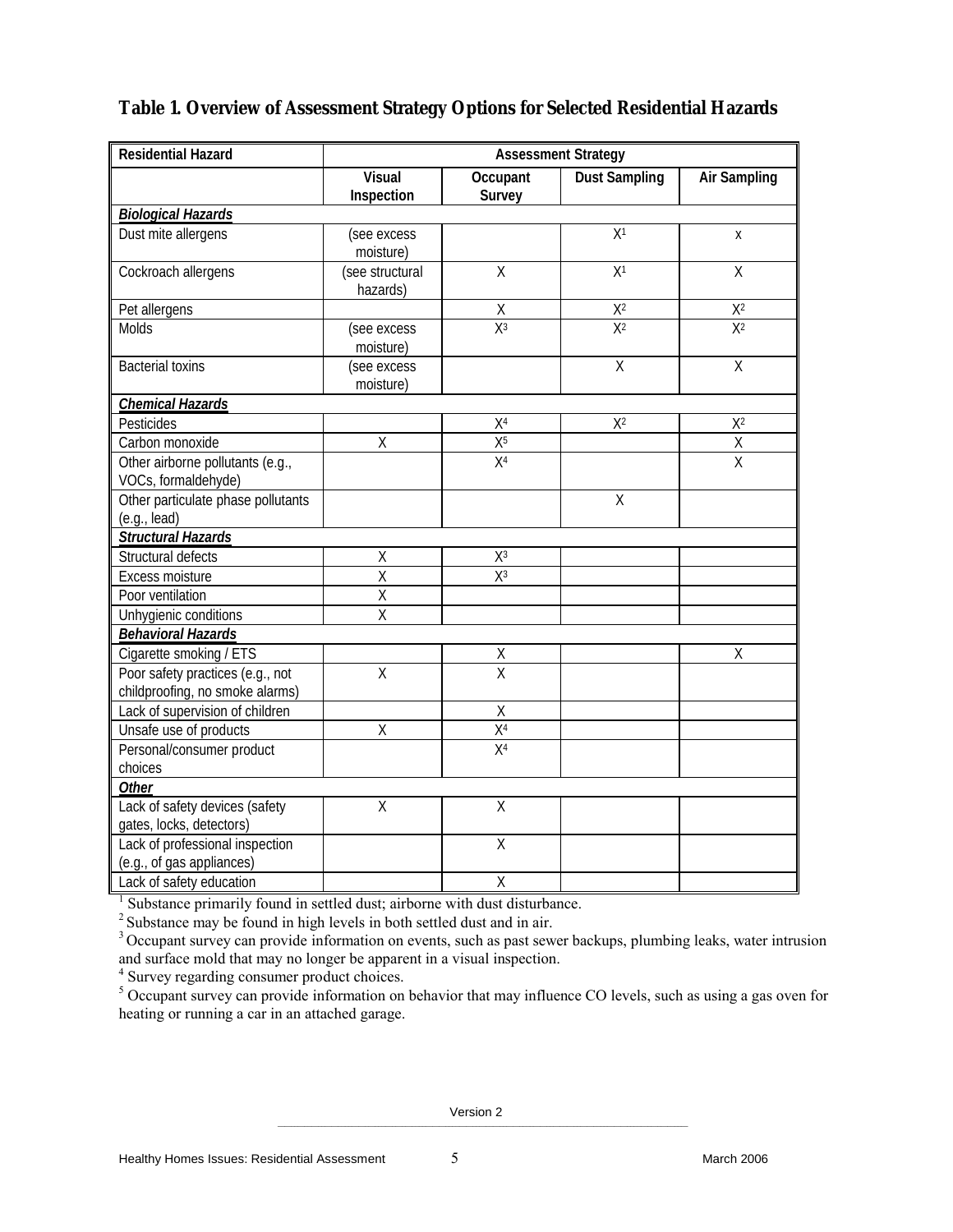| Residential Hazard                                           |                             |                         | <b>Assessment Strategy</b>  |                           |
|--------------------------------------------------------------|-----------------------------|-------------------------|-----------------------------|---------------------------|
|                                                              | Visual<br>Inspection        | Occupant<br>Survey      | <b>Dust Sampling</b>        | Air Sampling              |
| <b>Biological Hazards</b>                                    |                             |                         |                             |                           |
| Dust mite allergens                                          | (see excess<br>moisture)    |                         | $\overline{X}$ <sup>1</sup> | X                         |
| Cockroach allergens                                          | (see structural<br>hazards) | X                       | X <sup>1</sup>              | X                         |
| Pet allergens                                                |                             | $\frac{X}{X^3}$         | $\mathsf{X}^2$              | $X^2$                     |
| <b>Molds</b>                                                 | (see excess<br>moisture)    |                         | $\overline{\mathsf{X}^2}$   | $\overline{\mathsf{X}^2}$ |
| <b>Bacterial toxins</b>                                      | (see excess<br>moisture)    |                         | X                           | X                         |
| <b>Chemical Hazards</b>                                      |                             |                         |                             |                           |
| Pesticides                                                   |                             | X <sup>4</sup>          | $X^2$                       | $X^2$                     |
| Carbon monoxide                                              | X                           | X <sub>2</sub>          |                             | $\overline{\mathsf{x}}$   |
| Other airborne pollutants (e.g.,                             |                             | X <sup>4</sup>          |                             | $\overline{X}$            |
| VOCs, formaldehyde)                                          |                             |                         |                             |                           |
| Other particulate phase pollutants                           |                             |                         | $\overline{X}$              |                           |
| (e.g., lead)                                                 |                             |                         |                             |                           |
| <b>Structural Hazards</b>                                    |                             |                         |                             |                           |
| Structural defects                                           | Χ                           | $X^3$                   |                             |                           |
| Excess moisture                                              | Χ                           | $X^3$                   |                             |                           |
| Poor ventilation                                             | X                           |                         |                             |                           |
| Unhygienic conditions                                        | $\overline{\mathsf{x}}$     |                         |                             |                           |
| <b>Behavioral Hazards</b>                                    |                             |                         |                             |                           |
| Cigarette smoking / ETS                                      |                             | Χ                       |                             | X                         |
| Poor safety practices (e.g., not                             | $\overline{X}$              | $\overline{\mathsf{X}}$ |                             |                           |
| childproofing, no smoke alarms)                              |                             |                         |                             |                           |
| Lack of supervision of children                              |                             | $\sf X$                 |                             |                           |
| Unsafe use of products                                       | Χ                           | X <sup>4</sup>          |                             |                           |
| Personal/consumer product                                    |                             | X <sup>4</sup>          |                             |                           |
| choices                                                      |                             |                         |                             |                           |
| Other                                                        |                             |                         |                             |                           |
| Lack of safety devices (safety<br>gates, locks, detectors)   | X                           | $\overline{X}$          |                             |                           |
| Lack of professional inspection<br>(e.g., of gas appliances) |                             | $\overline{\mathsf{X}}$ |                             |                           |
| Lack of safety education                                     |                             | Χ                       |                             |                           |

## **Table 1. Overview of Assessment Strategy Options for Selected Residential Hazards**

 $<sup>1</sup>$  Substance primarily found in settled dust; airborne with dust disturbance.</sup>

 $2^2$  Substance may be found in high levels in both settled dust and in air.

<sup>3</sup> Occupant survey can provide information on events, such as past sewer backups, plumbing leaks, water intrusion and surface mold that may no longer be apparent in a visual inspection.

<sup>4</sup> Survey regarding consumer product choices.<br><sup>5</sup> Occupant survey can provide information on behavior that may influence CO levels, such as using a gas oven for heating or running a car in an attached garage.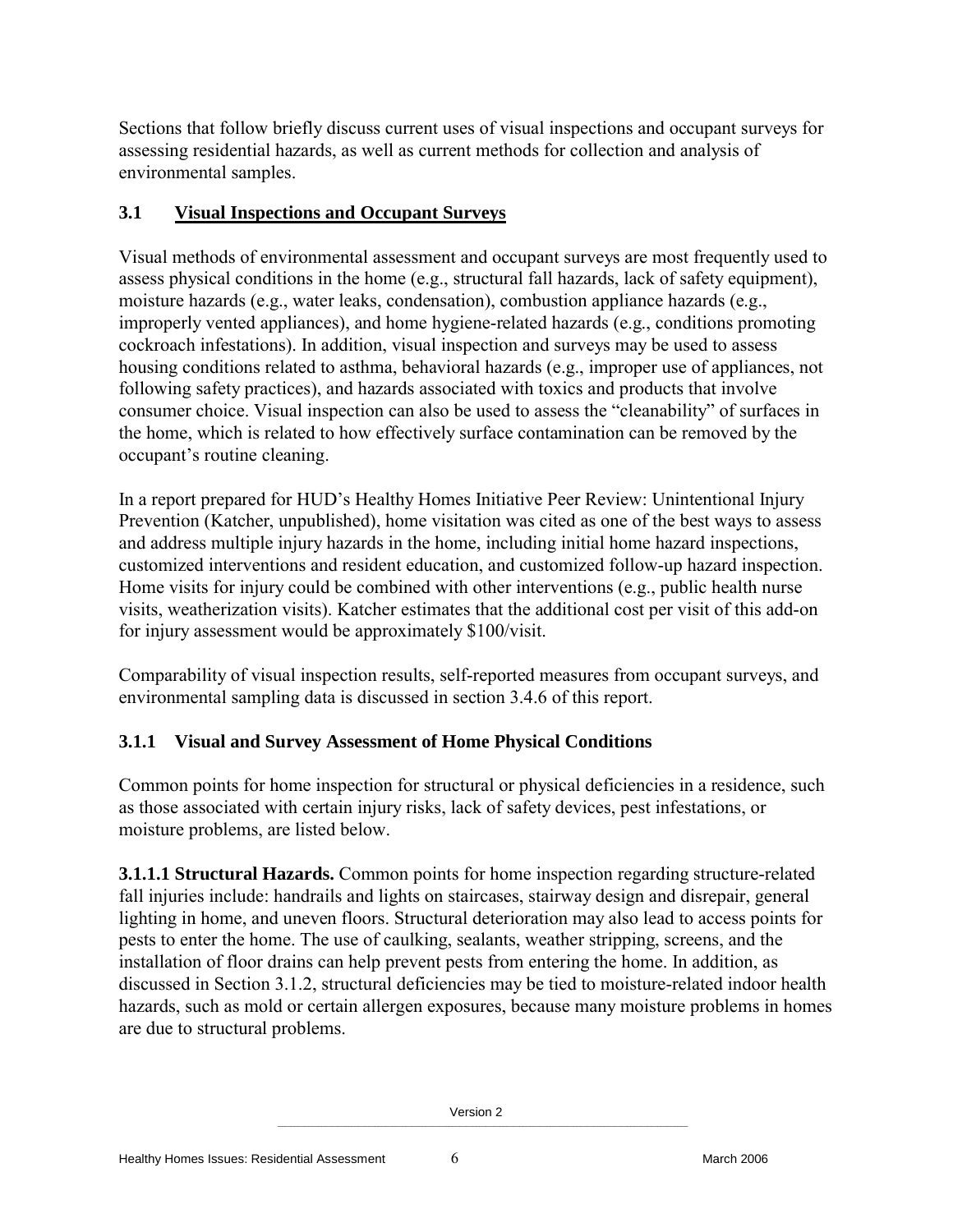Sections that follow briefly discuss current uses of visual inspections and occupant surveys for assessing residential hazards, as well as current methods for collection and analysis of environmental samples.

#### **3.1 Visual Inspections and Occupant Surveys**

Visual methods of environmental assessment and occupant surveys are most frequently used to assess physical conditions in the home (e.g., structural fall hazards, lack of safety equipment), moisture hazards (e.g., water leaks, condensation), combustion appliance hazards (e.g., improperly vented appliances), and home hygiene-related hazards (e.g., conditions promoting cockroach infestations). In addition, visual inspection and surveys may be used to assess housing conditions related to asthma, behavioral hazards (e.g., improper use of appliances, not following safety practices), and hazards associated with toxics and products that involve consumer choice. Visual inspection can also be used to assess the "cleanability" of surfaces in the home, which is related to how effectively surface contamination can be removed by the occupant's routine cleaning.

In a report prepared for HUD's Healthy Homes Initiative Peer Review: Unintentional Injury Prevention (Katcher, unpublished), home visitation was cited as one of the best ways to assess and address multiple injury hazards in the home, including initial home hazard inspections, customized interventions and resident education, and customized follow-up hazard inspection. Home visits for injury could be combined with other interventions (e.g., public health nurse visits, weatherization visits). Katcher estimates that the additional cost per visit of this add-on for injury assessment would be approximately \$100/visit.

Comparability of visual inspection results, self-reported measures from occupant surveys, and environmental sampling data is discussed in section 3.4.6 of this report.

#### **3.1.1 Visual and Survey Assessment of Home Physical Conditions**

Common points for home inspection for structural or physical deficiencies in a residence, such as those associated with certain injury risks, lack of safety devices, pest infestations, or moisture problems, are listed below.

**3.1.1.1 Structural Hazards.** Common points for home inspection regarding structure-related fall injuries include: handrails and lights on staircases, stairway design and disrepair, general lighting in home, and uneven floors. Structural deterioration may also lead to access points for pests to enter the home. The use of caulking, sealants, weather stripping, screens, and the installation of floor drains can help prevent pests from entering the home. In addition, as discussed in Section 3.1.2, structural deficiencies may be tied to moisture-related indoor health hazards, such as mold or certain allergen exposures, because many moisture problems in homes are due to structural problems.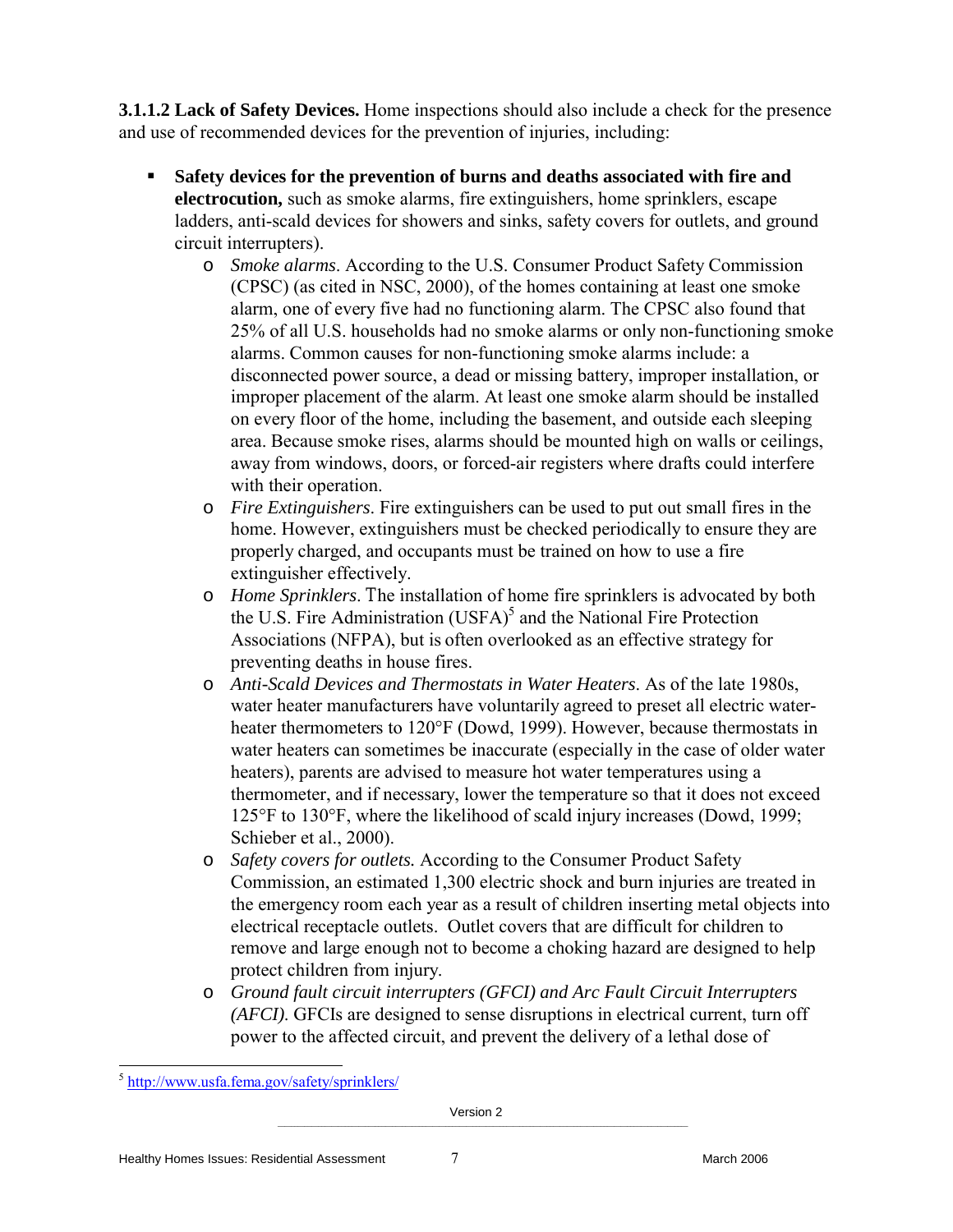**3.1.1.2 Lack of Safety Devices.** Home inspections should also include a check for the presence and use of recommended devices for the prevention of injuries, including:

- **Safety devices for the prevention of burns and deaths associated with fire and electrocution,** such as smoke alarms, fire extinguishers, home sprinklers, escape ladders, anti-scald devices for showers and sinks, safety covers for outlets, and ground circuit interrupters).
	- o *Smoke alarms*. According to the U.S. Consumer Product Safety Commission (CPSC) (as cited in NSC, 2000), of the homes containing at least one smoke alarm, one of every five had no functioning alarm. The CPSC also found that 25% of all U.S. households had no smoke alarms or only non-functioning smoke alarms. Common causes for non-functioning smoke alarms include: a disconnected power source, a dead or missing battery, improper installation, or improper placement of the alarm. At least one smoke alarm should be installed on every floor of the home, including the basement, and outside each sleeping area. Because smoke rises, alarms should be mounted high on walls or ceilings, away from windows, doors, or forced-air registers where drafts could interfere with their operation.
	- o *Fire Extinguishers*. Fire extinguishers can be used to put out small fires in the home. However, extinguishers must be checked periodically to ensure they are properly charged, and occupants must be trained on how to use a fire extinguisher effectively.
	- o *Home Sprinklers*. The installation of home fire sprinklers is advocated by both the U.S. Fire Administration (USFA)<sup>5</sup> and the National Fire Protection Associations (NFPA), but is often overlooked as an effective strategy for preventing deaths in house fires.
	- o *Anti-Scald Devices and Thermostats in Water Heaters*. As of the late 1980s, water heater manufacturers have voluntarily agreed to preset all electric waterheater thermometers to 120°F (Dowd, 1999). However, because thermostats in water heaters can sometimes be inaccurate (especially in the case of older water heaters), parents are advised to measure hot water temperatures using a thermometer, and if necessary, lower the temperature so that it does not exceed 125°F to 130°F, where the likelihood of scald injury increases (Dowd, 1999; Schieber et al., 2000).
	- o *Safety covers for outlets.* According to the Consumer Product Safety Commission, an estimated 1,300 electric shock and burn injuries are treated in the emergency room each year as a result of children inserting metal objects into electrical receptacle outlets. Outlet covers that are difficult for children to remove and large enough not to become a choking hazard are designed to help protect children from injury.
	- o *Ground fault circuit interrupters (GFCI) and Arc Fault Circuit Interrupters (AFCI)*. GFCIs are designed to sense disruptions in electrical current, turn off power to the affected circuit, and prevent the delivery of a lethal dose of

-

<sup>&</sup>lt;sup>5</sup> http://www.usfa.fema.gov/safety/sprinklers/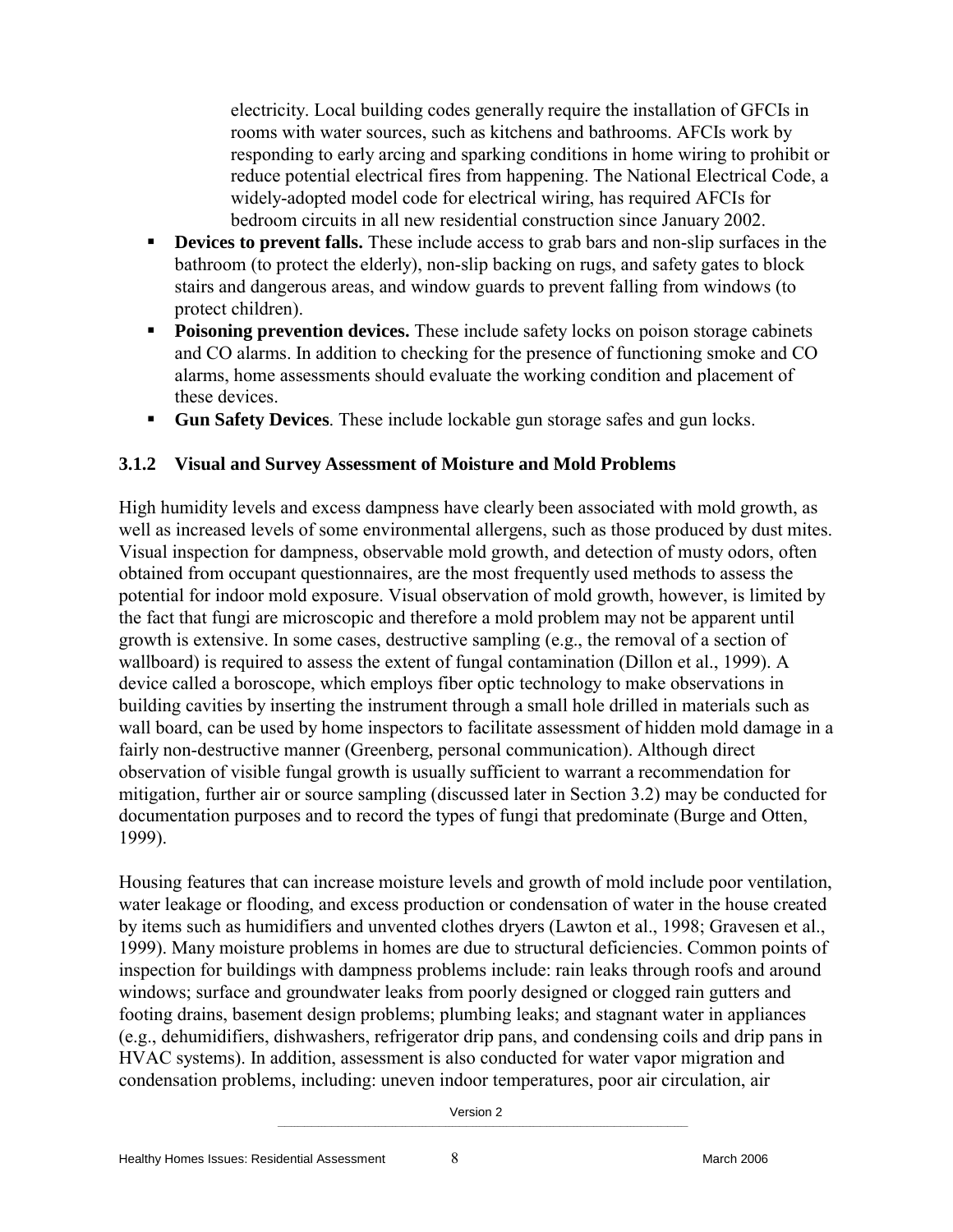electricity. Local building codes generally require the installation of GFCIs in rooms with water sources, such as kitchens and bathrooms. AFCIs work by responding to early arcing and sparking conditions in home wiring to prohibit or reduce potential electrical fires from happening. The National Electrical Code, a widely-adopted model code for electrical wiring, has required AFCIs for bedroom circuits in all new residential construction since January 2002.

- **Devices to prevent falls.** These include access to grab bars and non-slip surfaces in the bathroom (to protect the elderly), non-slip backing on rugs, and safety gates to block stairs and dangerous areas, and window guards to prevent falling from windows (to protect children).
- **Poisoning prevention devices.** These include safety locks on poison storage cabinets and CO alarms. In addition to checking for the presence of functioning smoke and CO alarms, home assessments should evaluate the working condition and placement of these devices.
- **Gun Safety Devices**. These include lockable gun storage safes and gun locks.

#### **3.1.2 Visual and Survey Assessment of Moisture and Mold Problems**

High humidity levels and excess dampness have clearly been associated with mold growth, as well as increased levels of some environmental allergens, such as those produced by dust mites. Visual inspection for dampness, observable mold growth, and detection of musty odors, often obtained from occupant questionnaires, are the most frequently used methods to assess the potential for indoor mold exposure. Visual observation of mold growth, however, is limited by the fact that fungi are microscopic and therefore a mold problem may not be apparent until growth is extensive. In some cases, destructive sampling (e.g., the removal of a section of wallboard) is required to assess the extent of fungal contamination (Dillon et al., 1999). A device called a boroscope, which employs fiber optic technology to make observations in building cavities by inserting the instrument through a small hole drilled in materials such as wall board, can be used by home inspectors to facilitate assessment of hidden mold damage in a fairly non-destructive manner (Greenberg, personal communication). Although direct observation of visible fungal growth is usually sufficient to warrant a recommendation for mitigation, further air or source sampling (discussed later in Section 3.2) may be conducted for documentation purposes and to record the types of fungi that predominate (Burge and Otten, 1999).

Housing features that can increase moisture levels and growth of mold include poor ventilation, water leakage or flooding, and excess production or condensation of water in the house created by items such as humidifiers and unvented clothes dryers (Lawton et al., 1998; Gravesen et al., 1999). Many moisture problems in homes are due to structural deficiencies. Common points of inspection for buildings with dampness problems include: rain leaks through roofs and around windows; surface and groundwater leaks from poorly designed or clogged rain gutters and footing drains, basement design problems; plumbing leaks; and stagnant water in appliances (e.g., dehumidifiers, dishwashers, refrigerator drip pans, and condensing coils and drip pans in HVAC systems). In addition, assessment is also conducted for water vapor migration and condensation problems, including: uneven indoor temperatures, poor air circulation, air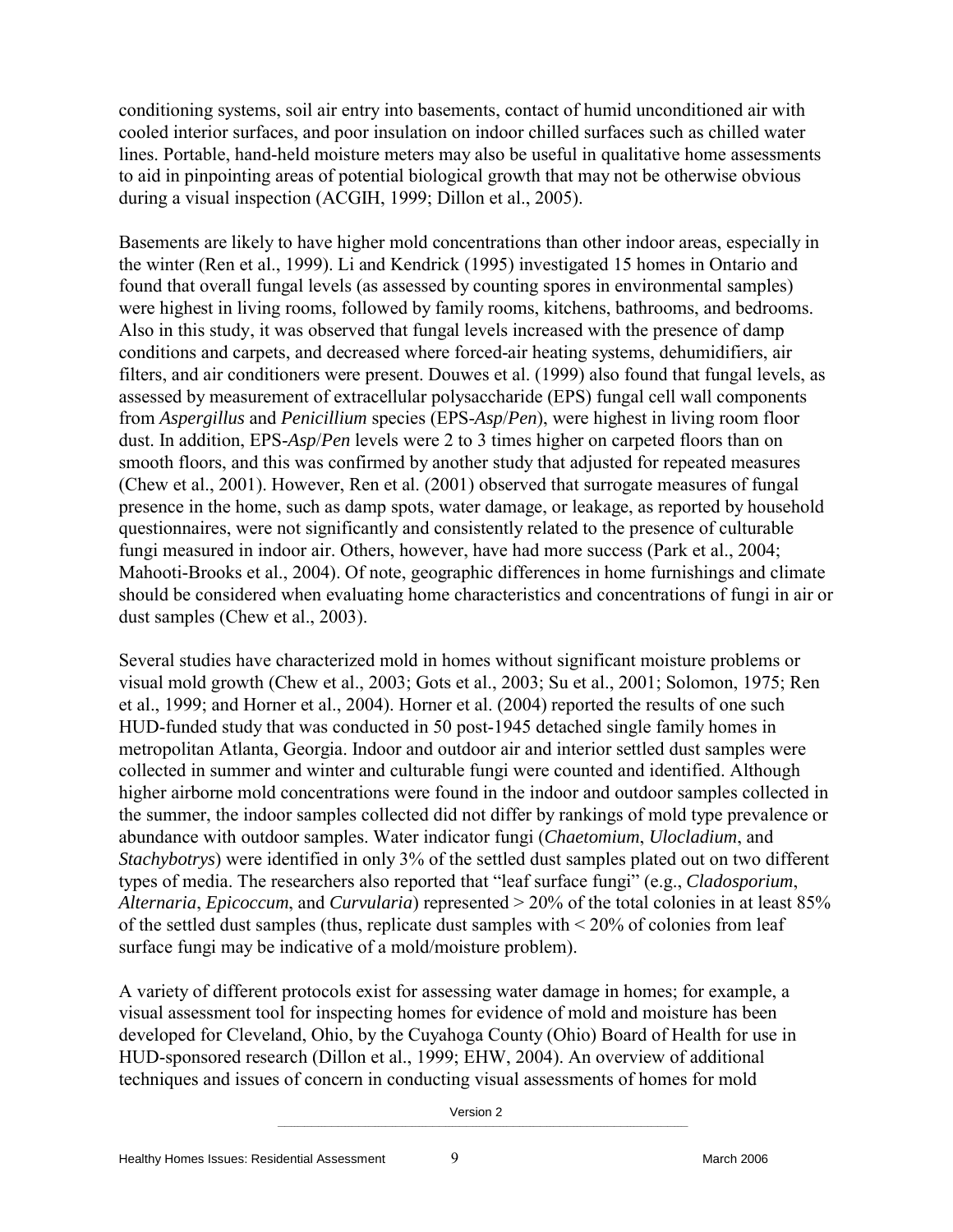conditioning systems, soil air entry into basements, contact of humid unconditioned air with cooled interior surfaces, and poor insulation on indoor chilled surfaces such as chilled water lines. Portable, hand-held moisture meters may also be useful in qualitative home assessments to aid in pinpointing areas of potential biological growth that may not be otherwise obvious during a visual inspection (ACGIH, 1999; Dillon et al., 2005).

Basements are likely to have higher mold concentrations than other indoor areas, especially in the winter (Ren et al., 1999). Li and Kendrick (1995) investigated 15 homes in Ontario and found that overall fungal levels (as assessed by counting spores in environmental samples) were highest in living rooms, followed by family rooms, kitchens, bathrooms, and bedrooms. Also in this study, it was observed that fungal levels increased with the presence of damp conditions and carpets, and decreased where forced-air heating systems, dehumidifiers, air filters, and air conditioners were present. Douwes et al. (1999) also found that fungal levels, as assessed by measurement of extracellular polysaccharide (EPS) fungal cell wall components from *Aspergillus* and *Penicillium* species (EPS-*Asp*/*Pen*), were highest in living room floor dust. In addition, EPS-*Asp*/*Pen* levels were 2 to 3 times higher on carpeted floors than on smooth floors, and this was confirmed by another study that adjusted for repeated measures (Chew et al., 2001). However, Ren et al. (2001) observed that surrogate measures of fungal presence in the home, such as damp spots, water damage, or leakage, as reported by household questionnaires, were not significantly and consistently related to the presence of culturable fungi measured in indoor air. Others, however, have had more success (Park et al., 2004; Mahooti-Brooks et al., 2004). Of note, geographic differences in home furnishings and climate should be considered when evaluating home characteristics and concentrations of fungi in air or dust samples (Chew et al., 2003).

Several studies have characterized mold in homes without significant moisture problems or visual mold growth (Chew et al., 2003; Gots et al., 2003; Su et al., 2001; Solomon, 1975; Ren et al., 1999; and Horner et al., 2004). Horner et al. (2004) reported the results of one such HUD-funded study that was conducted in 50 post-1945 detached single family homes in metropolitan Atlanta, Georgia. Indoor and outdoor air and interior settled dust samples were collected in summer and winter and culturable fungi were counted and identified. Although higher airborne mold concentrations were found in the indoor and outdoor samples collected in the summer, the indoor samples collected did not differ by rankings of mold type prevalence or abundance with outdoor samples. Water indicator fungi (*Chaetomium*, *Ulocladium*, and *Stachybotrys*) were identified in only 3% of the settled dust samples plated out on two different types of media. The researchers also reported that "leaf surface fungi" (e.g., *Cladosporium*, *Alternaria*, *Epicoccum*, and *Curvularia*) represented > 20% of the total colonies in at least 85% of the settled dust samples (thus, replicate dust samples with  $\leq 20\%$  of colonies from leaf surface fungi may be indicative of a mold/moisture problem).

A variety of different protocols exist for assessing water damage in homes; for example, a visual assessment tool for inspecting homes for evidence of mold and moisture has been developed for Cleveland, Ohio, by the Cuyahoga County (Ohio) Board of Health for use in HUD-sponsored research (Dillon et al., 1999; EHW, 2004). An overview of additional techniques and issues of concern in conducting visual assessments of homes for mold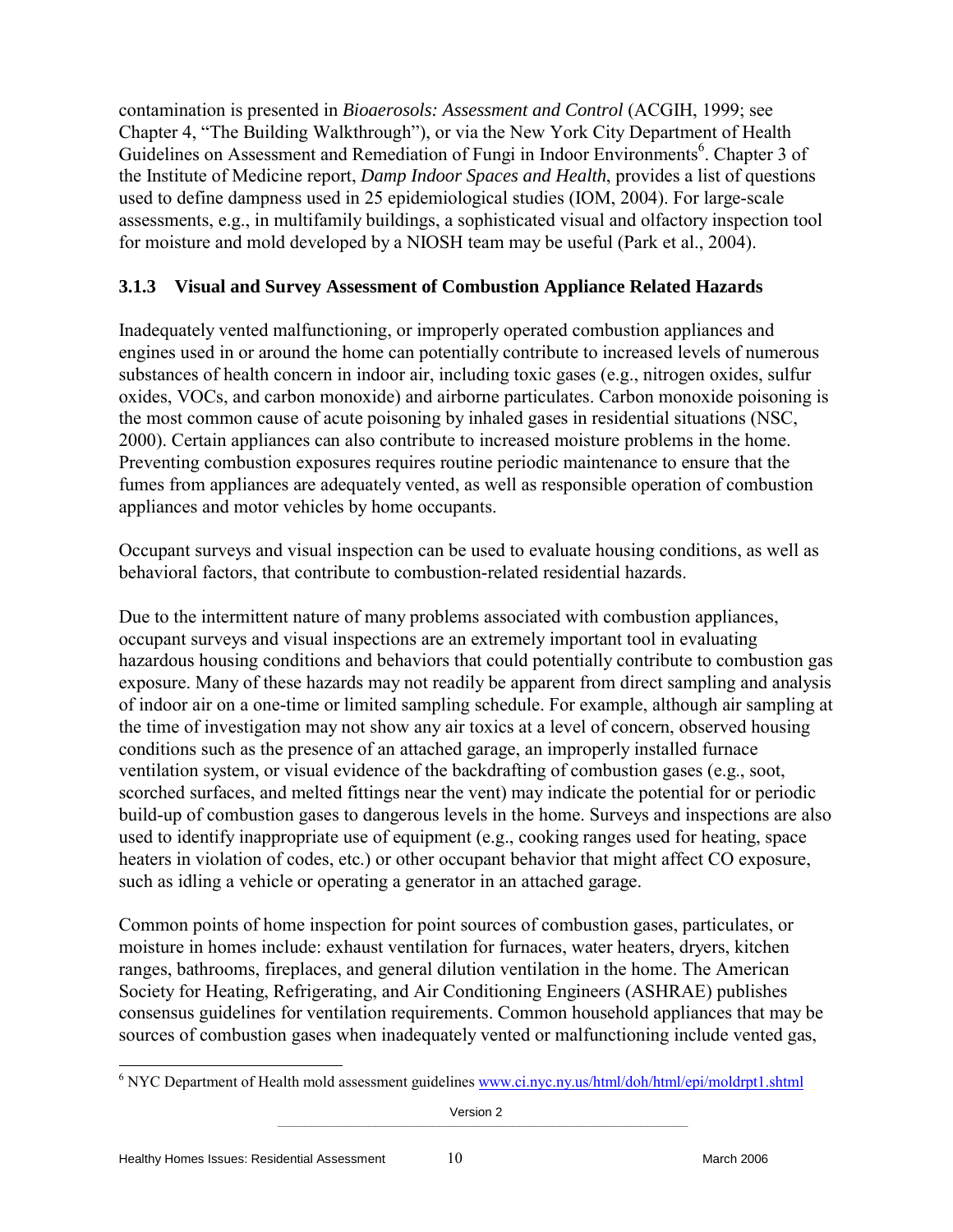contamination is presented in *Bioaerosols: Assessment and Control* (ACGIH, 1999; see Chapter 4, "The Building Walkthrough"), or via the New York City Department of Health Guidelines on Assessment and Remediation of Fungi in Indoor Environments<sup>6</sup>. Chapter 3 of the Institute of Medicine report, *Damp Indoor Spaces and Health*, provides a list of questions used to define dampness used in 25 epidemiological studies (IOM, 2004). For large-scale assessments, e.g., in multifamily buildings, a sophisticated visual and olfactory inspection tool for moisture and mold developed by a NIOSH team may be useful (Park et al., 2004).

### **3.1.3 Visual and Survey Assessment of Combustion Appliance Related Hazards**

Inadequately vented malfunctioning, or improperly operated combustion appliances and engines used in or around the home can potentially contribute to increased levels of numerous substances of health concern in indoor air, including toxic gases (e.g., nitrogen oxides, sulfur oxides, VOCs, and carbon monoxide) and airborne particulates. Carbon monoxide poisoning is the most common cause of acute poisoning by inhaled gases in residential situations (NSC, 2000). Certain appliances can also contribute to increased moisture problems in the home. Preventing combustion exposures requires routine periodic maintenance to ensure that the fumes from appliances are adequately vented, as well as responsible operation of combustion appliances and motor vehicles by home occupants.

Occupant surveys and visual inspection can be used to evaluate housing conditions, as well as behavioral factors, that contribute to combustion-related residential hazards.

Due to the intermittent nature of many problems associated with combustion appliances, occupant surveys and visual inspections are an extremely important tool in evaluating hazardous housing conditions and behaviors that could potentially contribute to combustion gas exposure. Many of these hazards may not readily be apparent from direct sampling and analysis of indoor air on a one-time or limited sampling schedule. For example, although air sampling at the time of investigation may not show any air toxics at a level of concern, observed housing conditions such as the presence of an attached garage, an improperly installed furnace ventilation system, or visual evidence of the backdrafting of combustion gases (e.g., soot, scorched surfaces, and melted fittings near the vent) may indicate the potential for or periodic build-up of combustion gases to dangerous levels in the home. Surveys and inspections are also used to identify inappropriate use of equipment (e.g., cooking ranges used for heating, space heaters in violation of codes, etc.) or other occupant behavior that might affect CO exposure, such as idling a vehicle or operating a generator in an attached garage.

Common points of home inspection for point sources of combustion gases, particulates, or moisture in homes include: exhaust ventilation for furnaces, water heaters, dryers, kitchen ranges, bathrooms, fireplaces, and general dilution ventilation in the home. The American Society for Heating, Refrigerating, and Air Conditioning Engineers (ASHRAE) publishes consensus guidelines for ventilation requirements. Common household appliances that may be sources of combustion gases when inadequately vented or malfunctioning include vented gas,

Version 2  $\_$  , and the set of the set of the set of the set of the set of the set of the set of the set of the set of the set of the set of the set of the set of the set of the set of the set of the set of the set of the set of th

-

<sup>&</sup>lt;sup>6</sup> NYC Department of Health mold assessment guidelines www.ci.nyc.ny.us/html/doh/html/epi/moldrpt1.shtml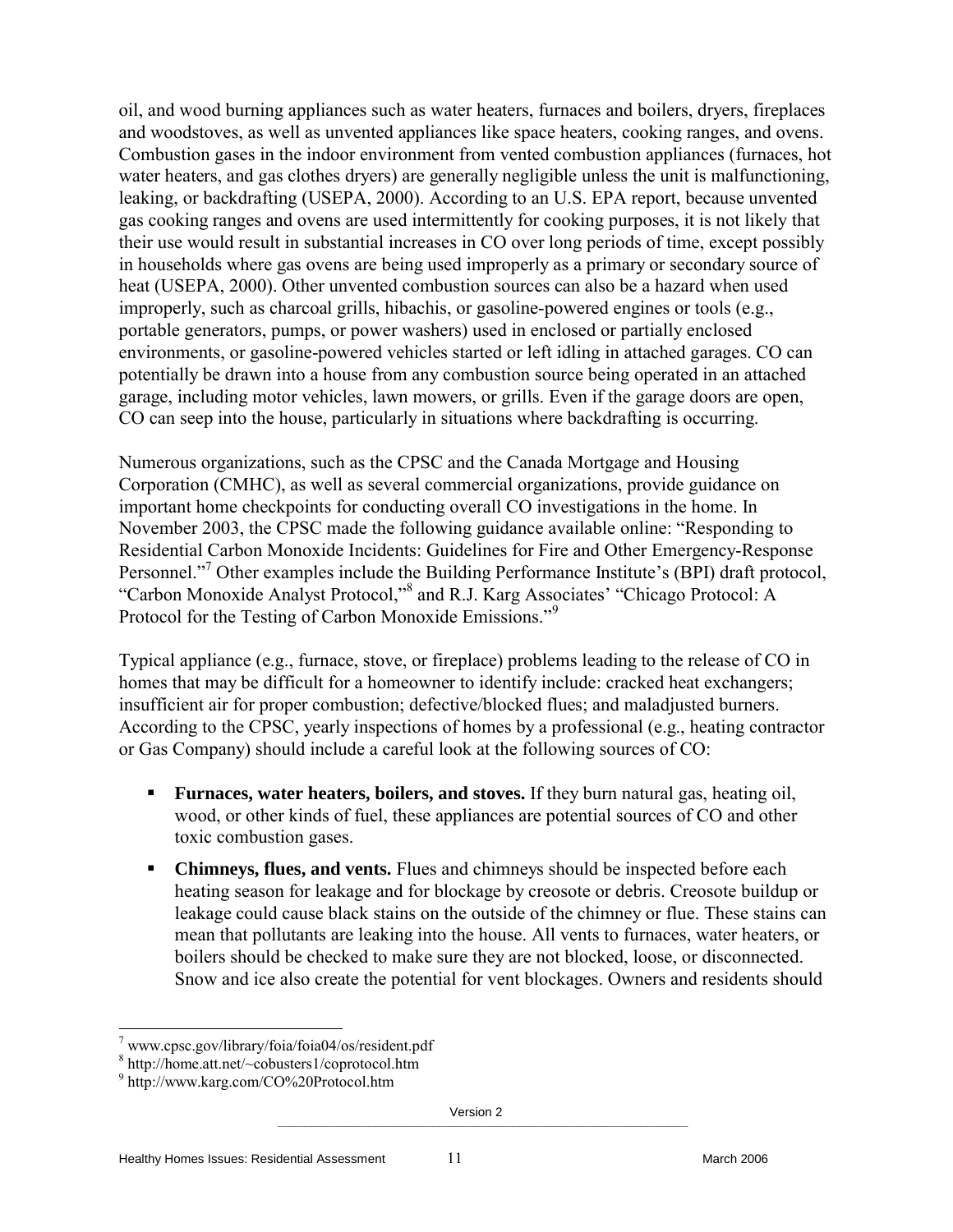oil, and wood burning appliances such as water heaters, furnaces and boilers, dryers, fireplaces and woodstoves, as well as unvented appliances like space heaters, cooking ranges, and ovens. Combustion gases in the indoor environment from vented combustion appliances (furnaces, hot water heaters, and gas clothes dryers) are generally negligible unless the unit is malfunctioning, leaking, or backdrafting (USEPA, 2000). According to an U.S. EPA report, because unvented gas cooking ranges and ovens are used intermittently for cooking purposes, it is not likely that their use would result in substantial increases in CO over long periods of time, except possibly in households where gas ovens are being used improperly as a primary or secondary source of heat (USEPA, 2000). Other unvented combustion sources can also be a hazard when used improperly, such as charcoal grills, hibachis, or gasoline-powered engines or tools (e.g., portable generators, pumps, or power washers) used in enclosed or partially enclosed environments, or gasoline-powered vehicles started or left idling in attached garages. CO can potentially be drawn into a house from any combustion source being operated in an attached garage, including motor vehicles, lawn mowers, or grills. Even if the garage doors are open, CO can seep into the house, particularly in situations where backdrafting is occurring.

Numerous organizations, such as the CPSC and the Canada Mortgage and Housing Corporation (CMHC), as well as several commercial organizations, provide guidance on important home checkpoints for conducting overall CO investigations in the home. In November 2003, the CPSC made the following guidance available online: "Responding to Residential Carbon Monoxide Incidents: Guidelines for Fire and Other Emergency-Response Personnel."<sup>7</sup> Other examples include the Building Performance Institute's (BPI) draft protocol, "Carbon Monoxide Analyst Protocol,"8 and R.J. Karg Associates' "Chicago Protocol: A Protocol for the Testing of Carbon Monoxide Emissions."<sup>9</sup>

Typical appliance (e.g., furnace, stove, or fireplace) problems leading to the release of CO in homes that may be difficult for a homeowner to identify include: cracked heat exchangers; insufficient air for proper combustion; defective/blocked flues; and maladjusted burners. According to the CPSC, yearly inspections of homes by a professional (e.g., heating contractor or Gas Company) should include a careful look at the following sources of CO:

- **Furnaces, water heaters, boilers, and stoves.** If they burn natural gas, heating oil, wood, or other kinds of fuel, these appliances are potential sources of CO and other toxic combustion gases.
- **Chimneys, flues, and vents.** Flues and chimneys should be inspected before each heating season for leakage and for blockage by creosote or debris. Creosote buildup or leakage could cause black stains on the outside of the chimney or flue. These stains can mean that pollutants are leaking into the house. All vents to furnaces, water heaters, or boilers should be checked to make sure they are not blocked, loose, or disconnected. Snow and ice also create the potential for vent blockages. Owners and residents should

 $\overline{a}$ <sup>7</sup> www.cpsc.gov/library/foia/foia04/os/resident.pdf

<sup>8</sup> http://home.att.net/~cobusters1/coprotocol.htm

<sup>9</sup> http://www.karg.com/CO%20Protocol.htm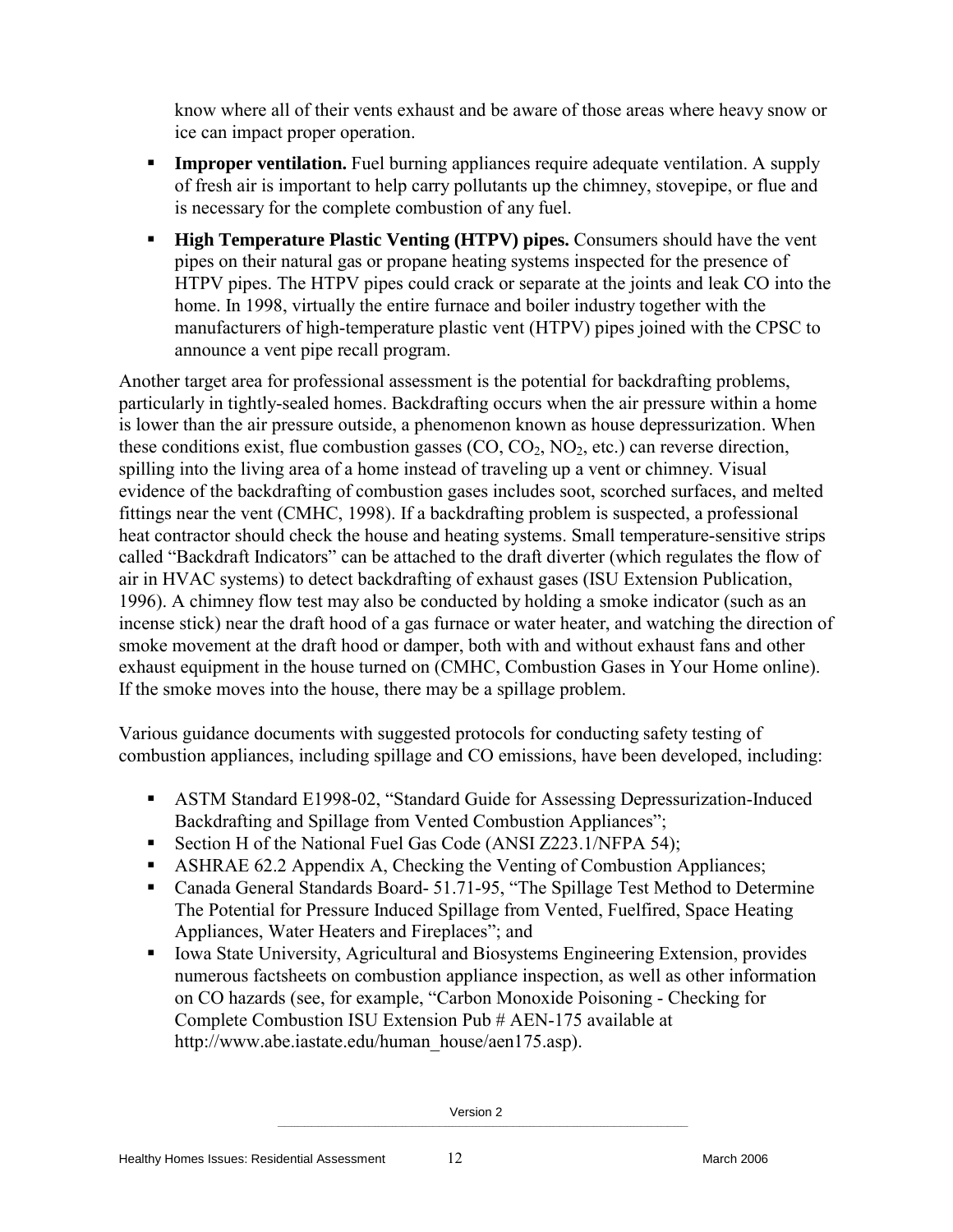know where all of their vents exhaust and be aware of those areas where heavy snow or ice can impact proper operation.

- **Improper ventilation.** Fuel burning appliances require adequate ventilation. A supply of fresh air is important to help carry pollutants up the chimney, stovepipe, or flue and is necessary for the complete combustion of any fuel.
- **High Temperature Plastic Venting (HTPV) pipes.** Consumers should have the vent pipes on their natural gas or propane heating systems inspected for the presence of HTPV pipes. The HTPV pipes could crack or separate at the joints and leak CO into the home. In 1998, virtually the entire furnace and boiler industry together with the manufacturers of high-temperature plastic vent (HTPV) pipes joined with the CPSC to announce a vent pipe recall program.

Another target area for professional assessment is the potential for backdrafting problems, particularly in tightly-sealed homes. Backdrafting occurs when the air pressure within a home is lower than the air pressure outside, a phenomenon known as house depressurization. When these conditions exist, flue combustion gasses  $(CO, CO<sub>2</sub>, NO<sub>2</sub>, etc.)$  can reverse direction, spilling into the living area of a home instead of traveling up a vent or chimney. Visual evidence of the backdrafting of combustion gases includes soot, scorched surfaces, and melted fittings near the vent (CMHC, 1998). If a backdrafting problem is suspected, a professional heat contractor should check the house and heating systems. Small temperature-sensitive strips called "Backdraft Indicators" can be attached to the draft diverter (which regulates the flow of air in HVAC systems) to detect backdrafting of exhaust gases (ISU Extension Publication, 1996). A chimney flow test may also be conducted by holding a smoke indicator (such as an incense stick) near the draft hood of a gas furnace or water heater, and watching the direction of smoke movement at the draft hood or damper, both with and without exhaust fans and other exhaust equipment in the house turned on (CMHC, Combustion Gases in Your Home online). If the smoke moves into the house, there may be a spillage problem.

Various guidance documents with suggested protocols for conducting safety testing of combustion appliances, including spillage and CO emissions, have been developed, including:

- ASTM Standard E1998-02, "Standard Guide for Assessing Depressurization-Induced Backdrafting and Spillage from Vented Combustion Appliances";
- Section H of the National Fuel Gas Code (ANSI Z223.1/NFPA 54);
- ASHRAE 62.2 Appendix A, Checking the Venting of Combustion Appliances;
- Canada General Standards Board- 51.71-95, "The Spillage Test Method to Determine The Potential for Pressure Induced Spillage from Vented, Fuelfired, Space Heating Appliances, Water Heaters and Fireplaces"; and
- Iowa State University, Agricultural and Biosystems Engineering Extension, provides numerous factsheets on combustion appliance inspection, as well as other information on CO hazards (see, for example, "Carbon Monoxide Poisoning - Checking for Complete Combustion ISU Extension Pub # AEN-175 available at http://www.abe.iastate.edu/human\_house/aen175.asp).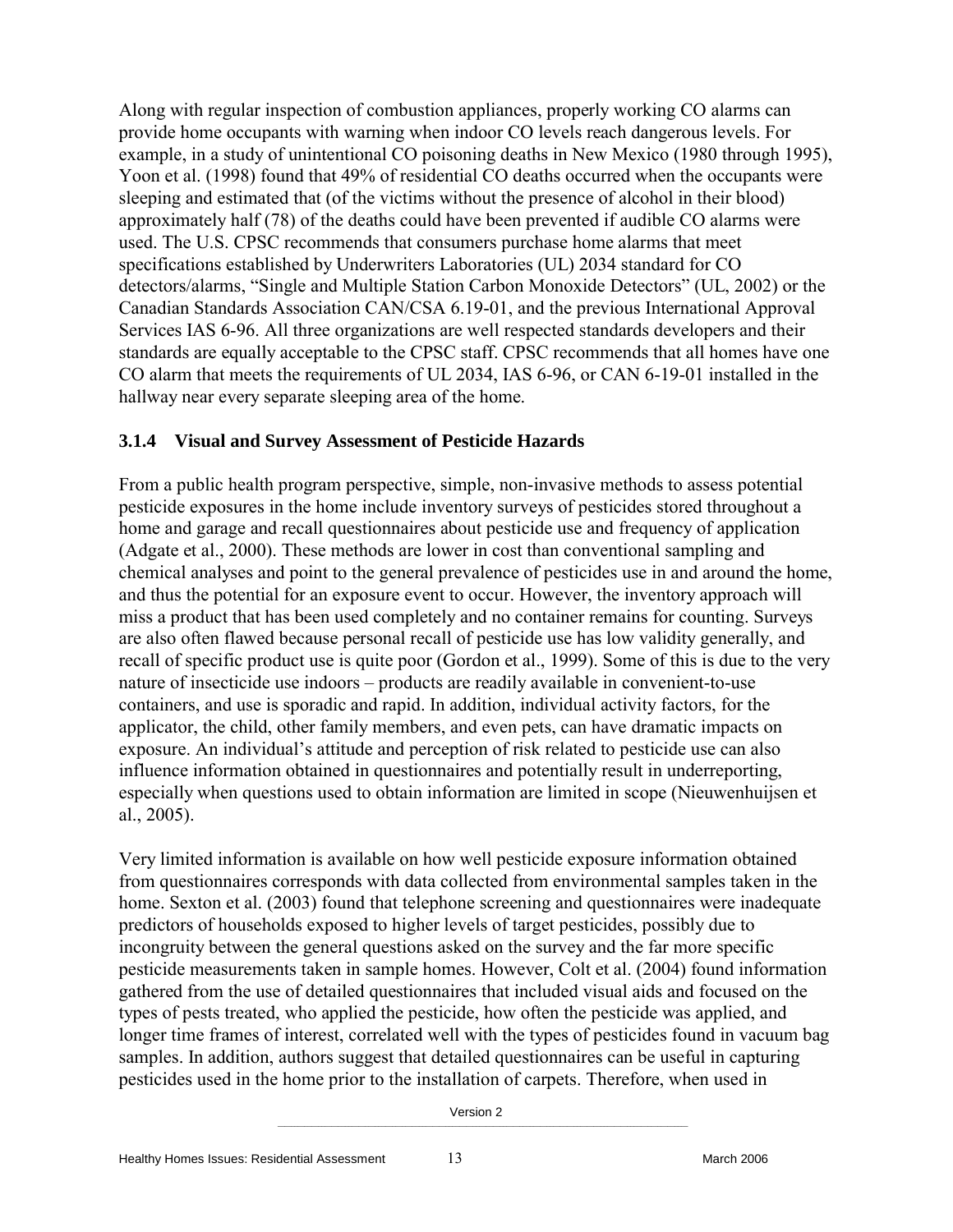Along with regular inspection of combustion appliances, properly working CO alarms can provide home occupants with warning when indoor CO levels reach dangerous levels. For example, in a study of unintentional CO poisoning deaths in New Mexico (1980 through 1995), Yoon et al. (1998) found that 49% of residential CO deaths occurred when the occupants were sleeping and estimated that (of the victims without the presence of alcohol in their blood) approximately half (78) of the deaths could have been prevented if audible CO alarms were used. The U.S. CPSC recommends that consumers purchase home alarms that meet specifications established by Underwriters Laboratories (UL) 2034 standard for CO detectors/alarms, "Single and Multiple Station Carbon Monoxide Detectors" (UL, 2002) or the Canadian Standards Association CAN/CSA 6.19-01, and the previous International Approval Services IAS 6-96. All three organizations are well respected standards developers and their standards are equally acceptable to the CPSC staff. CPSC recommends that all homes have one CO alarm that meets the requirements of UL 2034, IAS 6-96, or CAN 6-19-01 installed in the hallway near every separate sleeping area of the home.

#### **3.1.4 Visual and Survey Assessment of Pesticide Hazards**

From a public health program perspective, simple, non-invasive methods to assess potential pesticide exposures in the home include inventory surveys of pesticides stored throughout a home and garage and recall questionnaires about pesticide use and frequency of application (Adgate et al., 2000). These methods are lower in cost than conventional sampling and chemical analyses and point to the general prevalence of pesticides use in and around the home, and thus the potential for an exposure event to occur. However, the inventory approach will miss a product that has been used completely and no container remains for counting. Surveys are also often flawed because personal recall of pesticide use has low validity generally, and recall of specific product use is quite poor (Gordon et al., 1999). Some of this is due to the very nature of insecticide use indoors – products are readily available in convenient-to-use containers, and use is sporadic and rapid. In addition, individual activity factors, for the applicator, the child, other family members, and even pets, can have dramatic impacts on exposure. An individual's attitude and perception of risk related to pesticide use can also influence information obtained in questionnaires and potentially result in underreporting, especially when questions used to obtain information are limited in scope (Nieuwenhuijsen et al., 2005).

Very limited information is available on how well pesticide exposure information obtained from questionnaires corresponds with data collected from environmental samples taken in the home. Sexton et al. (2003) found that telephone screening and questionnaires were inadequate predictors of households exposed to higher levels of target pesticides, possibly due to incongruity between the general questions asked on the survey and the far more specific pesticide measurements taken in sample homes. However, Colt et al. (2004) found information gathered from the use of detailed questionnaires that included visual aids and focused on the types of pests treated, who applied the pesticide, how often the pesticide was applied, and longer time frames of interest, correlated well with the types of pesticides found in vacuum bag samples. In addition, authors suggest that detailed questionnaires can be useful in capturing pesticides used in the home prior to the installation of carpets. Therefore, when used in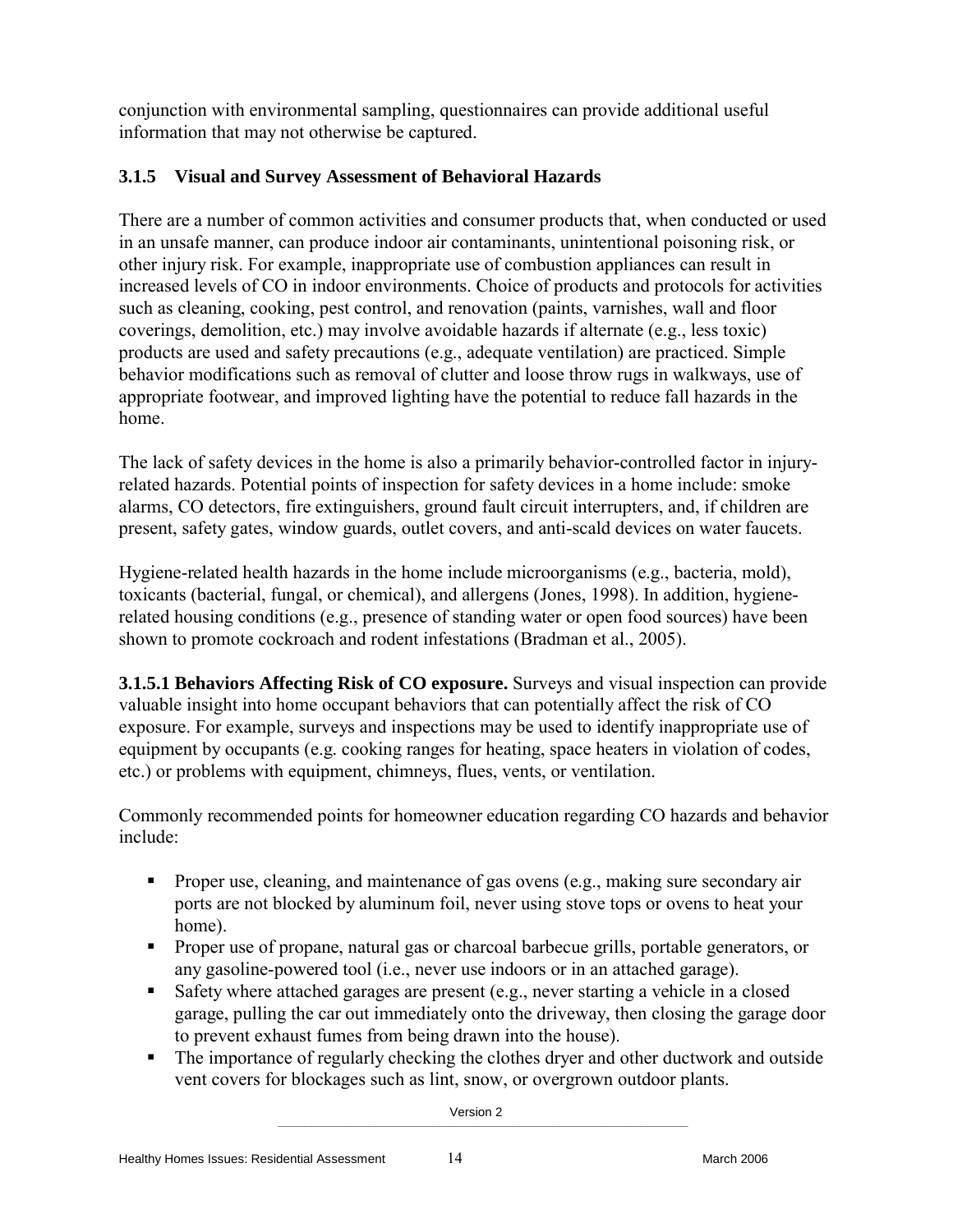conjunction with environmental sampling, questionnaires can provide additional useful information that may not otherwise be captured.

## **3.1.5 Visual and Survey Assessment of Behavioral Hazards**

There are a number of common activities and consumer products that, when conducted or used in an unsafe manner, can produce indoor air contaminants, unintentional poisoning risk, or other injury risk. For example, inappropriate use of combustion appliances can result in increased levels of CO in indoor environments. Choice of products and protocols for activities such as cleaning, cooking, pest control, and renovation (paints, varnishes, wall and floor coverings, demolition, etc.) may involve avoidable hazards if alternate (e.g., less toxic) products are used and safety precautions (e.g., adequate ventilation) are practiced. Simple behavior modifications such as removal of clutter and loose throw rugs in walkways, use of appropriate footwear, and improved lighting have the potential to reduce fall hazards in the home.

The lack of safety devices in the home is also a primarily behavior-controlled factor in injuryrelated hazards. Potential points of inspection for safety devices in a home include: smoke alarms, CO detectors, fire extinguishers, ground fault circuit interrupters, and, if children are present, safety gates, window guards, outlet covers, and anti-scald devices on water faucets.

Hygiene-related health hazards in the home include microorganisms (e.g., bacteria, mold), toxicants (bacterial, fungal, or chemical), and allergens (Jones, 1998). In addition, hygienerelated housing conditions (e.g., presence of standing water or open food sources) have been shown to promote cockroach and rodent infestations (Bradman et al., 2005).

**3.1.5.1 Behaviors Affecting Risk of CO exposure.** Surveys and visual inspection can provide valuable insight into home occupant behaviors that can potentially affect the risk of CO exposure. For example, surveys and inspections may be used to identify inappropriate use of equipment by occupants (e.g. cooking ranges for heating, space heaters in violation of codes, etc.) or problems with equipment, chimneys, flues, vents, or ventilation.

Commonly recommended points for homeowner education regarding CO hazards and behavior include:

- **Proper use, cleaning, and maintenance of gas ovens (e.g., making sure secondary air** ports are not blocked by aluminum foil, never using stove tops or ovens to heat your home).
- **Proper use of propane, natural gas or charcoal barbecue grills, portable generators, or** any gasoline-powered tool (i.e., never use indoors or in an attached garage).
- Safety where attached garages are present (e.g., never starting a vehicle in a closed garage, pulling the car out immediately onto the driveway, then closing the garage door to prevent exhaust fumes from being drawn into the house).
- The importance of regularly checking the clothes dryer and other ductwork and outside vent covers for blockages such as lint, snow, or overgrown outdoor plants.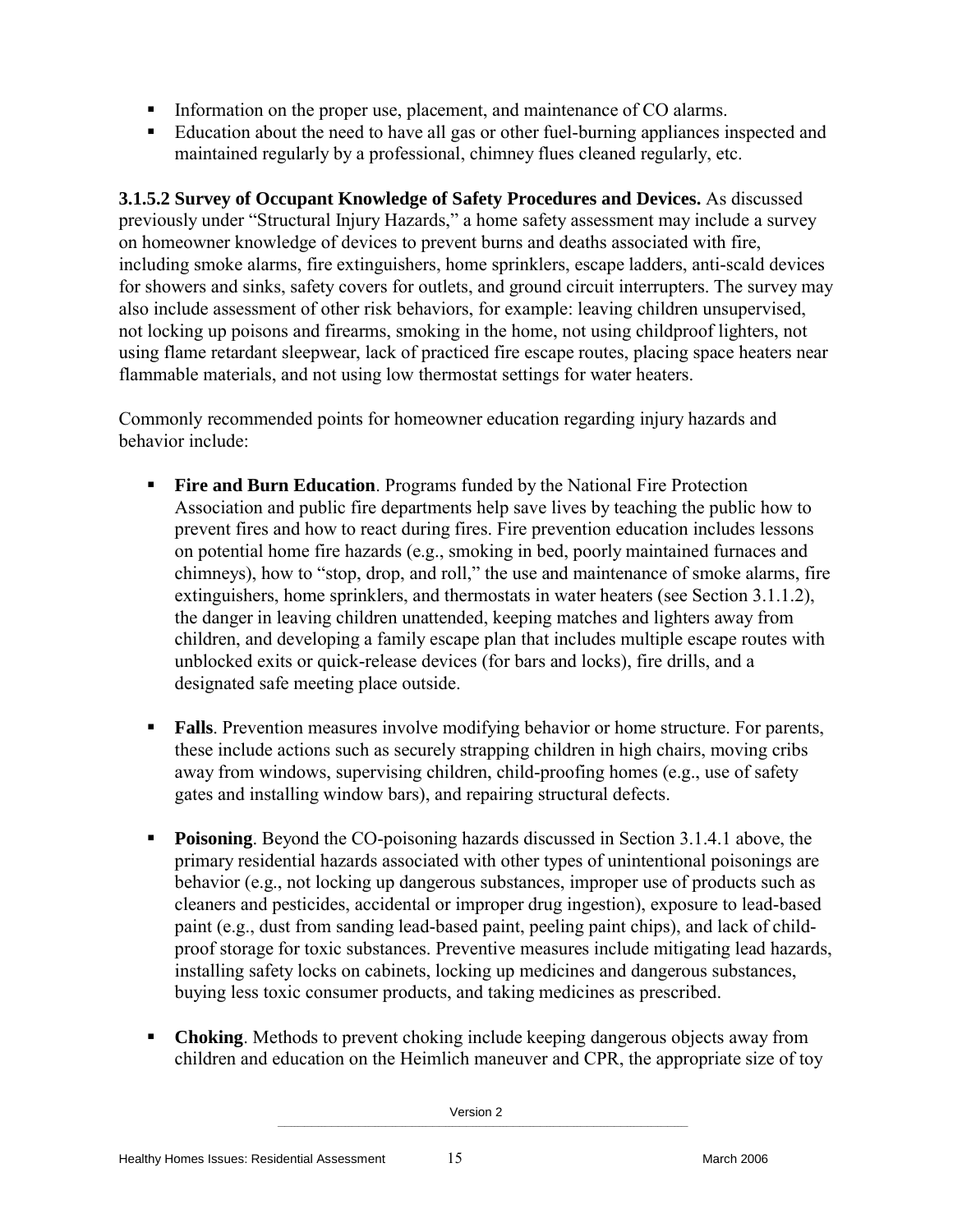- Information on the proper use, placement, and maintenance of CO alarms.
- Education about the need to have all gas or other fuel-burning appliances inspected and maintained regularly by a professional, chimney flues cleaned regularly, etc.

**3.1.5.2 Survey of Occupant Knowledge of Safety Procedures and Devices.** As discussed previously under "Structural Injury Hazards," a home safety assessment may include a survey on homeowner knowledge of devices to prevent burns and deaths associated with fire, including smoke alarms, fire extinguishers, home sprinklers, escape ladders, anti-scald devices for showers and sinks, safety covers for outlets, and ground circuit interrupters. The survey may also include assessment of other risk behaviors, for example: leaving children unsupervised, not locking up poisons and firearms, smoking in the home, not using childproof lighters, not using flame retardant sleepwear, lack of practiced fire escape routes, placing space heaters near flammable materials, and not using low thermostat settings for water heaters.

Commonly recommended points for homeowner education regarding injury hazards and behavior include:

- **Fire and Burn Education**. Programs funded by the National Fire Protection Association and public fire departments help save lives by teaching the public how to prevent fires and how to react during fires. Fire prevention education includes lessons on potential home fire hazards (e.g., smoking in bed, poorly maintained furnaces and chimneys), how to "stop, drop, and roll," the use and maintenance of smoke alarms, fire extinguishers, home sprinklers, and thermostats in water heaters (see Section 3.1.1.2), the danger in leaving children unattended, keeping matches and lighters away from children, and developing a family escape plan that includes multiple escape routes with unblocked exits or quick-release devices (for bars and locks), fire drills, and a designated safe meeting place outside.
- **Falls**. Prevention measures involve modifying behavior or home structure. For parents, these include actions such as securely strapping children in high chairs, moving cribs away from windows, supervising children, child-proofing homes (e.g., use of safety gates and installing window bars), and repairing structural defects.
- **Poisoning**. Beyond the CO-poisoning hazards discussed in Section 3.1.4.1 above, the primary residential hazards associated with other types of unintentional poisonings are behavior (e.g., not locking up dangerous substances, improper use of products such as cleaners and pesticides, accidental or improper drug ingestion), exposure to lead-based paint (e.g., dust from sanding lead-based paint, peeling paint chips), and lack of childproof storage for toxic substances. Preventive measures include mitigating lead hazards, installing safety locks on cabinets, locking up medicines and dangerous substances, buying less toxic consumer products, and taking medicines as prescribed.
- **Choking**. Methods to prevent choking include keeping dangerous objects away from children and education on the Heimlich maneuver and CPR, the appropriate size of toy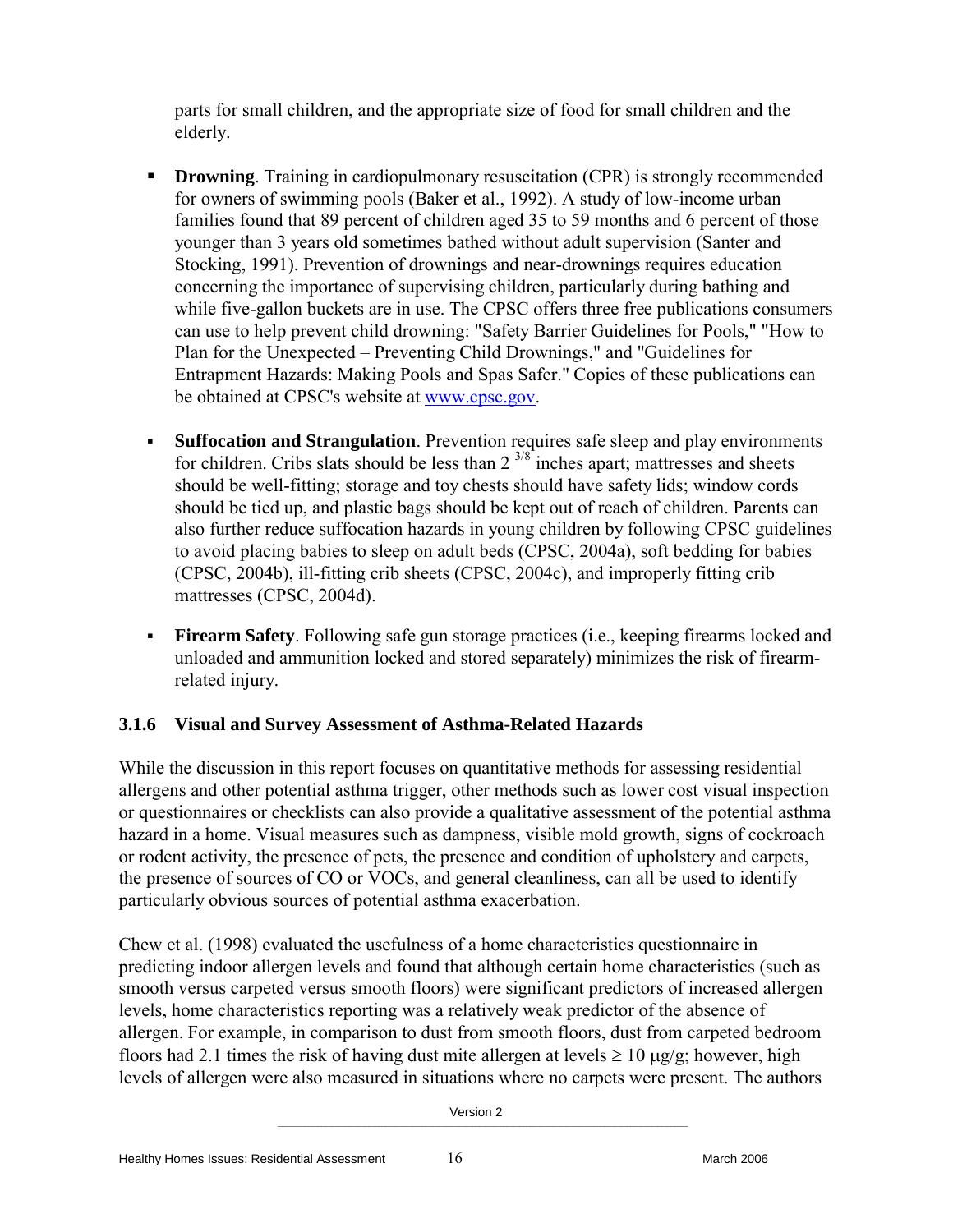parts for small children, and the appropriate size of food for small children and the elderly.

- **Drowning**. Training in cardiopulmonary resuscitation (CPR) is strongly recommended for owners of swimming pools (Baker et al., 1992). A study of low-income urban families found that 89 percent of children aged 35 to 59 months and 6 percent of those younger than 3 years old sometimes bathed without adult supervision (Santer and Stocking, 1991). Prevention of drownings and near-drownings requires education concerning the importance of supervising children, particularly during bathing and while five-gallon buckets are in use. The CPSC offers three free publications consumers can use to help prevent child drowning: "Safety Barrier Guidelines for Pools," "How to Plan for the Unexpected – Preventing Child Drownings," and "Guidelines for Entrapment Hazards: Making Pools and Spas Safer." Copies of these publications can be obtained at CPSC's website at www.cpsc.gov.
- **Suffocation and Strangulation**. Prevention requires safe sleep and play environments for children. Cribs slats should be less than 2 3/8 inches apart; mattresses and sheets should be well-fitting; storage and toy chests should have safety lids; window cords should be tied up, and plastic bags should be kept out of reach of children. Parents can also further reduce suffocation hazards in young children by following CPSC guidelines to avoid placing babies to sleep on adult beds (CPSC, 2004a), soft bedding for babies (CPSC, 2004b), ill-fitting crib sheets (CPSC, 2004c), and improperly fitting crib mattresses (CPSC, 2004d).
- **Firearm Safety**. Following safe gun storage practices (i.e., keeping firearms locked and unloaded and ammunition locked and stored separately) minimizes the risk of firearmrelated injury.

#### **3.1.6 Visual and Survey Assessment of Asthma-Related Hazards**

While the discussion in this report focuses on quantitative methods for assessing residential allergens and other potential asthma trigger, other methods such as lower cost visual inspection or questionnaires or checklists can also provide a qualitative assessment of the potential asthma hazard in a home. Visual measures such as dampness, visible mold growth, signs of cockroach or rodent activity, the presence of pets, the presence and condition of upholstery and carpets, the presence of sources of CO or VOCs, and general cleanliness, can all be used to identify particularly obvious sources of potential asthma exacerbation.

Chew et al. (1998) evaluated the usefulness of a home characteristics questionnaire in predicting indoor allergen levels and found that although certain home characteristics (such as smooth versus carpeted versus smooth floors) were significant predictors of increased allergen levels, home characteristics reporting was a relatively weak predictor of the absence of allergen. For example, in comparison to dust from smooth floors, dust from carpeted bedroom floors had 2.1 times the risk of having dust mite allergen at levels  $\geq 10 \mu g/g$ ; however, high levels of allergen were also measured in situations where no carpets were present. The authors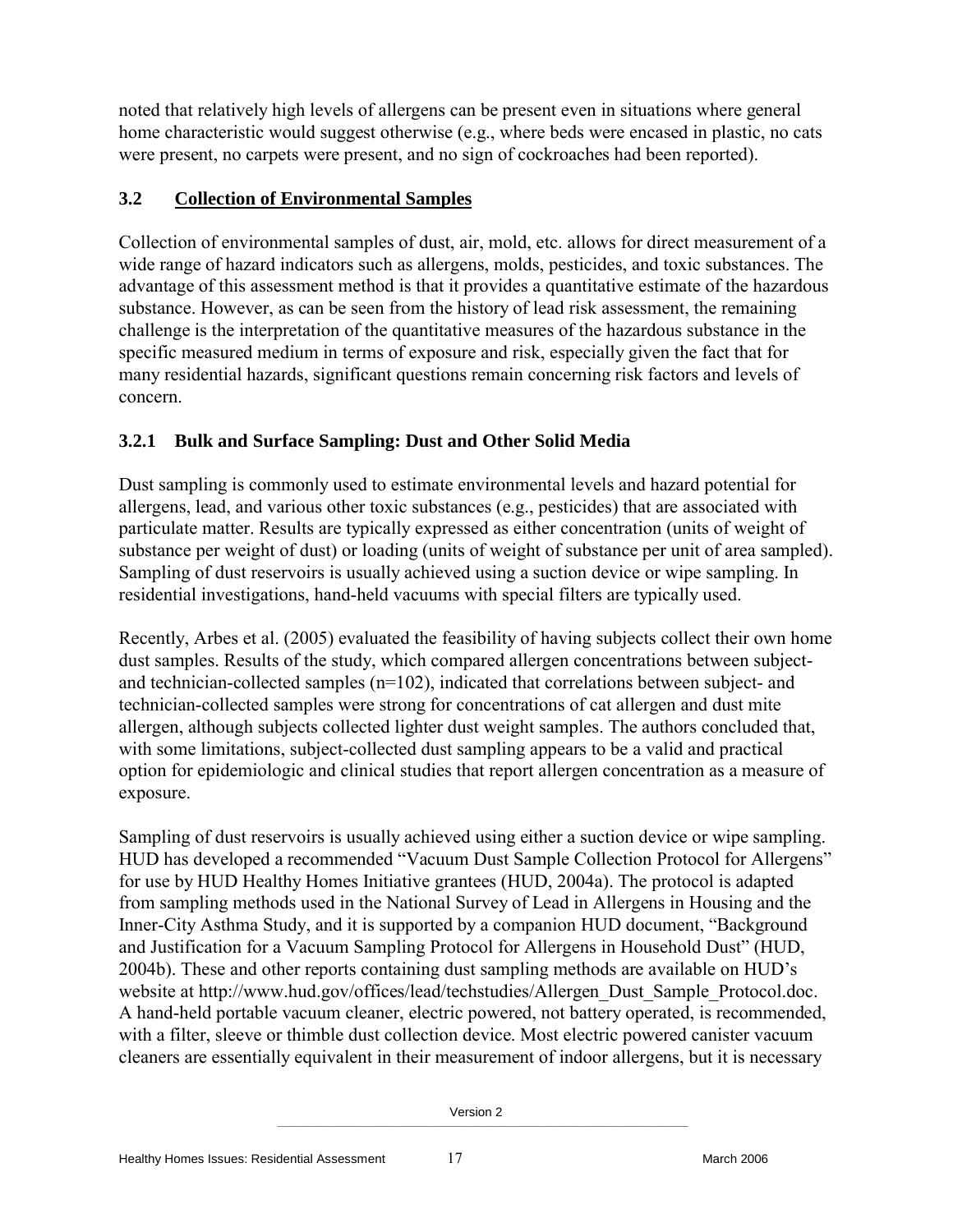noted that relatively high levels of allergens can be present even in situations where general home characteristic would suggest otherwise (e.g., where beds were encased in plastic, no cats were present, no carpets were present, and no sign of cockroaches had been reported).

## **3.2 Collection of Environmental Samples**

Collection of environmental samples of dust, air, mold, etc. allows for direct measurement of a wide range of hazard indicators such as allergens, molds, pesticides, and toxic substances. The advantage of this assessment method is that it provides a quantitative estimate of the hazardous substance. However, as can be seen from the history of lead risk assessment, the remaining challenge is the interpretation of the quantitative measures of the hazardous substance in the specific measured medium in terms of exposure and risk, especially given the fact that for many residential hazards, significant questions remain concerning risk factors and levels of concern.

## **3.2.1 Bulk and Surface Sampling: Dust and Other Solid Media**

Dust sampling is commonly used to estimate environmental levels and hazard potential for allergens, lead, and various other toxic substances (e.g., pesticides) that are associated with particulate matter. Results are typically expressed as either concentration (units of weight of substance per weight of dust) or loading (units of weight of substance per unit of area sampled). Sampling of dust reservoirs is usually achieved using a suction device or wipe sampling. In residential investigations, hand-held vacuums with special filters are typically used.

Recently, Arbes et al. (2005) evaluated the feasibility of having subjects collect their own home dust samples. Results of the study, which compared allergen concentrations between subjectand technician-collected samples (n=102), indicated that correlations between subject- and technician-collected samples were strong for concentrations of cat allergen and dust mite allergen, although subjects collected lighter dust weight samples. The authors concluded that, with some limitations, subject-collected dust sampling appears to be a valid and practical option for epidemiologic and clinical studies that report allergen concentration as a measure of exposure.

Sampling of dust reservoirs is usually achieved using either a suction device or wipe sampling. HUD has developed a recommended "Vacuum Dust Sample Collection Protocol for Allergens" for use by HUD Healthy Homes Initiative grantees (HUD, 2004a). The protocol is adapted from sampling methods used in the National Survey of Lead in Allergens in Housing and the Inner-City Asthma Study, and it is supported by a companion HUD document, "Background and Justification for a Vacuum Sampling Protocol for Allergens in Household Dust" (HUD, 2004b). These and other reports containing dust sampling methods are available on HUD's website at http://www.hud.gov/offices/lead/techstudies/Allergen\_Dust\_Sample\_Protocol.doc. A hand-held portable vacuum cleaner, electric powered, not battery operated, is recommended, with a filter, sleeve or thimble dust collection device. Most electric powered canister vacuum cleaners are essentially equivalent in their measurement of indoor allergens, but it is necessary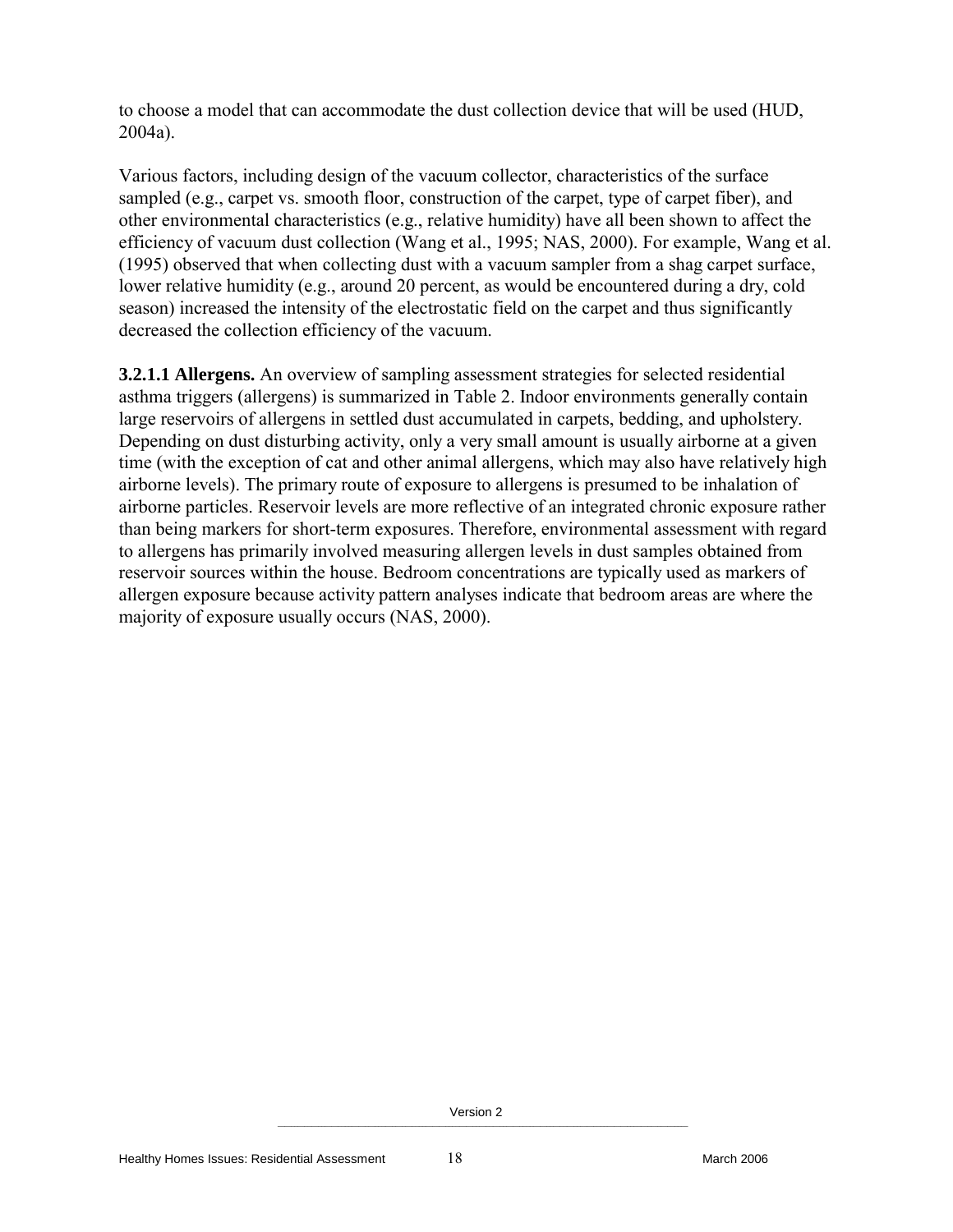to choose a model that can accommodate the dust collection device that will be used (HUD, 2004a).

Various factors, including design of the vacuum collector, characteristics of the surface sampled (e.g., carpet vs. smooth floor, construction of the carpet, type of carpet fiber), and other environmental characteristics (e.g., relative humidity) have all been shown to affect the efficiency of vacuum dust collection (Wang et al., 1995; NAS, 2000). For example, Wang et al. (1995) observed that when collecting dust with a vacuum sampler from a shag carpet surface, lower relative humidity (e.g., around 20 percent, as would be encountered during a dry, cold season) increased the intensity of the electrostatic field on the carpet and thus significantly decreased the collection efficiency of the vacuum.

**3.2.1.1 Allergens.** An overview of sampling assessment strategies for selected residential asthma triggers (allergens) is summarized in Table 2. Indoor environments generally contain large reservoirs of allergens in settled dust accumulated in carpets, bedding, and upholstery. Depending on dust disturbing activity, only a very small amount is usually airborne at a given time (with the exception of cat and other animal allergens, which may also have relatively high airborne levels). The primary route of exposure to allergens is presumed to be inhalation of airborne particles. Reservoir levels are more reflective of an integrated chronic exposure rather than being markers for short-term exposures. Therefore, environmental assessment with regard to allergens has primarily involved measuring allergen levels in dust samples obtained from reservoir sources within the house. Bedroom concentrations are typically used as markers of allergen exposure because activity pattern analyses indicate that bedroom areas are where the majority of exposure usually occurs (NAS, 2000).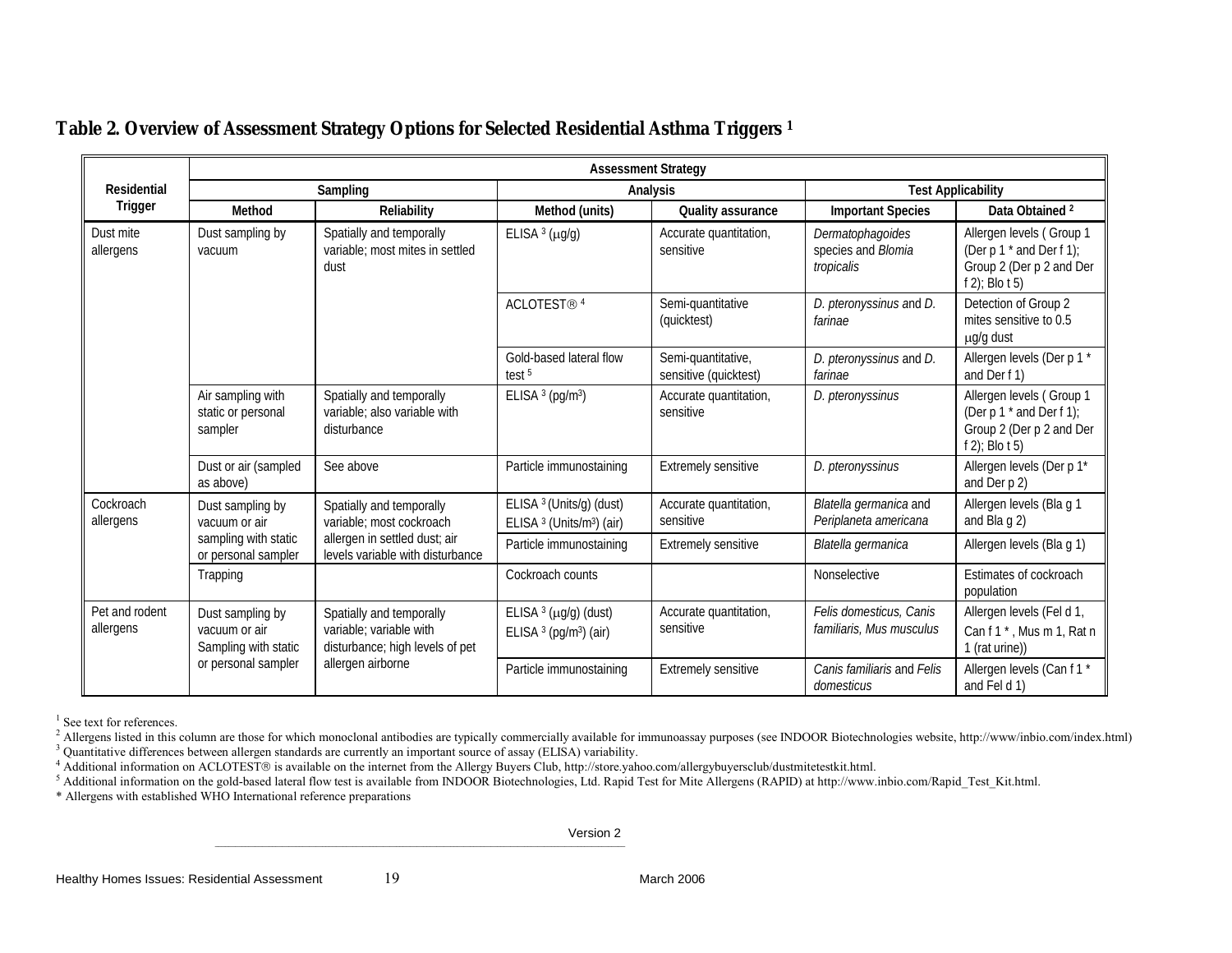|                             | <b>Assessment Strategy</b>                                |                                                                                        |                                                                     |                                             |                                                      |                                                                                                       |  |  |
|-----------------------------|-----------------------------------------------------------|----------------------------------------------------------------------------------------|---------------------------------------------------------------------|---------------------------------------------|------------------------------------------------------|-------------------------------------------------------------------------------------------------------|--|--|
| Residential                 | Sampling                                                  |                                                                                        |                                                                     | Analysis                                    |                                                      | <b>Test Applicability</b>                                                                             |  |  |
| Trigger                     | Method                                                    | Reliability                                                                            | Method (units)                                                      | Quality assurance                           | <b>Important Species</b>                             | Data Obtained <sup>2</sup>                                                                            |  |  |
| Dust mite<br>allergens      | Dust sampling by<br>vacuum                                | Spatially and temporally<br>variable; most mites in settled<br>dust                    | ELISA $3 \mu$ g/g)                                                  | Accurate quantitation,<br>sensitive         | Dermatophagoides<br>species and Blomia<br>tropicalis | Allergen levels (Group 1<br>(Der p 1 * and Der f 1);<br>Group 2 (Der p 2 and Der<br>f $2$ ); Blo t 5) |  |  |
|                             |                                                           |                                                                                        | ACLOTEST® <sup>4</sup>                                              | Semi-quantitative<br>(quicktest)            | D. pteronyssinus and D.<br>farinae                   | Detection of Group 2<br>mites sensitive to 0.5<br>µg/g dust                                           |  |  |
|                             |                                                           |                                                                                        | Gold-based lateral flow<br>test <sup>5</sup>                        | Semi-quantitative,<br>sensitive (quicktest) | D. pteronyssinus and D.<br>farinae                   | Allergen levels (Der p 1 *<br>and Der f 1)                                                            |  |  |
|                             | Air sampling with<br>static or personal<br>sampler        | Spatially and temporally<br>variable: also variable with<br>disturbance                | ELISA $3$ (pg/m <sup>3</sup> )                                      | Accurate quantitation,<br>sensitive         | D. pteronyssinus                                     | Allergen levels (Group 1<br>(Der p 1 * and Der f 1);<br>Group 2 (Der p 2 and Der<br>$f$ 2); Blo t 5)  |  |  |
|                             | Dust or air (sampled<br>as above)                         | See above                                                                              | Particle immunostaining                                             | Extremely sensitive                         | D. pteronyssinus                                     | Allergen levels (Der p 1*<br>and Der p 2)                                                             |  |  |
| Cockroach<br>allergens      | Dust sampling by<br>vacuum or air                         | Spatially and temporally<br>variable; most cockroach                                   | ELISA 3 (Units/g) (dust)<br>ELISA 3 (Units/m <sup>3</sup> ) (air)   | Accurate quantitation,<br>sensitive         | Blatella germanica and<br>Periplaneta americana      | Allergen levels (Bla g 1<br>and Bla g 2)                                                              |  |  |
|                             | sampling with static<br>or personal sampler               | allergen in settled dust; air<br>levels variable with disturbance                      | Particle immunostaining                                             | <b>Extremely sensitive</b>                  | Blatella germanica                                   | Allergen levels (Bla g 1)                                                                             |  |  |
|                             | Trapping                                                  |                                                                                        | Cockroach counts                                                    |                                             | Nonselective                                         | Estimates of cockroach<br>population                                                                  |  |  |
| Pet and rodent<br>allergens | Dust sampling by<br>vacuum or air<br>Sampling with static | Spatially and temporally<br>variable: variable with<br>disturbance; high levels of pet | ELISA $3$ ( $\mu$ g/g) (dust)<br>ELISA 3 (pg/m <sup>3</sup> ) (air) | Accurate quantitation,<br>sensitive         | Felis domesticus, Canis<br>familiaris, Mus musculus  | Allergen levels (Fel d 1,<br>Can f 1 *, Mus m 1, Rat n<br>1 (rat urine))                              |  |  |
|                             | or personal sampler<br>allergen airborne                  |                                                                                        | Particle immunostaining                                             | Extremely sensitive                         | Canis familiaris and Felis<br>domesticus             | Allergen levels (Can f 1 *<br>and Feld 1)                                                             |  |  |

### **Table 2. Overview of Assessment Strategy Options for Selected Residential Asthma Triggers 1**

<sup>1</sup> See text for references.

<sup>2</sup> Allergens listed in this column are those for which monoclonal antibodies are typically commercially available for immunoassay purposes (see INDOOR Biotechnologies website, http://www/inbio.com/index.html) <sup>3</sup> Quantitative differences between allergen standards are currently an important source of assay (ELISA) variability.

<sup>4</sup> Additional information on ACLOTEST® is available on the internet from the Allergy Buyers Club, http://store.yahoo.com/allergybuyersclub/dustmitetestkit.html.  $5$  Additional information on the gold based lateral flour

 $\_$  , and the state of the state of the state of the state of the state of the state of the state of the state of the state of the state of the state of the state of the state of the state of the state of the state of the

<sup>5</sup> Additional information on the gold-based lateral flow test is available from INDOOR Biotechnologies, Ltd. Rapid Test for Mite Allergens (RAPID) at http://www.inbio.com/Rapid\_Test\_Kit.html.

\* Allergens with established WHO International reference preparations

Version 2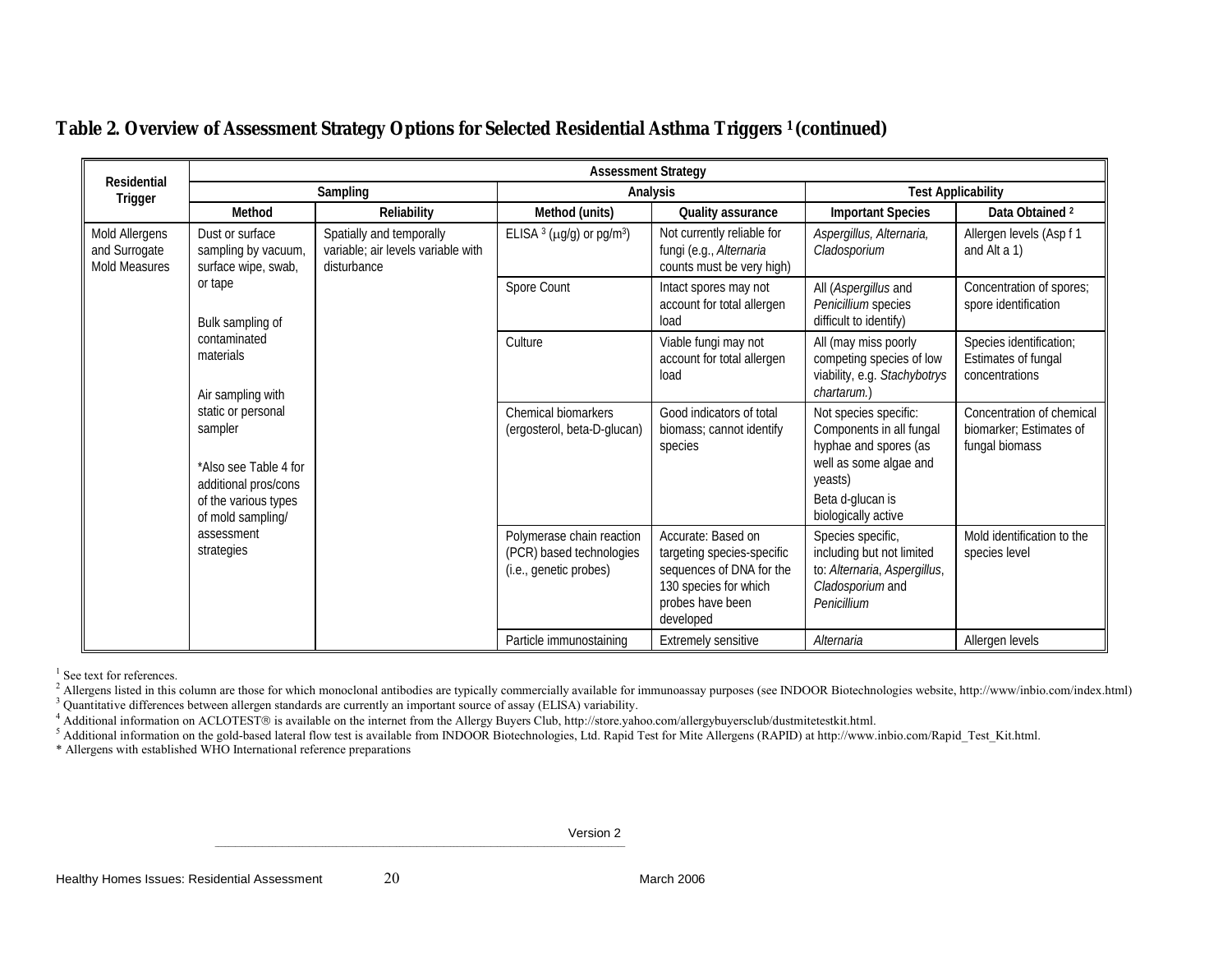| Residential<br>Trigger                                  | <b>Assessment Strategy</b>                                                                                                  |                                                                               |                                                                                 |                                                                                                                                        |                                                                                                                                                            |                                                                        |  |
|---------------------------------------------------------|-----------------------------------------------------------------------------------------------------------------------------|-------------------------------------------------------------------------------|---------------------------------------------------------------------------------|----------------------------------------------------------------------------------------------------------------------------------------|------------------------------------------------------------------------------------------------------------------------------------------------------------|------------------------------------------------------------------------|--|
|                                                         | Sampling                                                                                                                    |                                                                               | Analysis                                                                        |                                                                                                                                        | <b>Test Applicability</b>                                                                                                                                  |                                                                        |  |
|                                                         | Method                                                                                                                      | Reliability                                                                   | Method (units)                                                                  | Quality assurance                                                                                                                      | <b>Important Species</b>                                                                                                                                   | Data Obtained <sup>2</sup>                                             |  |
| Mold Allergens<br>and Surrogate<br><b>Mold Measures</b> | Dust or surface<br>sampling by vacuum,<br>surface wipe, swab,                                                               | Spatially and temporally<br>variable: air levels variable with<br>disturbance | ELISA $3 \text{ (µg/g)}$ or pg/m <sup>3</sup> )                                 | Not currently reliable for<br>fungi (e.g., Alternaria<br>counts must be very high)                                                     | Aspergillus, Alternaria,<br>Cladosporium                                                                                                                   | Allergen levels (Asp f 1<br>and Alt a 1)                               |  |
|                                                         | or tape<br>Bulk sampling of                                                                                                 |                                                                               | Spore Count                                                                     | Intact spores may not<br>account for total allergen<br>load                                                                            | All (Aspergillus and<br>Penicillium species<br>difficult to identify)                                                                                      | Concentration of spores;<br>spore identification                       |  |
|                                                         | contaminated<br>materials<br>Air sampling with                                                                              |                                                                               | Culture                                                                         | Viable fungi may not<br>account for total allergen<br>load                                                                             | All (may miss poorly<br>competing species of low<br>viability, e.g. Stachybotrys<br>chartarum.)                                                            | Species identification;<br>Estimates of fungal<br>concentrations       |  |
|                                                         | static or personal<br>sampler<br>*Also see Table 4 for<br>additional pros/cons<br>of the various types<br>of mold sampling/ |                                                                               | Chemical biomarkers<br>(ergosterol, beta-D-glucan)                              | Good indicators of total<br>biomass; cannot identify<br>species                                                                        | Not species specific:<br>Components in all fungal<br>hyphae and spores (as<br>well as some algae and<br>yeasts)<br>Beta d-glucan is<br>biologically active | Concentration of chemical<br>biomarker; Estimates of<br>fungal biomass |  |
|                                                         | assessment<br>strategies                                                                                                    |                                                                               | Polymerase chain reaction<br>(PCR) based technologies<br>(i.e., genetic probes) | Accurate: Based on<br>targeting species-specific<br>sequences of DNA for the<br>130 species for which<br>probes have been<br>developed | Species specific,<br>including but not limited<br>to: Alternaria, Aspergillus,<br>Cladosporium and<br>Penicillium                                          | Mold identification to the<br>species level                            |  |
|                                                         |                                                                                                                             |                                                                               | Particle immunostaining                                                         | Extremely sensitive                                                                                                                    | Alternaria                                                                                                                                                 | Allergen levels                                                        |  |

#### **Table 2. Overview of Assessment Strategy Options for Selected Residential Asthma Triggers 1 (continued)**

<sup>1</sup> See text for references.

<sup>2</sup> Allergens listed in this column are those for which monoclonal antibodies are typically commercially available for immunoassay purposes (see INDOOR Biotechnologies website, http://www/inbio.com/index.html) <sup>3</sup> Quantitative differences between allergen standards are currently an important source of assay (ELISA) variability.

<sup>4</sup> Additional information on ACLOTEST® is available on the internet from the Allergy Buyers Club, http://store.yahoo.com/allergybuyersclub/dustmitetestkit.html.  $5$  Additional information on the gold based lateral flour

 $\_$  , and the state of the state of the state of the state of the state of the state of the state of the state of the state of the state of the state of the state of the state of the state of the state of the state of the

<sup>5</sup> Additional information on the gold-based lateral flow test is available from INDOOR Biotechnologies, Ltd. Rapid Test for Mite Allergens (RAPID) at http://www.inbio.com/Rapid\_Test\_Kit.html.

\* Allergens with established WHO International reference preparations

Version 2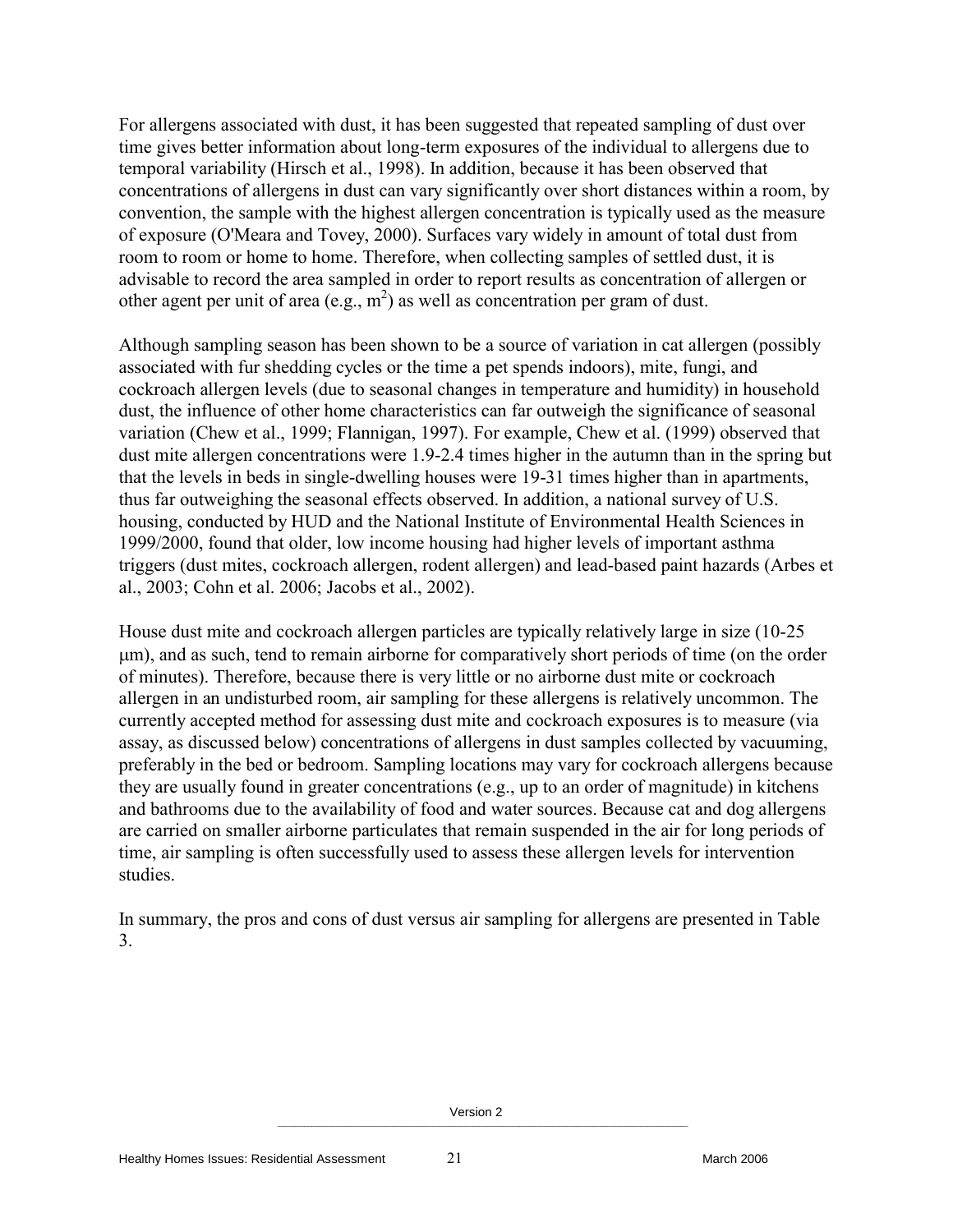For allergens associated with dust, it has been suggested that repeated sampling of dust over time gives better information about long-term exposures of the individual to allergens due to temporal variability (Hirsch et al., 1998). In addition, because it has been observed that concentrations of allergens in dust can vary significantly over short distances within a room, by convention, the sample with the highest allergen concentration is typically used as the measure of exposure (O'Meara and Tovey, 2000). Surfaces vary widely in amount of total dust from room to room or home to home. Therefore, when collecting samples of settled dust, it is advisable to record the area sampled in order to report results as concentration of allergen or other agent per unit of area (e.g.,  $m^2$ ) as well as concentration per gram of dust.

Although sampling season has been shown to be a source of variation in cat allergen (possibly associated with fur shedding cycles or the time a pet spends indoors), mite, fungi, and cockroach allergen levels (due to seasonal changes in temperature and humidity) in household dust, the influence of other home characteristics can far outweigh the significance of seasonal variation (Chew et al., 1999; Flannigan, 1997). For example, Chew et al. (1999) observed that dust mite allergen concentrations were 1.9-2.4 times higher in the autumn than in the spring but that the levels in beds in single-dwelling houses were 19-31 times higher than in apartments, thus far outweighing the seasonal effects observed. In addition, a national survey of U.S. housing, conducted by HUD and the National Institute of Environmental Health Sciences in 1999/2000, found that older, low income housing had higher levels of important asthma triggers (dust mites, cockroach allergen, rodent allergen) and lead-based paint hazards (Arbes et al., 2003; Cohn et al. 2006; Jacobs et al., 2002).

House dust mite and cockroach allergen particles are typically relatively large in size (10-25 m), and as such, tend to remain airborne for comparatively short periods of time (on the order of minutes). Therefore, because there is very little or no airborne dust mite or cockroach allergen in an undisturbed room, air sampling for these allergens is relatively uncommon. The currently accepted method for assessing dust mite and cockroach exposures is to measure (via assay, as discussed below) concentrations of allergens in dust samples collected by vacuuming, preferably in the bed or bedroom. Sampling locations may vary for cockroach allergens because they are usually found in greater concentrations (e.g., up to an order of magnitude) in kitchens and bathrooms due to the availability of food and water sources. Because cat and dog allergens are carried on smaller airborne particulates that remain suspended in the air for long periods of time, air sampling is often successfully used to assess these allergen levels for intervention studies.

In summary, the pros and cons of dust versus air sampling for allergens are presented in Table 3.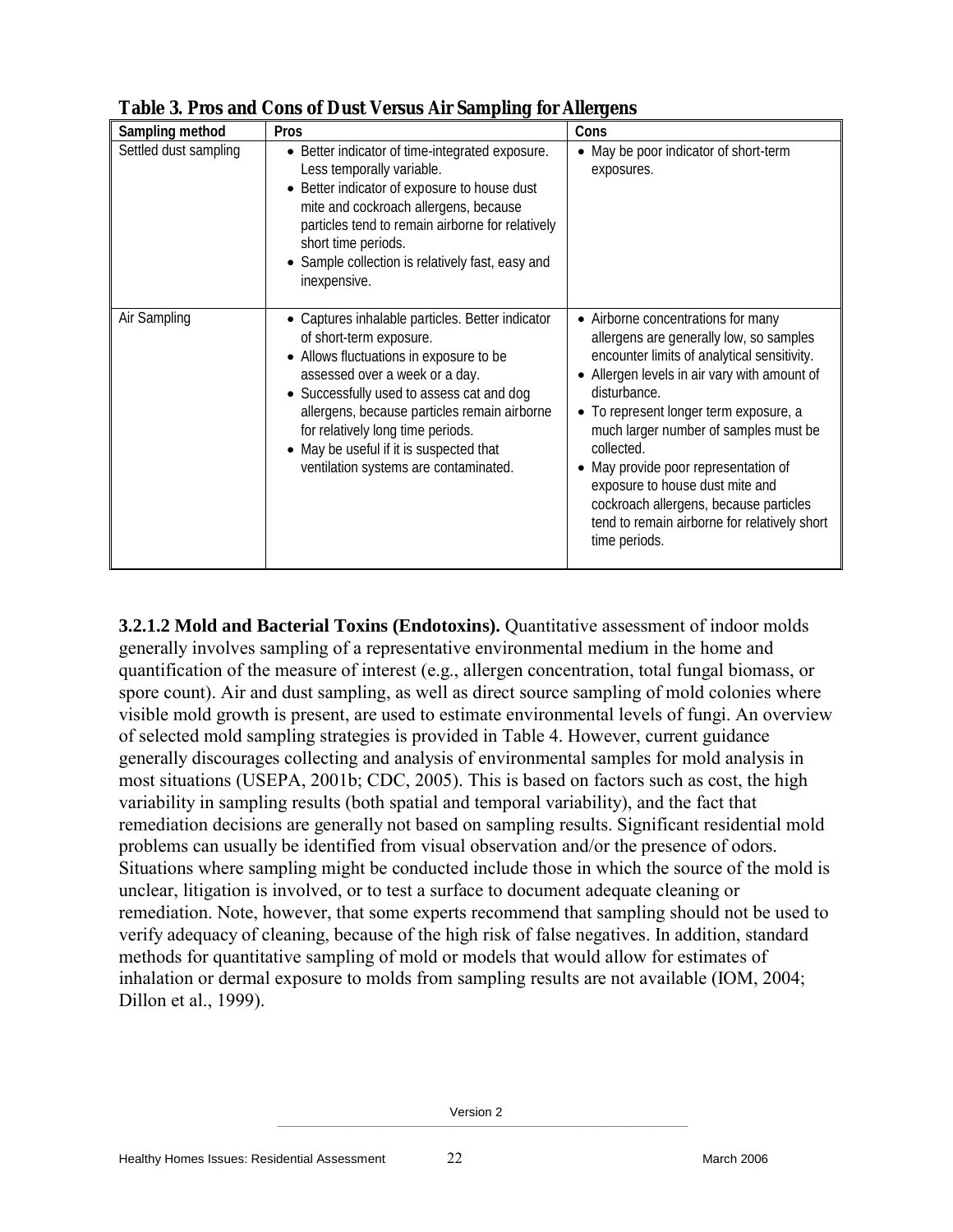| Table 3. Pros and Cons of Dust Versus Air Sampling for Allergens |
|------------------------------------------------------------------|
|------------------------------------------------------------------|

| Sampling method       | Pros                                                                                                                                                                                                                                                                                                                                                                           | Cons                                                                                                                                                                                                                                                                                                                                                                                                                                                                              |
|-----------------------|--------------------------------------------------------------------------------------------------------------------------------------------------------------------------------------------------------------------------------------------------------------------------------------------------------------------------------------------------------------------------------|-----------------------------------------------------------------------------------------------------------------------------------------------------------------------------------------------------------------------------------------------------------------------------------------------------------------------------------------------------------------------------------------------------------------------------------------------------------------------------------|
| Settled dust sampling | • Better indicator of time-integrated exposure.<br>Less temporally variable.<br>• Better indicator of exposure to house dust<br>mite and cockroach allergens, because<br>particles tend to remain airborne for relatively<br>short time periods.<br>• Sample collection is relatively fast, easy and<br>inexpensive.                                                           | • May be poor indicator of short-term<br>exposures.                                                                                                                                                                                                                                                                                                                                                                                                                               |
| Air Sampling          | • Captures inhalable particles. Better indicator<br>of short-term exposure.<br>• Allows fluctuations in exposure to be<br>assessed over a week or a day.<br>• Successfully used to assess cat and dog<br>allergens, because particles remain airborne<br>for relatively long time periods.<br>• May be useful if it is suspected that<br>ventilation systems are contaminated. | • Airborne concentrations for many<br>allergens are generally low, so samples<br>encounter limits of analytical sensitivity.<br>• Allergen levels in air vary with amount of<br>disturbance.<br>• To represent longer term exposure, a<br>much larger number of samples must be<br>collected.<br>May provide poor representation of<br>exposure to house dust mite and<br>cockroach allergens, because particles<br>tend to remain airborne for relatively short<br>time periods. |

**3.2.1.2 Mold and Bacterial Toxins (Endotoxins).** Quantitative assessment of indoor molds generally involves sampling of a representative environmental medium in the home and quantification of the measure of interest (e.g., allergen concentration, total fungal biomass, or spore count). Air and dust sampling, as well as direct source sampling of mold colonies where visible mold growth is present, are used to estimate environmental levels of fungi. An overview of selected mold sampling strategies is provided in Table 4. However, current guidance generally discourages collecting and analysis of environmental samples for mold analysis in most situations (USEPA, 2001b; CDC, 2005). This is based on factors such as cost, the high variability in sampling results (both spatial and temporal variability), and the fact that remediation decisions are generally not based on sampling results. Significant residential mold problems can usually be identified from visual observation and/or the presence of odors. Situations where sampling might be conducted include those in which the source of the mold is unclear, litigation is involved, or to test a surface to document adequate cleaning or remediation. Note, however, that some experts recommend that sampling should not be used to verify adequacy of cleaning, because of the high risk of false negatives. In addition, standard methods for quantitative sampling of mold or models that would allow for estimates of inhalation or dermal exposure to molds from sampling results are not available (IOM, 2004; Dillon et al., 1999).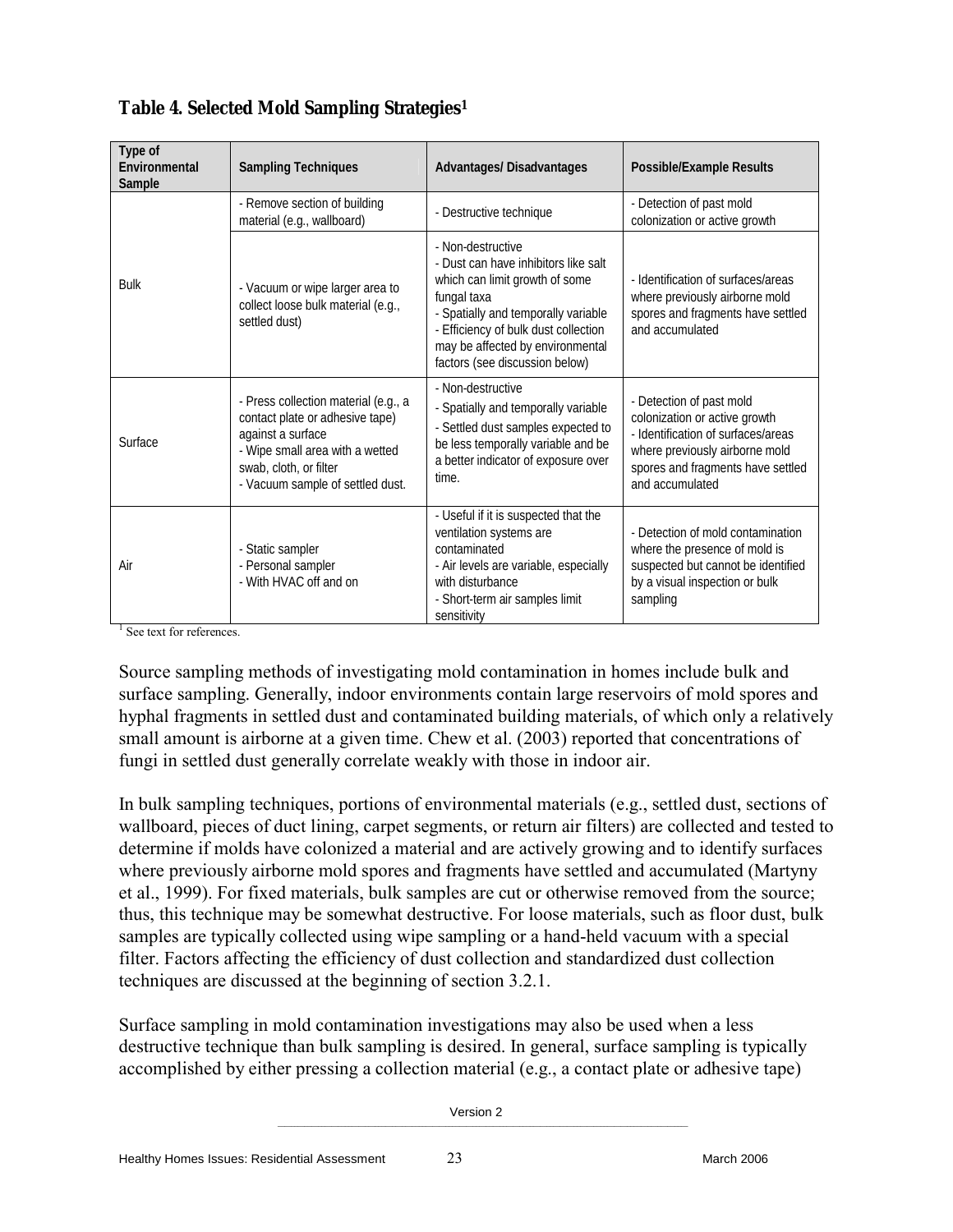| Type of<br>Environmental<br>Sample | Sampling Techniques                                                                                                                                                                           | Advantages/Disadvantages                                                                                                                                                                                                                                        | Possible/Example Results                                                                                                                                                                  |
|------------------------------------|-----------------------------------------------------------------------------------------------------------------------------------------------------------------------------------------------|-----------------------------------------------------------------------------------------------------------------------------------------------------------------------------------------------------------------------------------------------------------------|-------------------------------------------------------------------------------------------------------------------------------------------------------------------------------------------|
|                                    | - Remove section of building<br>material (e.g., wallboard)                                                                                                                                    | - Destructive technique                                                                                                                                                                                                                                         | - Detection of past mold<br>colonization or active growth                                                                                                                                 |
| <b>Bulk</b>                        | - Vacuum or wipe larger area to<br>collect loose bulk material (e.g.,<br>settled dust)                                                                                                        | - Non-destructive<br>- Dust can have inhibitors like salt<br>which can limit growth of some<br>fungal taxa<br>- Spatially and temporally variable<br>- Efficiency of bulk dust collection<br>may be affected by environmental<br>factors (see discussion below) | - Identification of surfaces/areas<br>where previously airborne mold<br>spores and fragments have settled<br>and accumulated                                                              |
| Surface                            | - Press collection material (e.g., a<br>contact plate or adhesive tape)<br>against a surface<br>- Wipe small area with a wetted<br>swab, cloth, or filter<br>- Vacuum sample of settled dust. | - Non-destructive<br>- Spatially and temporally variable<br>- Settled dust samples expected to<br>be less temporally variable and be<br>a better indicator of exposure over<br>time.                                                                            | - Detection of past mold<br>colonization or active growth<br>- Identification of surfaces/areas<br>where previously airborne mold<br>spores and fragments have settled<br>and accumulated |
| Air                                | - Static sampler<br>- Personal sampler<br>- With HVAC off and on                                                                                                                              | - Useful if it is suspected that the<br>ventilation systems are<br>contaminated<br>- Air levels are variable, especially<br>with disturbance<br>- Short-term air samples limit<br>sensitivity                                                                   | - Detection of mold contamination<br>where the presence of mold is<br>suspected but cannot be identified<br>by a visual inspection or bulk<br>sampling                                    |

## **Table 4. Selected Mold Sampling Strategies1**

<sup>1</sup> See text for references.

Source sampling methods of investigating mold contamination in homes include bulk and surface sampling. Generally, indoor environments contain large reservoirs of mold spores and hyphal fragments in settled dust and contaminated building materials, of which only a relatively small amount is airborne at a given time. Chew et al. (2003) reported that concentrations of fungi in settled dust generally correlate weakly with those in indoor air.

In bulk sampling techniques, portions of environmental materials (e.g., settled dust, sections of wallboard, pieces of duct lining, carpet segments, or return air filters) are collected and tested to determine if molds have colonized a material and are actively growing and to identify surfaces where previously airborne mold spores and fragments have settled and accumulated (Martyny et al., 1999). For fixed materials, bulk samples are cut or otherwise removed from the source; thus, this technique may be somewhat destructive. For loose materials, such as floor dust, bulk samples are typically collected using wipe sampling or a hand-held vacuum with a special filter. Factors affecting the efficiency of dust collection and standardized dust collection techniques are discussed at the beginning of section 3.2.1.

Surface sampling in mold contamination investigations may also be used when a less destructive technique than bulk sampling is desired. In general, surface sampling is typically accomplished by either pressing a collection material (e.g., a contact plate or adhesive tape)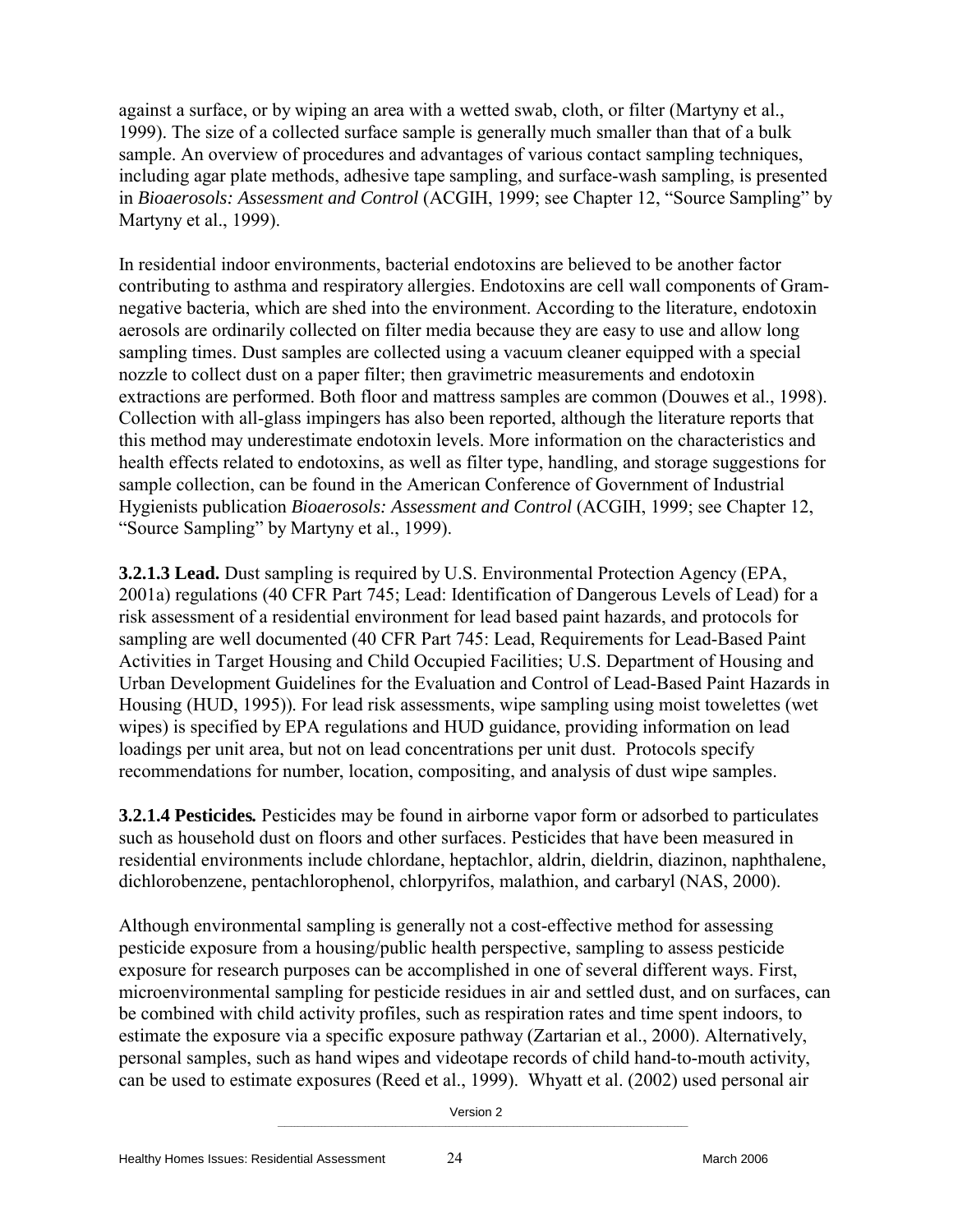against a surface, or by wiping an area with a wetted swab, cloth, or filter (Martyny et al., 1999). The size of a collected surface sample is generally much smaller than that of a bulk sample. An overview of procedures and advantages of various contact sampling techniques, including agar plate methods, adhesive tape sampling, and surface-wash sampling, is presented in *Bioaerosols: Assessment and Control* (ACGIH, 1999; see Chapter 12, "Source Sampling" by Martyny et al., 1999).

In residential indoor environments, bacterial endotoxins are believed to be another factor contributing to asthma and respiratory allergies. Endotoxins are cell wall components of Gramnegative bacteria, which are shed into the environment. According to the literature, endotoxin aerosols are ordinarily collected on filter media because they are easy to use and allow long sampling times. Dust samples are collected using a vacuum cleaner equipped with a special nozzle to collect dust on a paper filter; then gravimetric measurements and endotoxin extractions are performed. Both floor and mattress samples are common (Douwes et al., 1998). Collection with all-glass impingers has also been reported, although the literature reports that this method may underestimate endotoxin levels. More information on the characteristics and health effects related to endotoxins, as well as filter type, handling, and storage suggestions for sample collection, can be found in the American Conference of Government of Industrial Hygienists publication *Bioaerosols: Assessment and Control* (ACGIH, 1999; see Chapter 12, "Source Sampling" by Martyny et al., 1999).

**3.2.1.3 Lead.** Dust sampling is required by U.S. Environmental Protection Agency (EPA, 2001a) regulations (40 CFR Part 745; Lead: Identification of Dangerous Levels of Lead) for a risk assessment of a residential environment for lead based paint hazards, and protocols for sampling are well documented (40 CFR Part 745: Lead, Requirements for Lead-Based Paint Activities in Target Housing and Child Occupied Facilities; U.S. Department of Housing and Urban Development Guidelines for the Evaluation and Control of Lead-Based Paint Hazards in Housing (HUD, 1995)). For lead risk assessments, wipe sampling using moist towelettes (wet wipes) is specified by EPA regulations and HUD guidance, providing information on lead loadings per unit area, but not on lead concentrations per unit dust. Protocols specify recommendations for number, location, compositing, and analysis of dust wipe samples.

**3.2.1.4 Pesticides***.* Pesticides may be found in airborne vapor form or adsorbed to particulates such as household dust on floors and other surfaces. Pesticides that have been measured in residential environments include chlordane, heptachlor, aldrin, dieldrin, diazinon, naphthalene, dichlorobenzene, pentachlorophenol, chlorpyrifos, malathion, and carbaryl (NAS, 2000).

Although environmental sampling is generally not a cost-effective method for assessing pesticide exposure from a housing/public health perspective, sampling to assess pesticide exposure for research purposes can be accomplished in one of several different ways. First, microenvironmental sampling for pesticide residues in air and settled dust, and on surfaces, can be combined with child activity profiles, such as respiration rates and time spent indoors, to estimate the exposure via a specific exposure pathway (Zartarian et al., 2000). Alternatively, personal samples, such as hand wipes and videotape records of child hand-to-mouth activity, can be used to estimate exposures (Reed et al., 1999). Whyatt et al. (2002) used personal air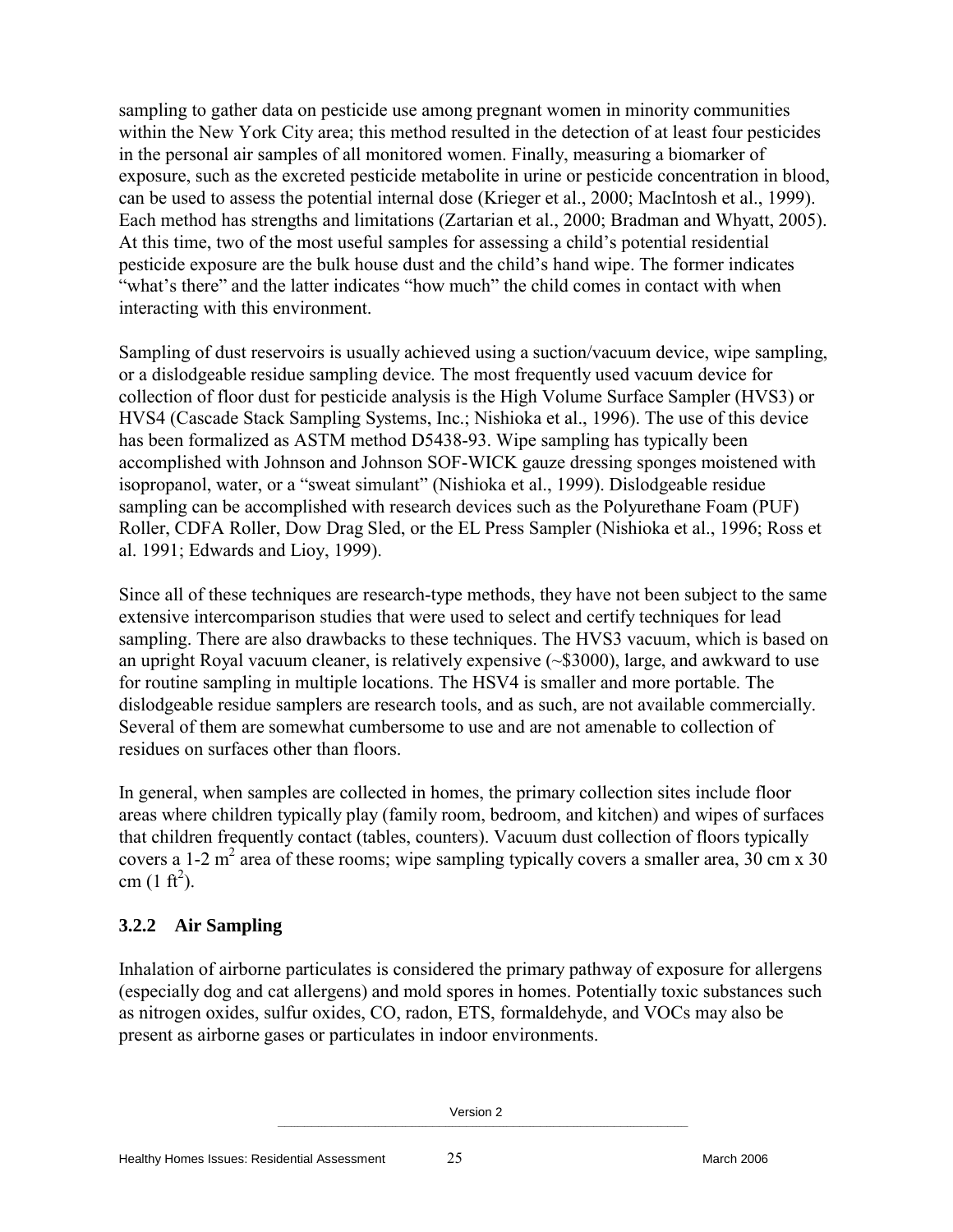sampling to gather data on pesticide use among pregnant women in minority communities within the New York City area; this method resulted in the detection of at least four pesticides in the personal air samples of all monitored women. Finally, measuring a biomarker of exposure, such as the excreted pesticide metabolite in urine or pesticide concentration in blood, can be used to assess the potential internal dose (Krieger et al., 2000; MacIntosh et al., 1999). Each method has strengths and limitations (Zartarian et al., 2000; Bradman and Whyatt, 2005). At this time, two of the most useful samples for assessing a child's potential residential pesticide exposure are the bulk house dust and the child's hand wipe. The former indicates "what's there" and the latter indicates "how much" the child comes in contact with when interacting with this environment.

Sampling of dust reservoirs is usually achieved using a suction/vacuum device, wipe sampling, or a dislodgeable residue sampling device. The most frequently used vacuum device for collection of floor dust for pesticide analysis is the High Volume Surface Sampler (HVS3) or HVS4 (Cascade Stack Sampling Systems, Inc.; Nishioka et al., 1996). The use of this device has been formalized as ASTM method D5438-93. Wipe sampling has typically been accomplished with Johnson and Johnson SOF-WICK gauze dressing sponges moistened with isopropanol, water, or a "sweat simulant" (Nishioka et al., 1999). Dislodgeable residue sampling can be accomplished with research devices such as the Polyurethane Foam (PUF) Roller, CDFA Roller, Dow Drag Sled, or the EL Press Sampler (Nishioka et al., 1996; Ross et al. 1991; Edwards and Lioy, 1999).

Since all of these techniques are research-type methods, they have not been subject to the same extensive intercomparison studies that were used to select and certify techniques for lead sampling. There are also drawbacks to these techniques. The HVS3 vacuum, which is based on an upright Royal vacuum cleaner, is relatively expensive (~\$3000), large, and awkward to use for routine sampling in multiple locations. The HSV4 is smaller and more portable. The dislodgeable residue samplers are research tools, and as such, are not available commercially. Several of them are somewhat cumbersome to use and are not amenable to collection of residues on surfaces other than floors.

In general, when samples are collected in homes, the primary collection sites include floor areas where children typically play (family room, bedroom, and kitchen) and wipes of surfaces that children frequently contact (tables, counters). Vacuum dust collection of floors typically covers a 1-2  $m^2$  area of these rooms; wipe sampling typically covers a smaller area, 30 cm x 30  $cm (1 ft<sup>2</sup>)$ .

#### **3.2.2 Air Sampling**

Inhalation of airborne particulates is considered the primary pathway of exposure for allergens (especially dog and cat allergens) and mold spores in homes. Potentially toxic substances such as nitrogen oxides, sulfur oxides, CO, radon, ETS, formaldehyde, and VOCs may also be present as airborne gases or particulates in indoor environments.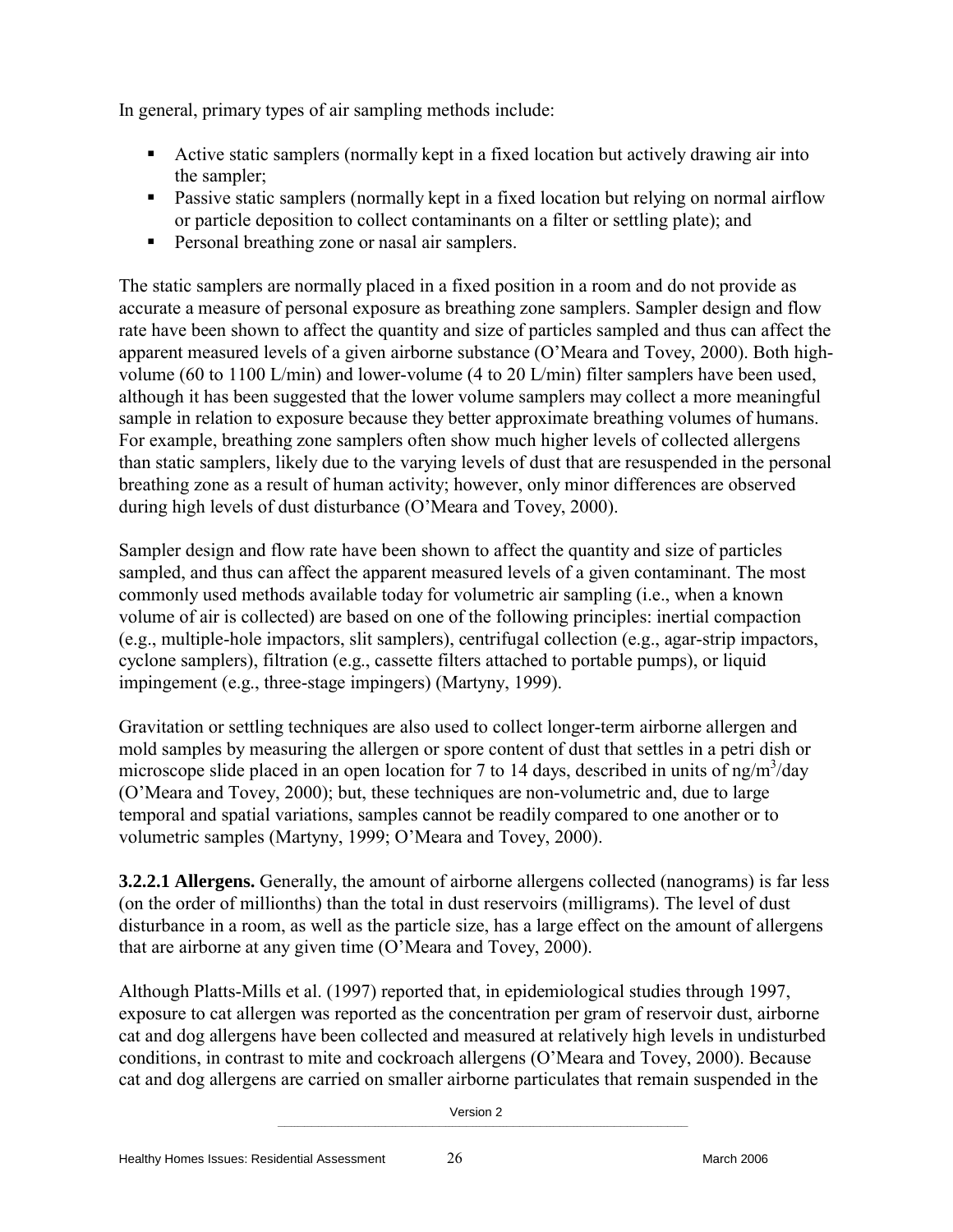In general, primary types of air sampling methods include:

- Active static samplers (normally kept in a fixed location but actively drawing air into the sampler;
- Passive static samplers (normally kept in a fixed location but relying on normal airflow or particle deposition to collect contaminants on a filter or settling plate); and
- **Personal breathing zone or nasal air samplers.**

The static samplers are normally placed in a fixed position in a room and do not provide as accurate a measure of personal exposure as breathing zone samplers. Sampler design and flow rate have been shown to affect the quantity and size of particles sampled and thus can affect the apparent measured levels of a given airborne substance (O'Meara and Tovey, 2000). Both highvolume (60 to 1100 L/min) and lower-volume (4 to 20 L/min) filter samplers have been used, although it has been suggested that the lower volume samplers may collect a more meaningful sample in relation to exposure because they better approximate breathing volumes of humans. For example, breathing zone samplers often show much higher levels of collected allergens than static samplers, likely due to the varying levels of dust that are resuspended in the personal breathing zone as a result of human activity; however, only minor differences are observed during high levels of dust disturbance (O'Meara and Tovey, 2000).

Sampler design and flow rate have been shown to affect the quantity and size of particles sampled, and thus can affect the apparent measured levels of a given contaminant. The most commonly used methods available today for volumetric air sampling (i.e., when a known volume of air is collected) are based on one of the following principles: inertial compaction (e.g., multiple-hole impactors, slit samplers), centrifugal collection (e.g., agar-strip impactors, cyclone samplers), filtration (e.g., cassette filters attached to portable pumps), or liquid impingement (e.g., three-stage impingers) (Martyny, 1999).

Gravitation or settling techniques are also used to collect longer-term airborne allergen and mold samples by measuring the allergen or spore content of dust that settles in a petri dish or microscope slide placed in an open location for 7 to 14 days, described in units of ng/m<sup>3</sup>/day (O'Meara and Tovey, 2000); but, these techniques are non-volumetric and, due to large temporal and spatial variations, samples cannot be readily compared to one another or to volumetric samples (Martyny, 1999; O'Meara and Tovey, 2000).

**3.2.2.1 Allergens.** Generally, the amount of airborne allergens collected (nanograms) is far less (on the order of millionths) than the total in dust reservoirs (milligrams). The level of dust disturbance in a room, as well as the particle size, has a large effect on the amount of allergens that are airborne at any given time (O'Meara and Tovey, 2000).

Although Platts-Mills et al. (1997) reported that, in epidemiological studies through 1997, exposure to cat allergen was reported as the concentration per gram of reservoir dust, airborne cat and dog allergens have been collected and measured at relatively high levels in undisturbed conditions, in contrast to mite and cockroach allergens (O'Meara and Tovey, 2000). Because cat and dog allergens are carried on smaller airborne particulates that remain suspended in the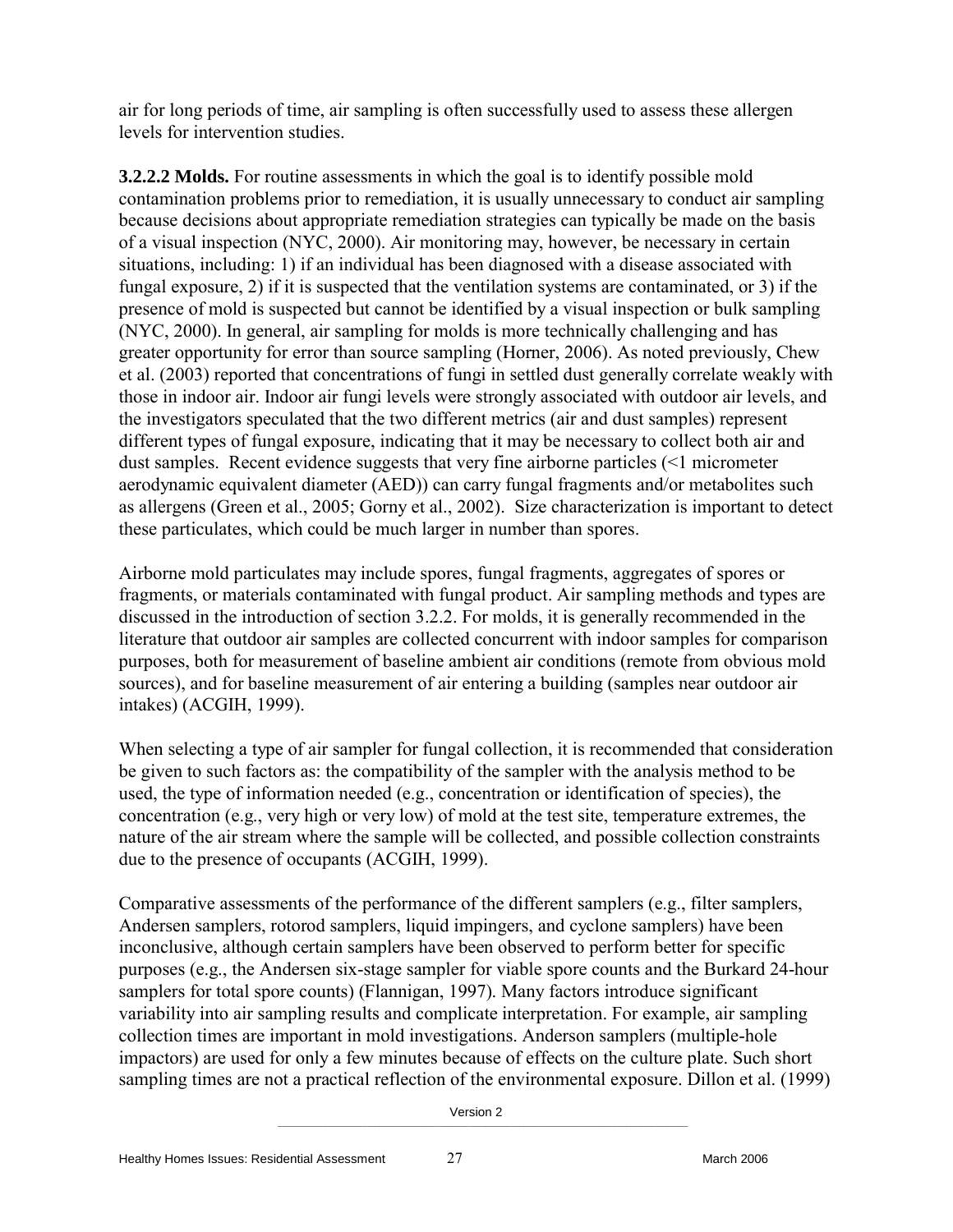air for long periods of time, air sampling is often successfully used to assess these allergen levels for intervention studies.

**3.2.2.2 Molds.** For routine assessments in which the goal is to identify possible mold contamination problems prior to remediation, it is usually unnecessary to conduct air sampling because decisions about appropriate remediation strategies can typically be made on the basis of a visual inspection (NYC, 2000). Air monitoring may, however, be necessary in certain situations, including: 1) if an individual has been diagnosed with a disease associated with fungal exposure, 2) if it is suspected that the ventilation systems are contaminated, or 3) if the presence of mold is suspected but cannot be identified by a visual inspection or bulk sampling (NYC, 2000). In general, air sampling for molds is more technically challenging and has greater opportunity for error than source sampling (Horner, 2006). As noted previously, Chew et al. (2003) reported that concentrations of fungi in settled dust generally correlate weakly with those in indoor air. Indoor air fungi levels were strongly associated with outdoor air levels, and the investigators speculated that the two different metrics (air and dust samples) represent different types of fungal exposure, indicating that it may be necessary to collect both air and dust samples. Recent evidence suggests that very fine airborne particles (<1 micrometer aerodynamic equivalent diameter (AED)) can carry fungal fragments and/or metabolites such as allergens (Green et al., 2005; Gorny et al., 2002). Size characterization is important to detect these particulates, which could be much larger in number than spores.

Airborne mold particulates may include spores, fungal fragments, aggregates of spores or fragments, or materials contaminated with fungal product. Air sampling methods and types are discussed in the introduction of section 3.2.2. For molds, it is generally recommended in the literature that outdoor air samples are collected concurrent with indoor samples for comparison purposes, both for measurement of baseline ambient air conditions (remote from obvious mold sources), and for baseline measurement of air entering a building (samples near outdoor air intakes) (ACGIH, 1999).

When selecting a type of air sampler for fungal collection, it is recommended that consideration be given to such factors as: the compatibility of the sampler with the analysis method to be used, the type of information needed (e.g., concentration or identification of species), the concentration (e.g., very high or very low) of mold at the test site, temperature extremes, the nature of the air stream where the sample will be collected, and possible collection constraints due to the presence of occupants (ACGIH, 1999).

Comparative assessments of the performance of the different samplers (e.g., filter samplers, Andersen samplers, rotorod samplers, liquid impingers, and cyclone samplers) have been inconclusive, although certain samplers have been observed to perform better for specific purposes (e.g., the Andersen six-stage sampler for viable spore counts and the Burkard 24-hour samplers for total spore counts) (Flannigan, 1997). Many factors introduce significant variability into air sampling results and complicate interpretation. For example, air sampling collection times are important in mold investigations. Anderson samplers (multiple-hole impactors) are used for only a few minutes because of effects on the culture plate. Such short sampling times are not a practical reflection of the environmental exposure. Dillon et al. (1999)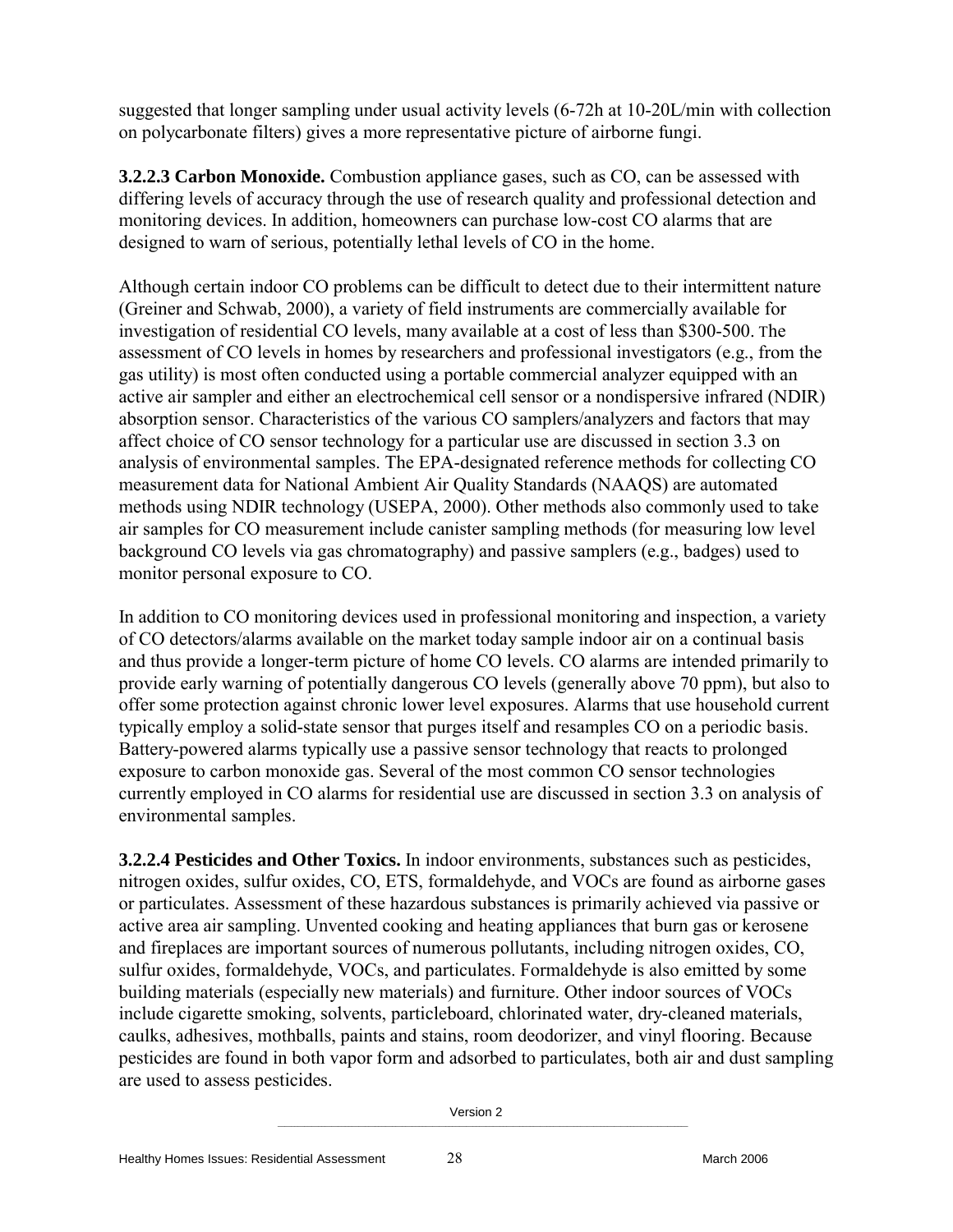suggested that longer sampling under usual activity levels (6-72h at 10-20L/min with collection on polycarbonate filters) gives a more representative picture of airborne fungi.

**3.2.2.3 Carbon Monoxide.** Combustion appliance gases, such as CO, can be assessed with differing levels of accuracy through the use of research quality and professional detection and monitoring devices. In addition, homeowners can purchase low-cost CO alarms that are designed to warn of serious, potentially lethal levels of CO in the home.

Although certain indoor CO problems can be difficult to detect due to their intermittent nature (Greiner and Schwab, 2000), a variety of field instruments are commercially available for investigation of residential CO levels, many available at a cost of less than \$300-500. The assessment of CO levels in homes by researchers and professional investigators (e.g., from the gas utility) is most often conducted using a portable commercial analyzer equipped with an active air sampler and either an electrochemical cell sensor or a nondispersive infrared (NDIR) absorption sensor. Characteristics of the various CO samplers/analyzers and factors that may affect choice of CO sensor technology for a particular use are discussed in section 3.3 on analysis of environmental samples. The EPA-designated reference methods for collecting CO measurement data for National Ambient Air Quality Standards (NAAQS) are automated methods using NDIR technology (USEPA, 2000). Other methods also commonly used to take air samples for CO measurement include canister sampling methods (for measuring low level background CO levels via gas chromatography) and passive samplers (e.g., badges) used to monitor personal exposure to CO.

In addition to CO monitoring devices used in professional monitoring and inspection, a variety of CO detectors/alarms available on the market today sample indoor air on a continual basis and thus provide a longer-term picture of home CO levels. CO alarms are intended primarily to provide early warning of potentially dangerous CO levels (generally above 70 ppm), but also to offer some protection against chronic lower level exposures. Alarms that use household current typically employ a solid-state sensor that purges itself and resamples CO on a periodic basis. Battery-powered alarms typically use a passive sensor technology that reacts to prolonged exposure to carbon monoxide gas. Several of the most common CO sensor technologies currently employed in CO alarms for residential use are discussed in section 3.3 on analysis of environmental samples.

**3.2.2.4 Pesticides and Other Toxics.** In indoor environments, substances such as pesticides, nitrogen oxides, sulfur oxides, CO, ETS, formaldehyde, and VOCs are found as airborne gases or particulates. Assessment of these hazardous substances is primarily achieved via passive or active area air sampling. Unvented cooking and heating appliances that burn gas or kerosene and fireplaces are important sources of numerous pollutants, including nitrogen oxides, CO, sulfur oxides, formaldehyde, VOCs, and particulates. Formaldehyde is also emitted by some building materials (especially new materials) and furniture. Other indoor sources of VOCs include cigarette smoking, solvents, particleboard, chlorinated water, dry-cleaned materials, caulks, adhesives, mothballs, paints and stains, room deodorizer, and vinyl flooring. Because pesticides are found in both vapor form and adsorbed to particulates, both air and dust sampling are used to assess pesticides.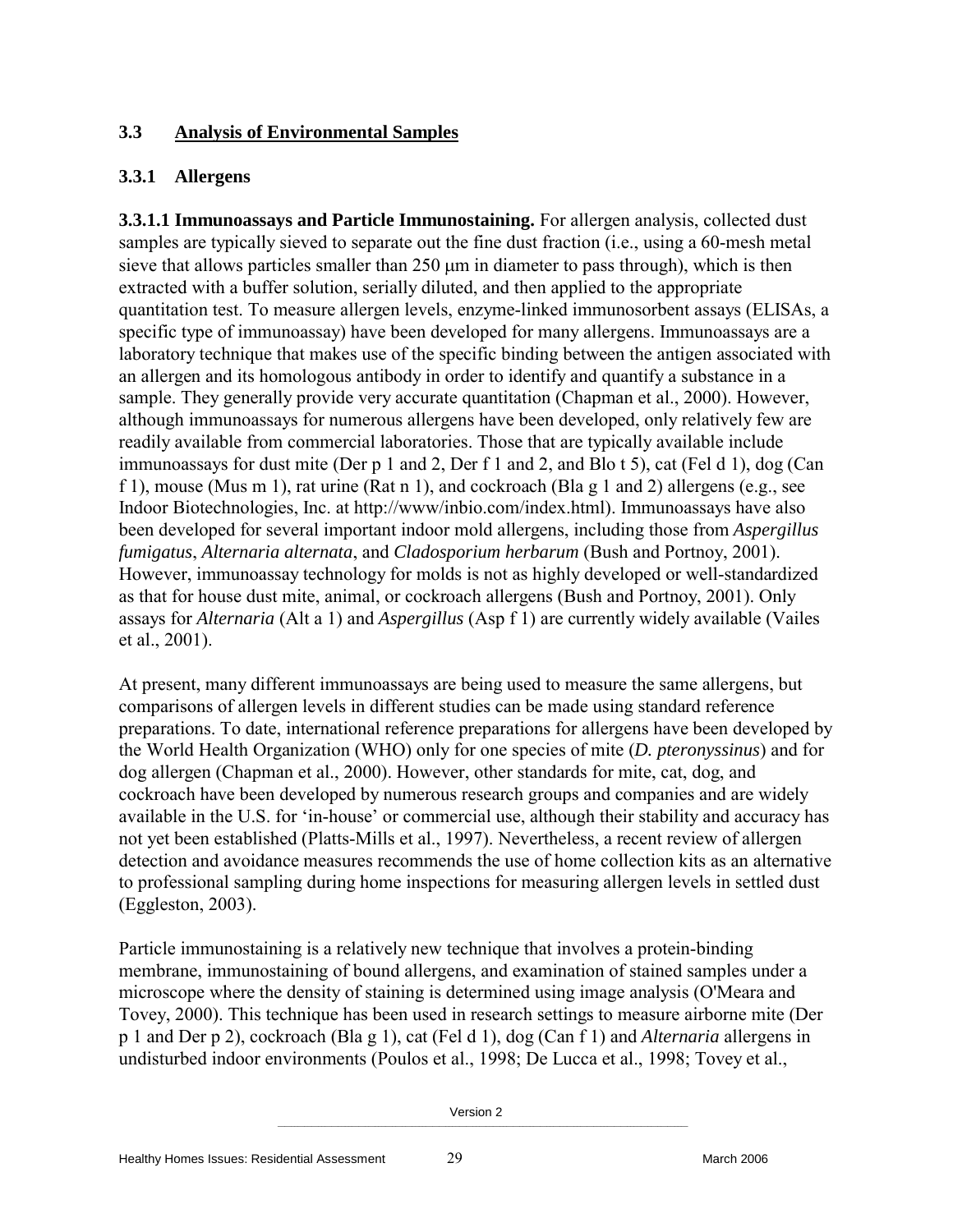### **3.3 Analysis of Environmental Samples**

## **3.3.1 Allergens**

**3.3.1.1 Immunoassays and Particle Immunostaining.** For allergen analysis, collected dust samples are typically sieved to separate out the fine dust fraction (i.e., using a 60-mesh metal sieve that allows particles smaller than  $250 \mu m$  in diameter to pass through), which is then extracted with a buffer solution, serially diluted, and then applied to the appropriate quantitation test. To measure allergen levels, enzyme-linked immunosorbent assays (ELISAs, a specific type of immunoassay) have been developed for many allergens. Immunoassays are a laboratory technique that makes use of the specific binding between the antigen associated with an allergen and its homologous antibody in order to identify and quantify a substance in a sample. They generally provide very accurate quantitation (Chapman et al., 2000). However, although immunoassays for numerous allergens have been developed, only relatively few are readily available from commercial laboratories. Those that are typically available include immunoassays for dust mite (Der p 1 and 2, Der f 1 and 2, and Blo t 5), cat (Fel d 1), dog (Can f 1), mouse (Mus m 1), rat urine (Rat n 1), and cockroach (Bla g 1 and 2) allergens (e.g., see Indoor Biotechnologies, Inc. at http://www/inbio.com/index.html). Immunoassays have also been developed for several important indoor mold allergens, including those from *Aspergillus fumigatus*, *Alternaria alternata*, and *Cladosporium herbarum* (Bush and Portnoy, 2001). However, immunoassay technology for molds is not as highly developed or well-standardized as that for house dust mite, animal, or cockroach allergens (Bush and Portnoy, 2001). Only assays for *Alternaria* (Alt a 1) and *Aspergillus* (Asp f 1) are currently widely available (Vailes et al., 2001).

At present, many different immunoassays are being used to measure the same allergens, but comparisons of allergen levels in different studies can be made using standard reference preparations. To date, international reference preparations for allergens have been developed by the World Health Organization (WHO) only for one species of mite (*D. pteronyssinus*) and for dog allergen (Chapman et al., 2000). However, other standards for mite, cat, dog, and cockroach have been developed by numerous research groups and companies and are widely available in the U.S. for 'in-house' or commercial use, although their stability and accuracy has not yet been established (Platts-Mills et al., 1997). Nevertheless, a recent review of allergen detection and avoidance measures recommends the use of home collection kits as an alternative to professional sampling during home inspections for measuring allergen levels in settled dust (Eggleston, 2003).

Particle immunostaining is a relatively new technique that involves a protein-binding membrane, immunostaining of bound allergens, and examination of stained samples under a microscope where the density of staining is determined using image analysis (O'Meara and Tovey, 2000). This technique has been used in research settings to measure airborne mite (Der p 1 and Der p 2), cockroach (Bla g 1), cat (Fel d 1), dog (Can f 1) and *Alternaria* allergens in undisturbed indoor environments (Poulos et al., 1998; De Lucca et al., 1998; Tovey et al.,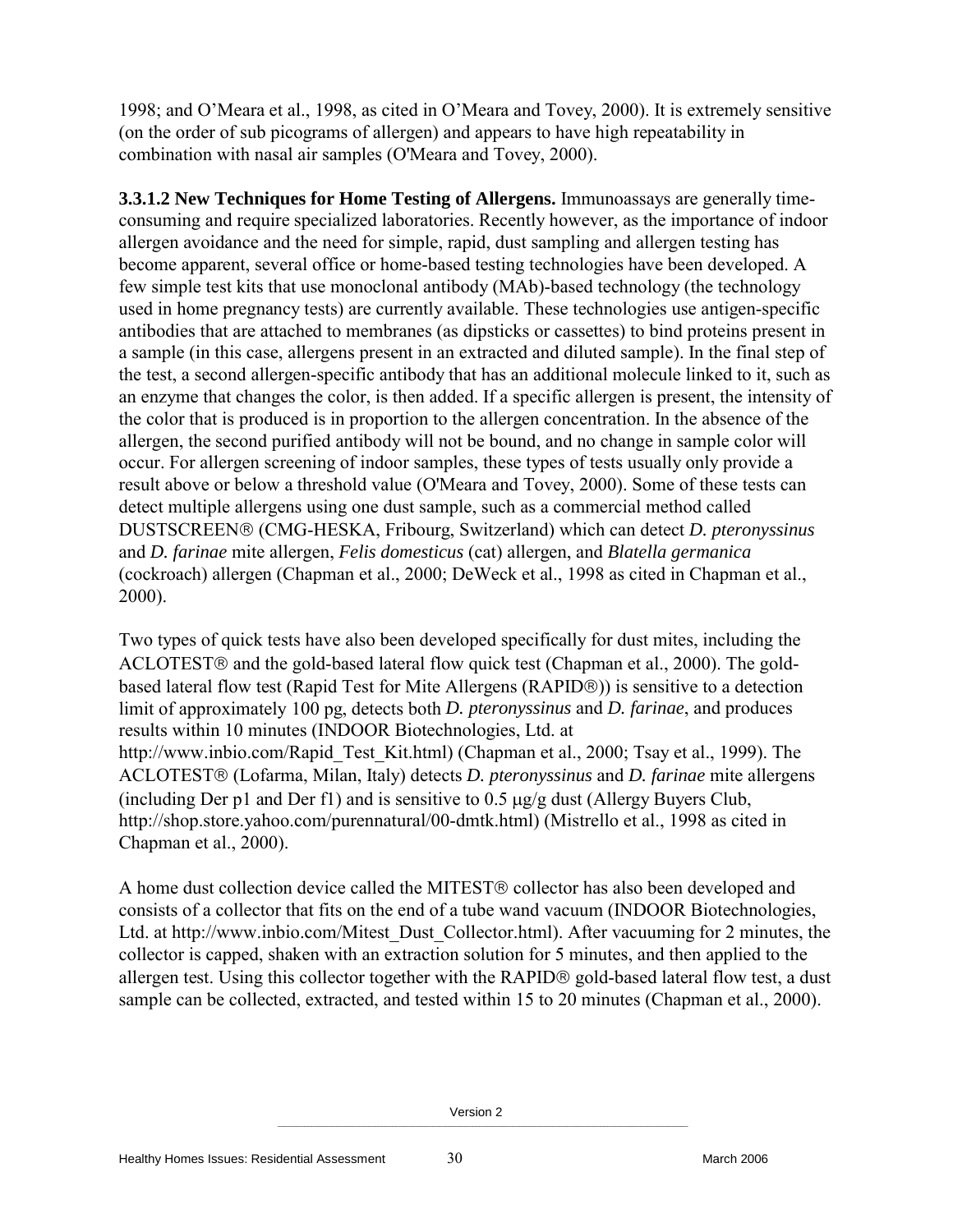1998; and O'Meara et al., 1998, as cited in O'Meara and Tovey, 2000). It is extremely sensitive (on the order of sub picograms of allergen) and appears to have high repeatability in combination with nasal air samples (O'Meara and Tovey, 2000).

**3.3.1.2 New Techniques for Home Testing of Allergens.** Immunoassays are generally timeconsuming and require specialized laboratories. Recently however, as the importance of indoor allergen avoidance and the need for simple, rapid, dust sampling and allergen testing has become apparent, several office or home-based testing technologies have been developed. A few simple test kits that use monoclonal antibody (MAb)-based technology (the technology used in home pregnancy tests) are currently available. These technologies use antigen-specific antibodies that are attached to membranes (as dipsticks or cassettes) to bind proteins present in a sample (in this case, allergens present in an extracted and diluted sample). In the final step of the test, a second allergen-specific antibody that has an additional molecule linked to it, such as an enzyme that changes the color, is then added. If a specific allergen is present, the intensity of the color that is produced is in proportion to the allergen concentration. In the absence of the allergen, the second purified antibody will not be bound, and no change in sample color will occur. For allergen screening of indoor samples, these types of tests usually only provide a result above or below a threshold value (O'Meara and Tovey, 2000). Some of these tests can detect multiple allergens using one dust sample, such as a commercial method called DUSTSCREEN (CMG-HESKA, Fribourg, Switzerland) which can detect *D. pteronyssinus* and *D. farinae* mite allergen, *Felis domesticus* (cat) allergen, and *Blatella germanica*  (cockroach) allergen (Chapman et al., 2000; DeWeck et al., 1998 as cited in Chapman et al., 2000).

Two types of quick tests have also been developed specifically for dust mites, including the ACLOTEST $\circledR$  and the gold-based lateral flow quick test (Chapman et al., 2000). The goldbased lateral flow test (Rapid Test for Mite Allergens (RAPID<sup>®</sup>)) is sensitive to a detection limit of approximately 100 pg, detects both *D. pteronyssinus* and *D. farinae*, and produces results within 10 minutes (INDOOR Biotechnologies, Ltd. at http://www.inbio.com/Rapid\_Test\_Kit.html) (Chapman et al., 2000; Tsay et al., 1999). The ACLOTEST<sup>®</sup> (Lofarma, Milan, Italy) detects *D. pteronyssinus* and *D. farinae* mite allergens (including Der p1 and Der f1) and is sensitive to  $0.5 \mu g/g$  dust (Allergy Buyers Club, http://shop.store.yahoo.com/purennatural/00-dmtk.html) (Mistrello et al., 1998 as cited in Chapman et al., 2000).

A home dust collection device called the MITEST® collector has also been developed and consists of a collector that fits on the end of a tube wand vacuum (INDOOR Biotechnologies, Ltd. at http://www.inbio.com/Mitest\_Dust\_Collector.html). After vacuuming for 2 minutes, the collector is capped, shaken with an extraction solution for 5 minutes, and then applied to the allergen test. Using this collector together with the RAPID $\otimes$  gold-based lateral flow test, a dust sample can be collected, extracted, and tested within 15 to 20 minutes (Chapman et al., 2000).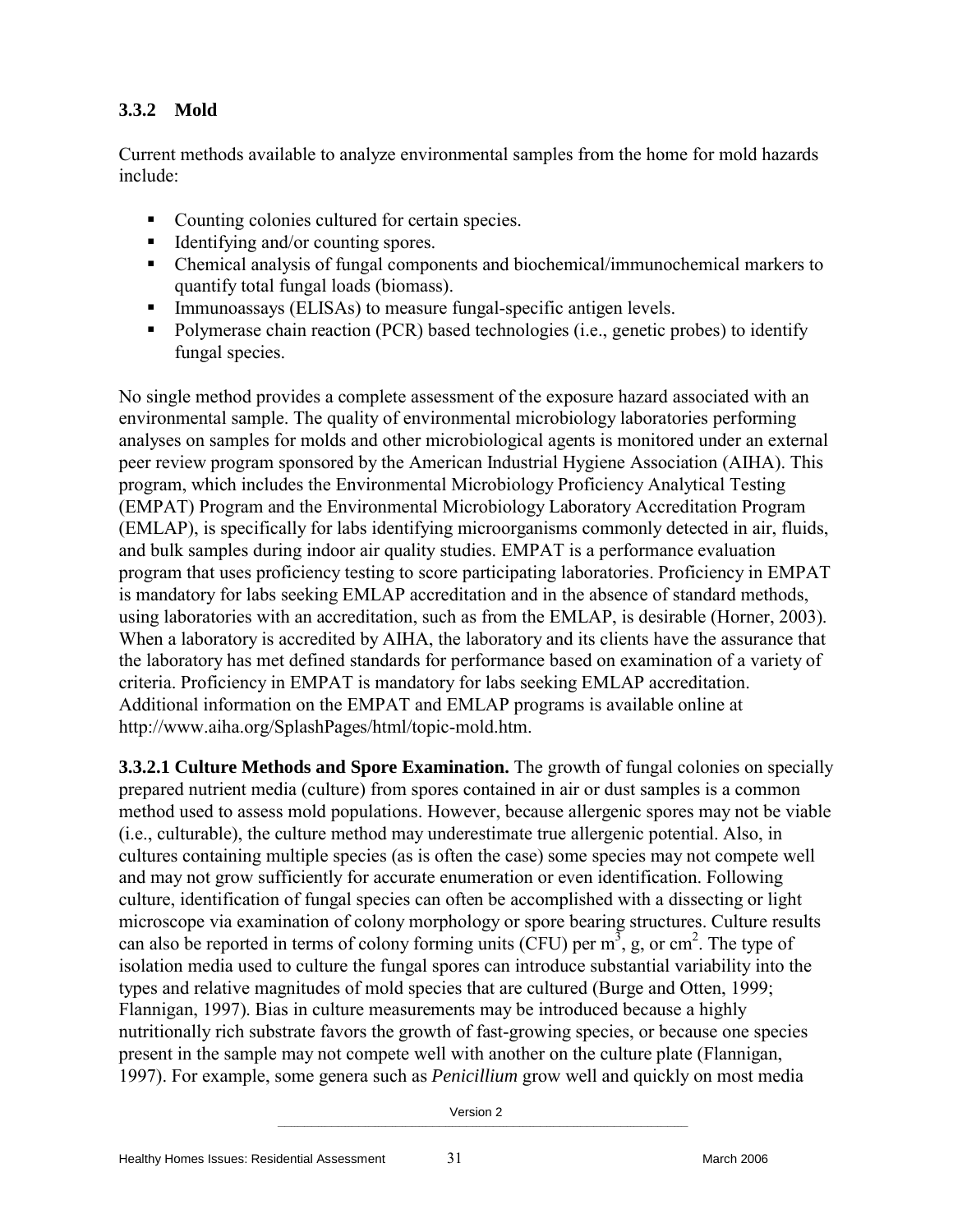## **3.3.2 Mold**

Current methods available to analyze environmental samples from the home for mold hazards include:

- Counting colonies cultured for certain species.
- Identifying and/or counting spores.
- Chemical analysis of fungal components and biochemical/immunochemical markers to quantify total fungal loads (biomass).
- Immunoassays (ELISAs) to measure fungal-specific antigen levels.
- Polymerase chain reaction (PCR) based technologies (i.e., genetic probes) to identify fungal species.

No single method provides a complete assessment of the exposure hazard associated with an environmental sample. The quality of environmental microbiology laboratories performing analyses on samples for molds and other microbiological agents is monitored under an external peer review program sponsored by the American Industrial Hygiene Association (AIHA). This program, which includes the Environmental Microbiology Proficiency Analytical Testing (EMPAT) Program and the Environmental Microbiology Laboratory Accreditation Program (EMLAP), is specifically for labs identifying microorganisms commonly detected in air, fluids, and bulk samples during indoor air quality studies. EMPAT is a performance evaluation program that uses proficiency testing to score participating laboratories. Proficiency in EMPAT is mandatory for labs seeking EMLAP accreditation and in the absence of standard methods, using laboratories with an accreditation, such as from the EMLAP, is desirable (Horner, 2003). When a laboratory is accredited by AIHA, the laboratory and its clients have the assurance that the laboratory has met defined standards for performance based on examination of a variety of criteria. Proficiency in EMPAT is mandatory for labs seeking EMLAP accreditation. Additional information on the EMPAT and EMLAP programs is available online at http://www.aiha.org/SplashPages/html/topic-mold.htm.

**3.3.2.1 Culture Methods and Spore Examination.** The growth of fungal colonies on specially prepared nutrient media (culture) from spores contained in air or dust samples is a common method used to assess mold populations. However, because allergenic spores may not be viable (i.e., culturable), the culture method may underestimate true allergenic potential. Also, in cultures containing multiple species (as is often the case) some species may not compete well and may not grow sufficiently for accurate enumeration or even identification. Following culture, identification of fungal species can often be accomplished with a dissecting or light microscope via examination of colony morphology or spore bearing structures. Culture results can also be reported in terms of colony forming units (CFU) per  $m^3$ , g, or cm<sup>2</sup>. The type of isolation media used to culture the fungal spores can introduce substantial variability into the types and relative magnitudes of mold species that are cultured (Burge and Otten, 1999; Flannigan, 1997). Bias in culture measurements may be introduced because a highly nutritionally rich substrate favors the growth of fast-growing species, or because one species present in the sample may not compete well with another on the culture plate (Flannigan, 1997). For example, some genera such as *Penicillium* grow well and quickly on most media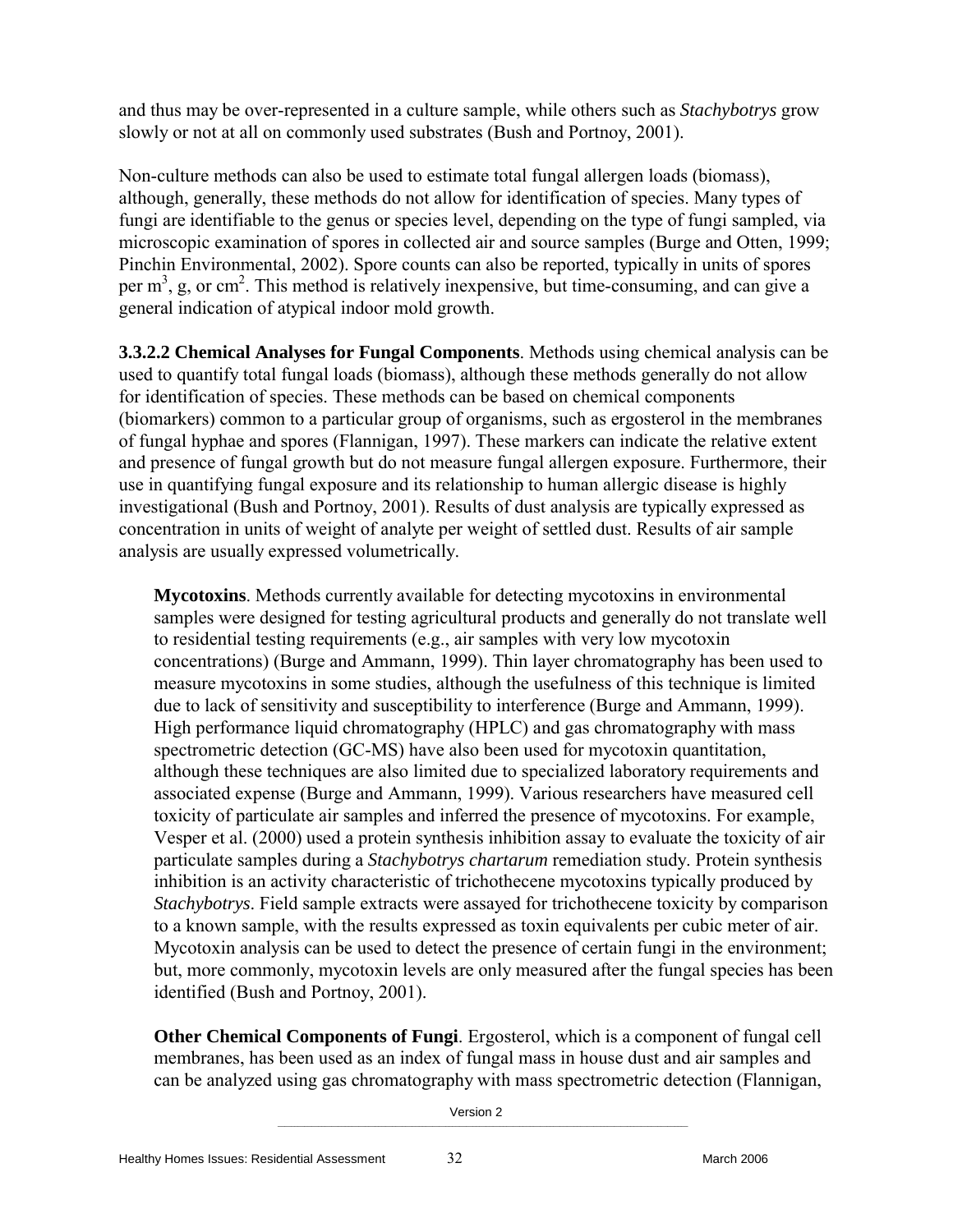and thus may be over-represented in a culture sample, while others such as *Stachybotrys* grow slowly or not at all on commonly used substrates (Bush and Portnoy, 2001).

Non-culture methods can also be used to estimate total fungal allergen loads (biomass), although, generally, these methods do not allow for identification of species. Many types of fungi are identifiable to the genus or species level, depending on the type of fungi sampled, via microscopic examination of spores in collected air and source samples (Burge and Otten, 1999; Pinchin Environmental, 2002). Spore counts can also be reported, typically in units of spores per  $m<sup>3</sup>$ , g, or cm<sup>2</sup>. This method is relatively inexpensive, but time-consuming, and can give a general indication of atypical indoor mold growth.

**3.3.2.2 Chemical Analyses for Fungal Components**. Methods using chemical analysis can be used to quantify total fungal loads (biomass), although these methods generally do not allow for identification of species. These methods can be based on chemical components (biomarkers) common to a particular group of organisms, such as ergosterol in the membranes of fungal hyphae and spores (Flannigan, 1997). These markers can indicate the relative extent and presence of fungal growth but do not measure fungal allergen exposure. Furthermore, their use in quantifying fungal exposure and its relationship to human allergic disease is highly investigational (Bush and Portnoy, 2001). Results of dust analysis are typically expressed as concentration in units of weight of analyte per weight of settled dust. Results of air sample analysis are usually expressed volumetrically.

**Mycotoxins**. Methods currently available for detecting mycotoxins in environmental samples were designed for testing agricultural products and generally do not translate well to residential testing requirements (e.g., air samples with very low mycotoxin concentrations) (Burge and Ammann, 1999). Thin layer chromatography has been used to measure mycotoxins in some studies, although the usefulness of this technique is limited due to lack of sensitivity and susceptibility to interference (Burge and Ammann, 1999). High performance liquid chromatography (HPLC) and gas chromatography with mass spectrometric detection (GC-MS) have also been used for mycotoxin quantitation, although these techniques are also limited due to specialized laboratory requirements and associated expense (Burge and Ammann, 1999). Various researchers have measured cell toxicity of particulate air samples and inferred the presence of mycotoxins. For example, Vesper et al. (2000) used a protein synthesis inhibition assay to evaluate the toxicity of air particulate samples during a *Stachybotrys chartarum* remediation study. Protein synthesis inhibition is an activity characteristic of trichothecene mycotoxins typically produced by *Stachybotrys*. Field sample extracts were assayed for trichothecene toxicity by comparison to a known sample, with the results expressed as toxin equivalents per cubic meter of air. Mycotoxin analysis can be used to detect the presence of certain fungi in the environment; but, more commonly, mycotoxin levels are only measured after the fungal species has been identified (Bush and Portnoy, 2001).

**Other Chemical Components of Fungi**. Ergosterol, which is a component of fungal cell membranes, has been used as an index of fungal mass in house dust and air samples and can be analyzed using gas chromatography with mass spectrometric detection (Flannigan,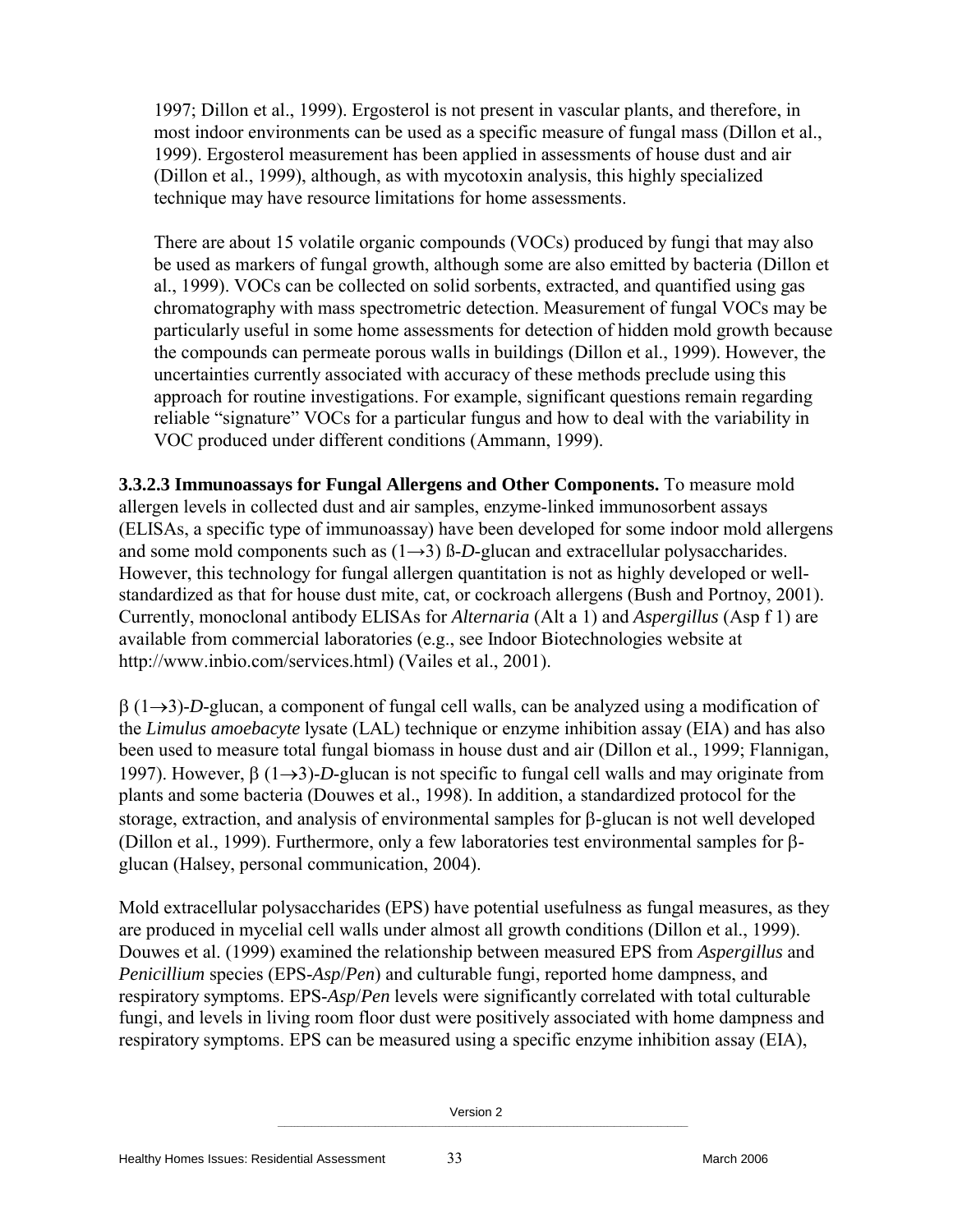1997; Dillon et al., 1999). Ergosterol is not present in vascular plants, and therefore, in most indoor environments can be used as a specific measure of fungal mass (Dillon et al., 1999). Ergosterol measurement has been applied in assessments of house dust and air (Dillon et al., 1999), although, as with mycotoxin analysis, this highly specialized technique may have resource limitations for home assessments.

There are about 15 volatile organic compounds (VOCs) produced by fungi that may also be used as markers of fungal growth, although some are also emitted by bacteria (Dillon et al., 1999). VOCs can be collected on solid sorbents, extracted, and quantified using gas chromatography with mass spectrometric detection. Measurement of fungal VOCs may be particularly useful in some home assessments for detection of hidden mold growth because the compounds can permeate porous walls in buildings (Dillon et al., 1999). However, the uncertainties currently associated with accuracy of these methods preclude using this approach for routine investigations. For example, significant questions remain regarding reliable "signature" VOCs for a particular fungus and how to deal with the variability in VOC produced under different conditions (Ammann, 1999).

**3.3.2.3 Immunoassays for Fungal Allergens and Other Components.** To measure mold allergen levels in collected dust and air samples, enzyme-linked immunosorbent assays (ELISAs, a specific type of immunoassay) have been developed for some indoor mold allergens and some mold components such as  $(1\rightarrow 3)$  ß-D-glucan and extracellular polysaccharides. However, this technology for fungal allergen quantitation is not as highly developed or wellstandardized as that for house dust mite, cat, or cockroach allergens (Bush and Portnoy, 2001). Currently, monoclonal antibody ELISAs for *Alternaria* (Alt a 1) and *Aspergillus* (Asp f 1) are available from commercial laboratories (e.g., see Indoor Biotechnologies website at http://www.inbio.com/services.html) (Vailes et al., 2001).

 $\beta$  (1 $\rightarrow$ 3)-*D*-glucan, a component of fungal cell walls, can be analyzed using a modification of the *Limulus amoebacyte* lysate (LAL) technique or enzyme inhibition assay (EIA) and has also been used to measure total fungal biomass in house dust and air (Dillon et al., 1999; Flannigan, 1997). However,  $\beta$  (1 $\rightarrow$ 3)-*D*-glucan is not specific to fungal cell walls and may originate from plants and some bacteria (Douwes et al., 1998). In addition, a standardized protocol for the storage, extraction, and analysis of environmental samples for  $\beta$ -glucan is not well developed (Dillon et al., 1999). Furthermore, only a few laboratories test environmental samples for  $\beta$ glucan (Halsey, personal communication, 2004).

Mold extracellular polysaccharides (EPS) have potential usefulness as fungal measures, as they are produced in mycelial cell walls under almost all growth conditions (Dillon et al., 1999). Douwes et al. (1999) examined the relationship between measured EPS from *Aspergillus* and *Penicillium* species (EPS-*Asp*/*Pen*) and culturable fungi, reported home dampness, and respiratory symptoms. EPS-*Asp*/*Pen* levels were significantly correlated with total culturable fungi, and levels in living room floor dust were positively associated with home dampness and respiratory symptoms. EPS can be measured using a specific enzyme inhibition assay (EIA),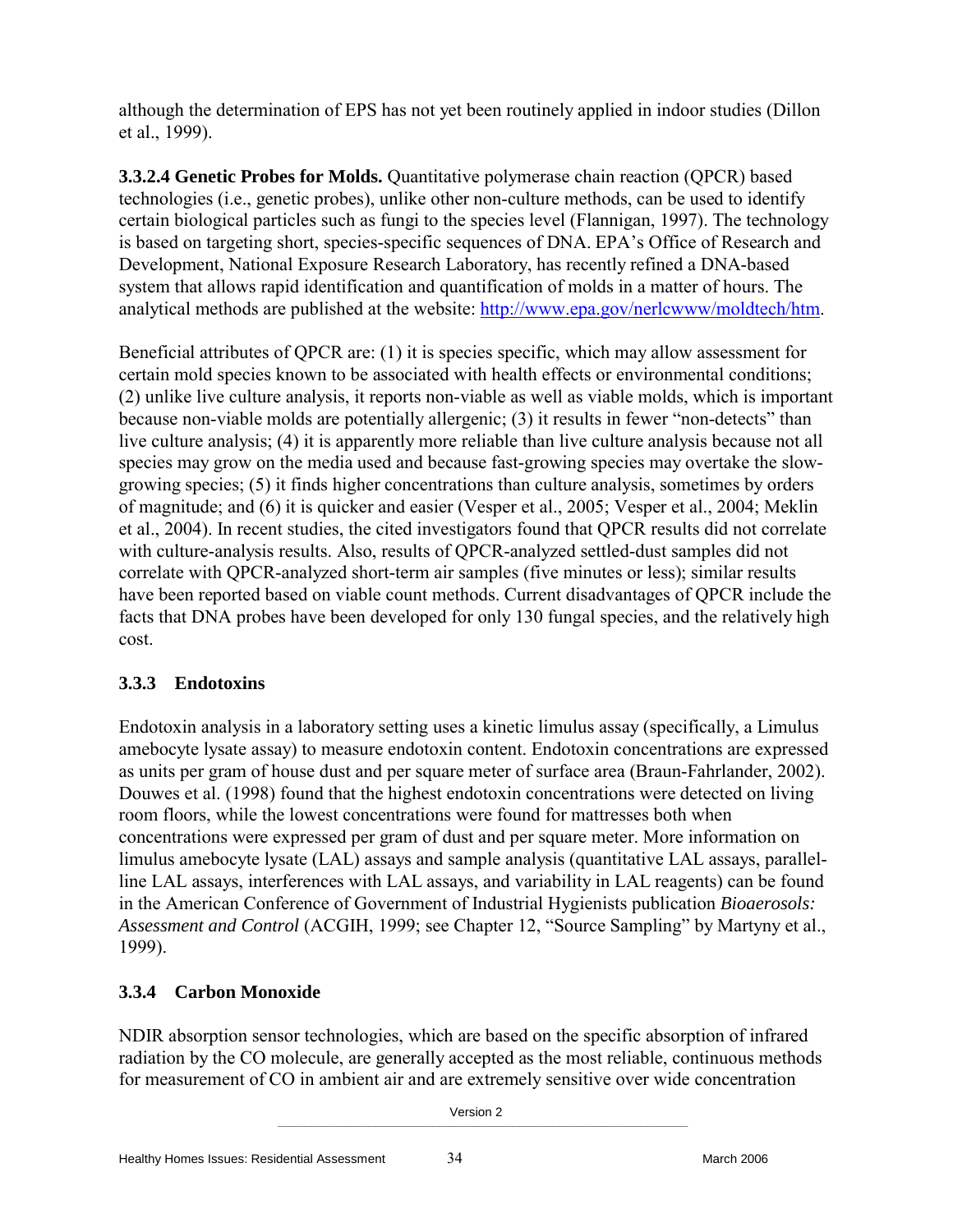although the determination of EPS has not yet been routinely applied in indoor studies (Dillon et al., 1999).

**3.3.2.4 Genetic Probes for Molds.** Quantitative polymerase chain reaction (QPCR) based technologies (i.e., genetic probes), unlike other non-culture methods, can be used to identify certain biological particles such as fungi to the species level (Flannigan, 1997). The technology is based on targeting short, species-specific sequences of DNA. EPA's Office of Research and Development, National Exposure Research Laboratory, has recently refined a DNA-based system that allows rapid identification and quantification of molds in a matter of hours. The analytical methods are published at the website: http://www.epa.gov/nerlcwww/moldtech/htm.

Beneficial attributes of QPCR are: (1) it is species specific, which may allow assessment for certain mold species known to be associated with health effects or environmental conditions; (2) unlike live culture analysis, it reports non-viable as well as viable molds, which is important because non-viable molds are potentially allergenic; (3) it results in fewer "non-detects" than live culture analysis; (4) it is apparently more reliable than live culture analysis because not all species may grow on the media used and because fast-growing species may overtake the slowgrowing species; (5) it finds higher concentrations than culture analysis, sometimes by orders of magnitude; and (6) it is quicker and easier (Vesper et al., 2005; Vesper et al., 2004; Meklin et al., 2004). In recent studies, the cited investigators found that QPCR results did not correlate with culture-analysis results. Also, results of QPCR-analyzed settled-dust samples did not correlate with QPCR-analyzed short-term air samples (five minutes or less); similar results have been reported based on viable count methods. Current disadvantages of QPCR include the facts that DNA probes have been developed for only 130 fungal species, and the relatively high cost.

#### **3.3.3 Endotoxins**

Endotoxin analysis in a laboratory setting uses a kinetic limulus assay (specifically, a Limulus amebocyte lysate assay) to measure endotoxin content. Endotoxin concentrations are expressed as units per gram of house dust and per square meter of surface area (Braun-Fahrlander, 2002). Douwes et al. (1998) found that the highest endotoxin concentrations were detected on living room floors, while the lowest concentrations were found for mattresses both when concentrations were expressed per gram of dust and per square meter. More information on limulus amebocyte lysate (LAL) assays and sample analysis (quantitative LAL assays, parallelline LAL assays, interferences with LAL assays, and variability in LAL reagents) can be found in the American Conference of Government of Industrial Hygienists publication *Bioaerosols: Assessment and Control* (ACGIH, 1999; see Chapter 12, "Source Sampling" by Martyny et al., 1999).

## **3.3.4 Carbon Monoxide**

NDIR absorption sensor technologies, which are based on the specific absorption of infrared radiation by the CO molecule, are generally accepted as the most reliable, continuous methods for measurement of CO in ambient air and are extremely sensitive over wide concentration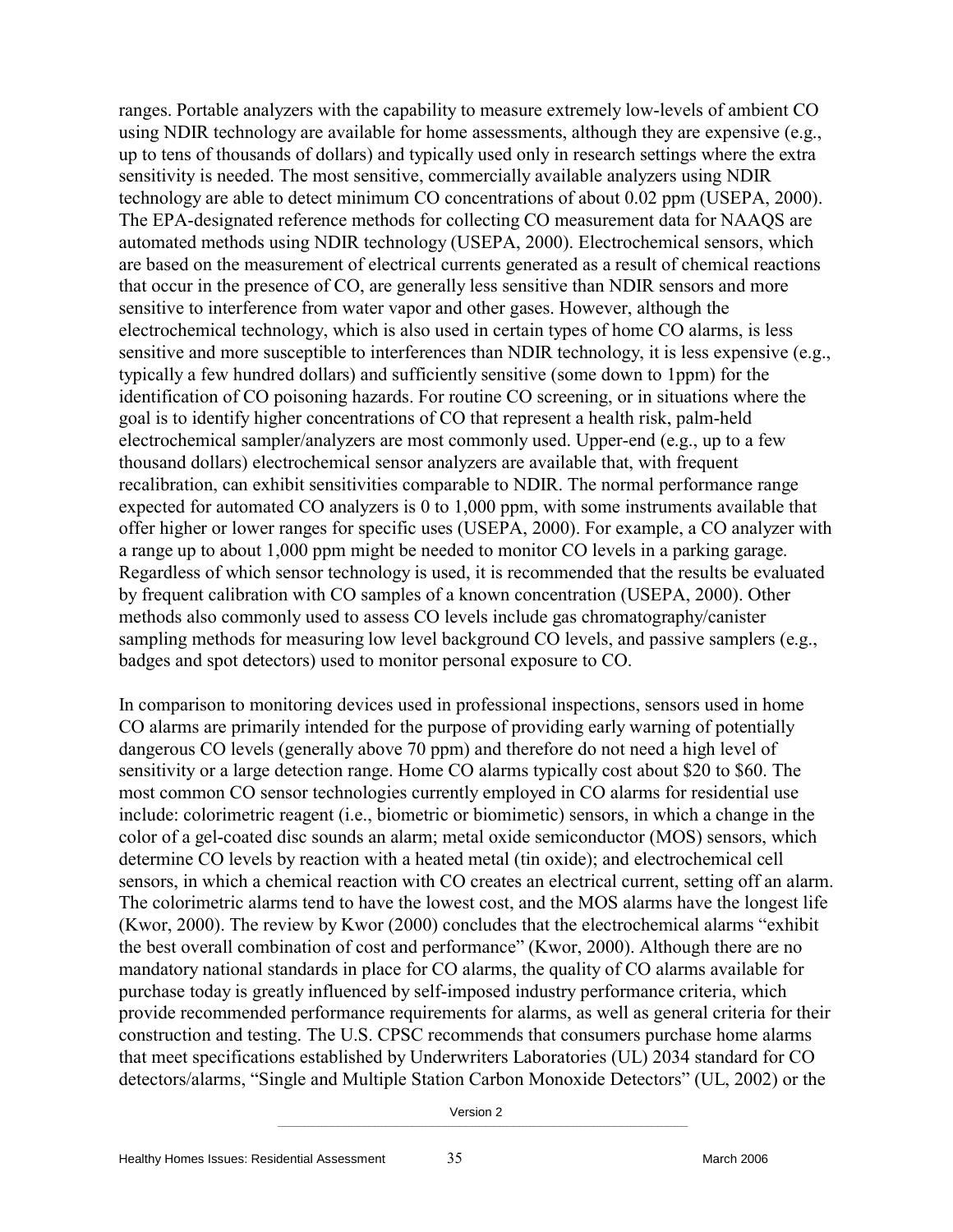ranges. Portable analyzers with the capability to measure extremely low-levels of ambient CO using NDIR technology are available for home assessments, although they are expensive (e.g., up to tens of thousands of dollars) and typically used only in research settings where the extra sensitivity is needed. The most sensitive, commercially available analyzers using NDIR technology are able to detect minimum CO concentrations of about 0.02 ppm (USEPA, 2000). The EPA-designated reference methods for collecting CO measurement data for NAAQS are automated methods using NDIR technology (USEPA, 2000). Electrochemical sensors, which are based on the measurement of electrical currents generated as a result of chemical reactions that occur in the presence of CO, are generally less sensitive than NDIR sensors and more sensitive to interference from water vapor and other gases. However, although the electrochemical technology, which is also used in certain types of home CO alarms, is less sensitive and more susceptible to interferences than NDIR technology, it is less expensive (e.g., typically a few hundred dollars) and sufficiently sensitive (some down to 1ppm) for the identification of CO poisoning hazards. For routine CO screening, or in situations where the goal is to identify higher concentrations of CO that represent a health risk, palm-held electrochemical sampler/analyzers are most commonly used. Upper-end (e.g., up to a few thousand dollars) electrochemical sensor analyzers are available that, with frequent recalibration, can exhibit sensitivities comparable to NDIR. The normal performance range expected for automated CO analyzers is 0 to 1,000 ppm, with some instruments available that offer higher or lower ranges for specific uses (USEPA, 2000). For example, a CO analyzer with a range up to about 1,000 ppm might be needed to monitor CO levels in a parking garage. Regardless of which sensor technology is used, it is recommended that the results be evaluated by frequent calibration with CO samples of a known concentration (USEPA, 2000). Other methods also commonly used to assess CO levels include gas chromatography/canister sampling methods for measuring low level background CO levels, and passive samplers (e.g., badges and spot detectors) used to monitor personal exposure to CO.

In comparison to monitoring devices used in professional inspections, sensors used in home CO alarms are primarily intended for the purpose of providing early warning of potentially dangerous CO levels (generally above 70 ppm) and therefore do not need a high level of sensitivity or a large detection range. Home CO alarms typically cost about \$20 to \$60. The most common CO sensor technologies currently employed in CO alarms for residential use include: colorimetric reagent (i.e., biometric or biomimetic) sensors, in which a change in the color of a gel-coated disc sounds an alarm; metal oxide semiconductor (MOS) sensors, which determine CO levels by reaction with a heated metal (tin oxide); and electrochemical cell sensors, in which a chemical reaction with CO creates an electrical current, setting off an alarm. The colorimetric alarms tend to have the lowest cost, and the MOS alarms have the longest life (Kwor, 2000). The review by Kwor (2000) concludes that the electrochemical alarms "exhibit the best overall combination of cost and performance" (Kwor, 2000). Although there are no mandatory national standards in place for CO alarms, the quality of CO alarms available for purchase today is greatly influenced by self-imposed industry performance criteria, which provide recommended performance requirements for alarms, as well as general criteria for their construction and testing. The U.S. CPSC recommends that consumers purchase home alarms that meet specifications established by Underwriters Laboratories (UL) 2034 standard for CO detectors/alarms, "Single and Multiple Station Carbon Monoxide Detectors" (UL, 2002) or the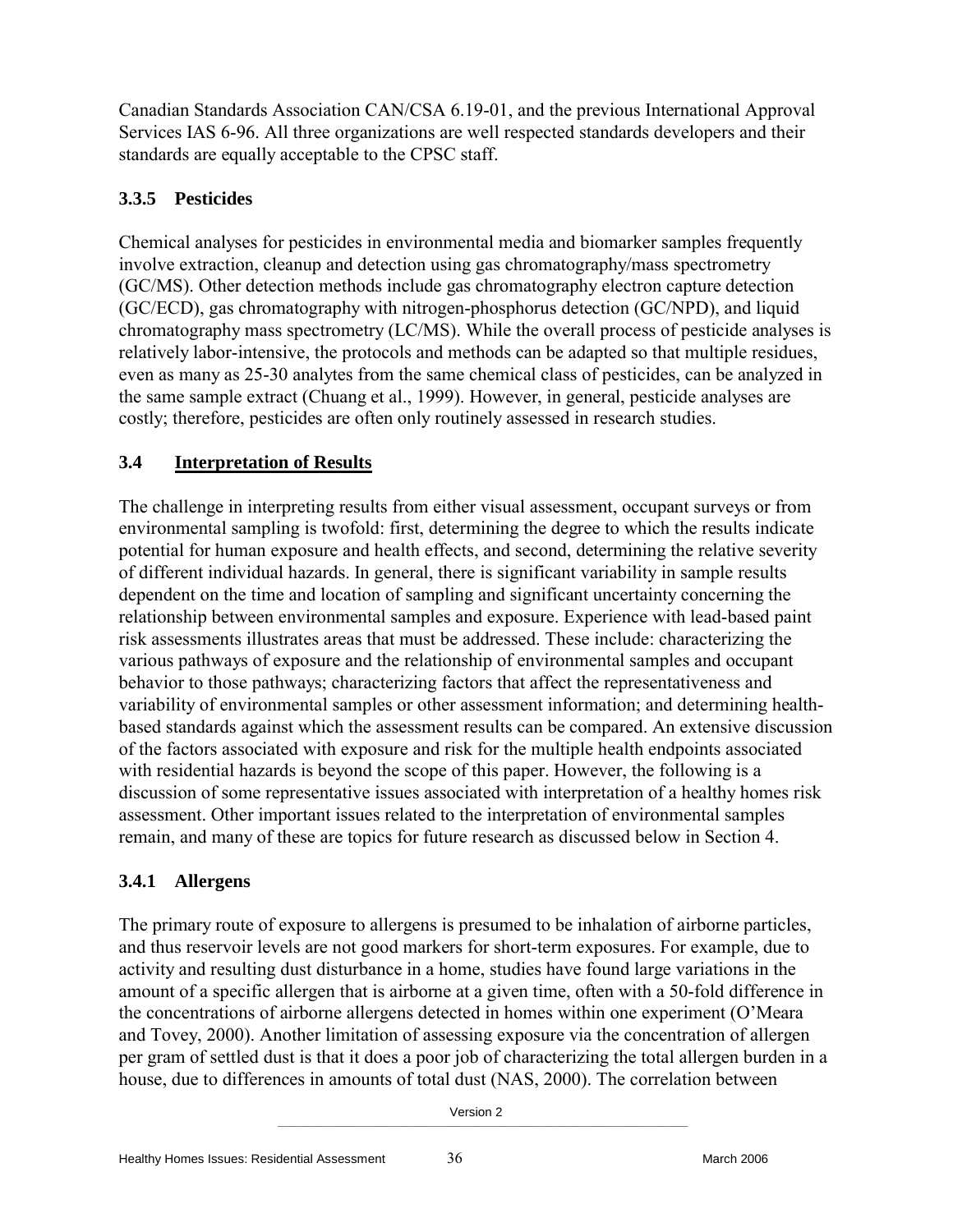Canadian Standards Association CAN/CSA 6.19-01, and the previous International Approval Services IAS 6-96. All three organizations are well respected standards developers and their standards are equally acceptable to the CPSC staff.

## **3.3.5 Pesticides**

Chemical analyses for pesticides in environmental media and biomarker samples frequently involve extraction, cleanup and detection using gas chromatography/mass spectrometry (GC/MS). Other detection methods include gas chromatography electron capture detection (GC/ECD), gas chromatography with nitrogen-phosphorus detection (GC/NPD), and liquid chromatography mass spectrometry (LC/MS). While the overall process of pesticide analyses is relatively labor-intensive, the protocols and methods can be adapted so that multiple residues, even as many as 25-30 analytes from the same chemical class of pesticides, can be analyzed in the same sample extract (Chuang et al., 1999). However, in general, pesticide analyses are costly; therefore, pesticides are often only routinely assessed in research studies.

## **3.4 Interpretation of Results**

The challenge in interpreting results from either visual assessment, occupant surveys or from environmental sampling is twofold: first, determining the degree to which the results indicate potential for human exposure and health effects, and second, determining the relative severity of different individual hazards. In general, there is significant variability in sample results dependent on the time and location of sampling and significant uncertainty concerning the relationship between environmental samples and exposure. Experience with lead-based paint risk assessments illustrates areas that must be addressed. These include: characterizing the various pathways of exposure and the relationship of environmental samples and occupant behavior to those pathways; characterizing factors that affect the representativeness and variability of environmental samples or other assessment information; and determining healthbased standards against which the assessment results can be compared. An extensive discussion of the factors associated with exposure and risk for the multiple health endpoints associated with residential hazards is beyond the scope of this paper. However, the following is a discussion of some representative issues associated with interpretation of a healthy homes risk assessment. Other important issues related to the interpretation of environmental samples remain, and many of these are topics for future research as discussed below in Section 4.

## **3.4.1 Allergens**

The primary route of exposure to allergens is presumed to be inhalation of airborne particles, and thus reservoir levels are not good markers for short-term exposures. For example, due to activity and resulting dust disturbance in a home, studies have found large variations in the amount of a specific allergen that is airborne at a given time, often with a 50-fold difference in the concentrations of airborne allergens detected in homes within one experiment (O'Meara and Tovey, 2000). Another limitation of assessing exposure via the concentration of allergen per gram of settled dust is that it does a poor job of characterizing the total allergen burden in a house, due to differences in amounts of total dust (NAS, 2000). The correlation between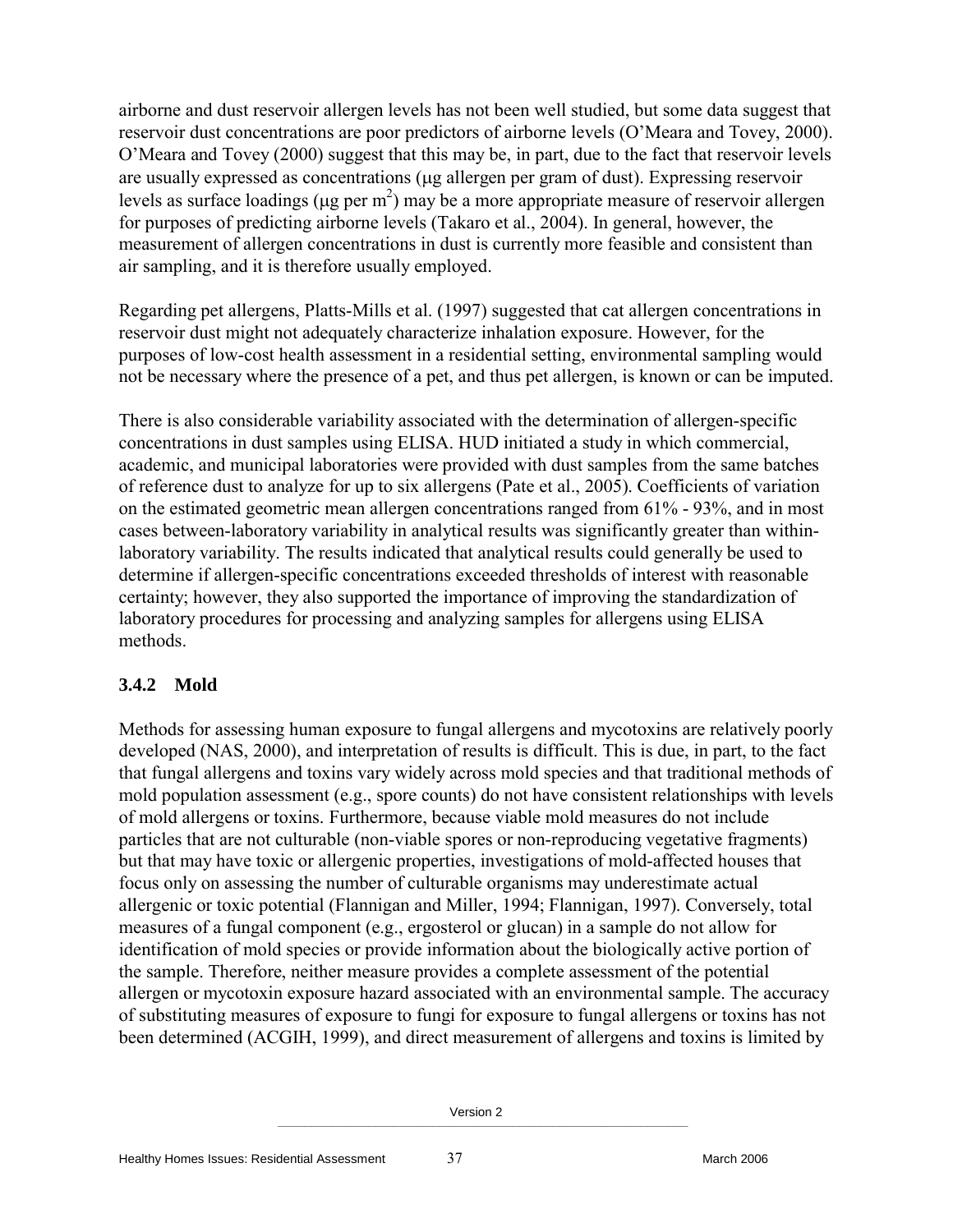airborne and dust reservoir allergen levels has not been well studied, but some data suggest that reservoir dust concentrations are poor predictors of airborne levels (O'Meara and Tovey, 2000). O'Meara and Tovey (2000) suggest that this may be, in part, due to the fact that reservoir levels are usually expressed as concentrations ( $\mu$ g allergen per gram of dust). Expressing reservoir levels as surface loadings ( $\mu$ g per m<sup>2</sup>) may be a more appropriate measure of reservoir allergen for purposes of predicting airborne levels (Takaro et al., 2004). In general, however, the measurement of allergen concentrations in dust is currently more feasible and consistent than air sampling, and it is therefore usually employed.

Regarding pet allergens, Platts-Mills et al. (1997) suggested that cat allergen concentrations in reservoir dust might not adequately characterize inhalation exposure. However, for the purposes of low-cost health assessment in a residential setting, environmental sampling would not be necessary where the presence of a pet, and thus pet allergen, is known or can be imputed.

There is also considerable variability associated with the determination of allergen-specific concentrations in dust samples using ELISA. HUD initiated a study in which commercial, academic, and municipal laboratories were provided with dust samples from the same batches of reference dust to analyze for up to six allergens (Pate et al., 2005). Coefficients of variation on the estimated geometric mean allergen concentrations ranged from 61% - 93%, and in most cases between-laboratory variability in analytical results was significantly greater than withinlaboratory variability. The results indicated that analytical results could generally be used to determine if allergen-specific concentrations exceeded thresholds of interest with reasonable certainty; however, they also supported the importance of improving the standardization of laboratory procedures for processing and analyzing samples for allergens using ELISA methods.

#### **3.4.2 Mold**

Methods for assessing human exposure to fungal allergens and mycotoxins are relatively poorly developed (NAS, 2000), and interpretation of results is difficult. This is due, in part, to the fact that fungal allergens and toxins vary widely across mold species and that traditional methods of mold population assessment (e.g., spore counts) do not have consistent relationships with levels of mold allergens or toxins. Furthermore, because viable mold measures do not include particles that are not culturable (non-viable spores or non-reproducing vegetative fragments) but that may have toxic or allergenic properties, investigations of mold-affected houses that focus only on assessing the number of culturable organisms may underestimate actual allergenic or toxic potential (Flannigan and Miller, 1994; Flannigan, 1997). Conversely, total measures of a fungal component (e.g., ergosterol or glucan) in a sample do not allow for identification of mold species or provide information about the biologically active portion of the sample. Therefore, neither measure provides a complete assessment of the potential allergen or mycotoxin exposure hazard associated with an environmental sample. The accuracy of substituting measures of exposure to fungi for exposure to fungal allergens or toxins has not been determined (ACGIH, 1999), and direct measurement of allergens and toxins is limited by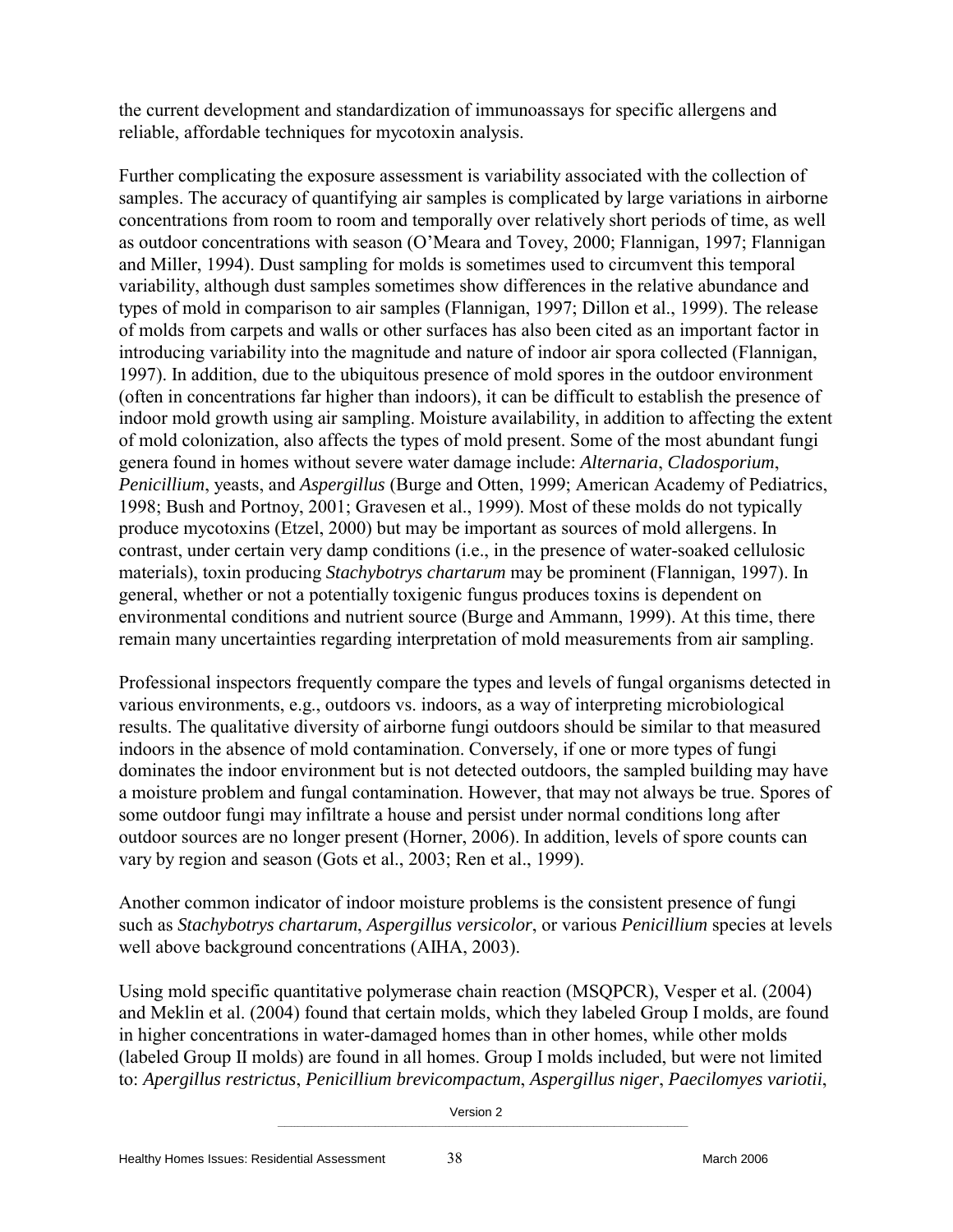the current development and standardization of immunoassays for specific allergens and reliable, affordable techniques for mycotoxin analysis.

Further complicating the exposure assessment is variability associated with the collection of samples. The accuracy of quantifying air samples is complicated by large variations in airborne concentrations from room to room and temporally over relatively short periods of time, as well as outdoor concentrations with season (O'Meara and Tovey, 2000; Flannigan, 1997; Flannigan and Miller, 1994). Dust sampling for molds is sometimes used to circumvent this temporal variability, although dust samples sometimes show differences in the relative abundance and types of mold in comparison to air samples (Flannigan, 1997; Dillon et al., 1999). The release of molds from carpets and walls or other surfaces has also been cited as an important factor in introducing variability into the magnitude and nature of indoor air spora collected (Flannigan, 1997). In addition, due to the ubiquitous presence of mold spores in the outdoor environment (often in concentrations far higher than indoors), it can be difficult to establish the presence of indoor mold growth using air sampling. Moisture availability, in addition to affecting the extent of mold colonization, also affects the types of mold present. Some of the most abundant fungi genera found in homes without severe water damage include: *Alternaria*, *Cladosporium*, *Penicillium*, yeasts, and *Aspergillus* (Burge and Otten, 1999; American Academy of Pediatrics, 1998; Bush and Portnoy, 2001; Gravesen et al., 1999). Most of these molds do not typically produce mycotoxins (Etzel, 2000) but may be important as sources of mold allergens. In contrast, under certain very damp conditions (i.e., in the presence of water-soaked cellulosic materials), toxin producing *Stachybotrys chartarum* may be prominent (Flannigan, 1997). In general, whether or not a potentially toxigenic fungus produces toxins is dependent on environmental conditions and nutrient source (Burge and Ammann, 1999). At this time, there remain many uncertainties regarding interpretation of mold measurements from air sampling.

Professional inspectors frequently compare the types and levels of fungal organisms detected in various environments, e.g., outdoors vs. indoors, as a way of interpreting microbiological results. The qualitative diversity of airborne fungi outdoors should be similar to that measured indoors in the absence of mold contamination. Conversely, if one or more types of fungi dominates the indoor environment but is not detected outdoors, the sampled building may have a moisture problem and fungal contamination. However, that may not always be true. Spores of some outdoor fungi may infiltrate a house and persist under normal conditions long after outdoor sources are no longer present (Horner, 2006). In addition, levels of spore counts can vary by region and season (Gots et al., 2003; Ren et al., 1999).

Another common indicator of indoor moisture problems is the consistent presence of fungi such as *Stachybotrys chartarum*, *Aspergillus versicolor*, or various *Penicillium* species at levels well above background concentrations (AIHA, 2003).

Using mold specific quantitative polymerase chain reaction (MSQPCR), Vesper et al. (2004) and Meklin et al. (2004) found that certain molds, which they labeled Group I molds, are found in higher concentrations in water-damaged homes than in other homes, while other molds (labeled Group II molds) are found in all homes. Group I molds included, but were not limited to: *Apergillus restrictus*, *Penicillium brevicompactum*, *Aspergillus niger*, *Paecilomyes variotii*,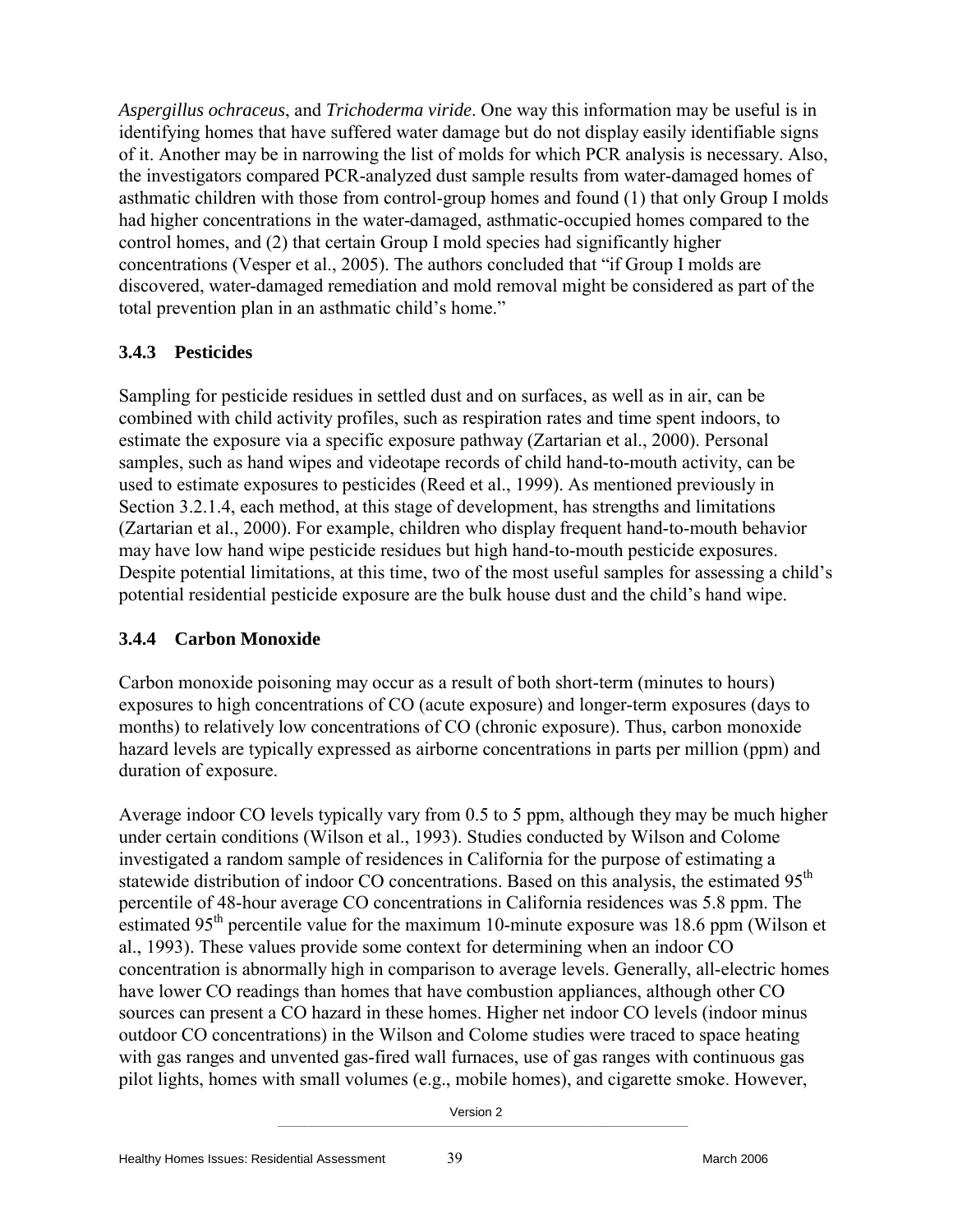*Aspergillus ochraceus*, and *Trichoderma viride*. One way this information may be useful is in identifying homes that have suffered water damage but do not display easily identifiable signs of it. Another may be in narrowing the list of molds for which PCR analysis is necessary. Also, the investigators compared PCR-analyzed dust sample results from water-damaged homes of asthmatic children with those from control-group homes and found (1) that only Group I molds had higher concentrations in the water-damaged, asthmatic-occupied homes compared to the control homes, and (2) that certain Group I mold species had significantly higher concentrations (Vesper et al., 2005). The authors concluded that "if Group I molds are discovered, water-damaged remediation and mold removal might be considered as part of the total prevention plan in an asthmatic child's home."

#### **3.4.3 Pesticides**

Sampling for pesticide residues in settled dust and on surfaces, as well as in air, can be combined with child activity profiles, such as respiration rates and time spent indoors, to estimate the exposure via a specific exposure pathway (Zartarian et al., 2000). Personal samples, such as hand wipes and videotape records of child hand-to-mouth activity, can be used to estimate exposures to pesticides (Reed et al., 1999). As mentioned previously in Section 3.2.1.4, each method, at this stage of development, has strengths and limitations (Zartarian et al., 2000). For example, children who display frequent hand-to-mouth behavior may have low hand wipe pesticide residues but high hand-to-mouth pesticide exposures. Despite potential limitations, at this time, two of the most useful samples for assessing a child's potential residential pesticide exposure are the bulk house dust and the child's hand wipe.

#### **3.4.4 Carbon Monoxide**

Carbon monoxide poisoning may occur as a result of both short-term (minutes to hours) exposures to high concentrations of CO (acute exposure) and longer-term exposures (days to months) to relatively low concentrations of CO (chronic exposure). Thus, carbon monoxide hazard levels are typically expressed as airborne concentrations in parts per million (ppm) and duration of exposure.

Average indoor CO levels typically vary from 0.5 to 5 ppm, although they may be much higher under certain conditions (Wilson et al., 1993). Studies conducted by Wilson and Colome investigated a random sample of residences in California for the purpose of estimating a statewide distribution of indoor CO concentrations. Based on this analysis, the estimated 95<sup>th</sup> percentile of 48-hour average CO concentrations in California residences was 5.8 ppm. The estimated 95<sup>th</sup> percentile value for the maximum 10-minute exposure was 18.6 ppm (Wilson et al., 1993). These values provide some context for determining when an indoor CO concentration is abnormally high in comparison to average levels. Generally, all-electric homes have lower CO readings than homes that have combustion appliances, although other CO sources can present a CO hazard in these homes. Higher net indoor CO levels (indoor minus outdoor CO concentrations) in the Wilson and Colome studies were traced to space heating with gas ranges and unvented gas-fired wall furnaces, use of gas ranges with continuous gas pilot lights, homes with small volumes (e.g., mobile homes), and cigarette smoke. However,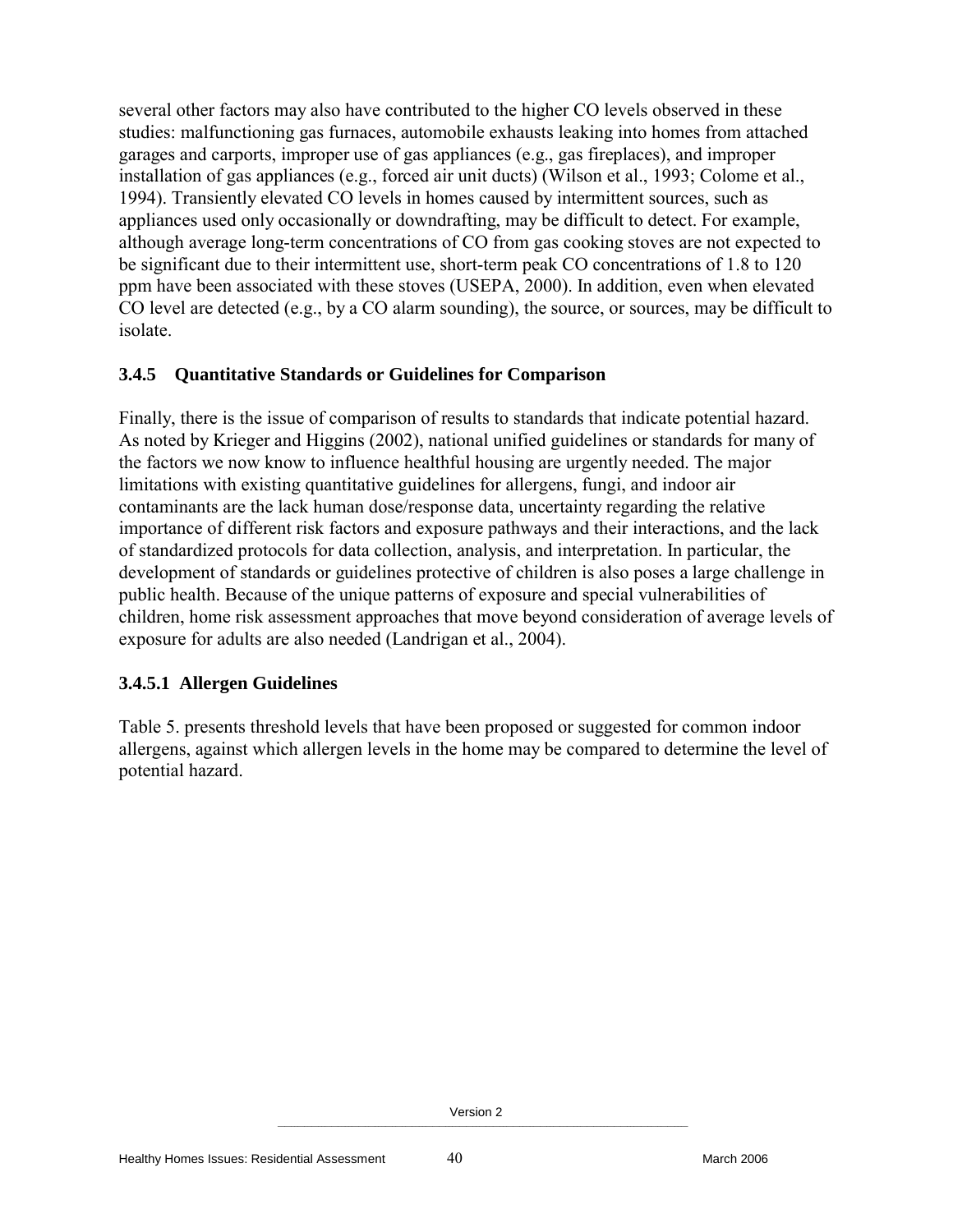several other factors may also have contributed to the higher CO levels observed in these studies: malfunctioning gas furnaces, automobile exhausts leaking into homes from attached garages and carports, improper use of gas appliances (e.g., gas fireplaces), and improper installation of gas appliances (e.g., forced air unit ducts) (Wilson et al., 1993; Colome et al., 1994). Transiently elevated CO levels in homes caused by intermittent sources, such as appliances used only occasionally or downdrafting, may be difficult to detect. For example, although average long-term concentrations of CO from gas cooking stoves are not expected to be significant due to their intermittent use, short-term peak CO concentrations of 1.8 to 120 ppm have been associated with these stoves (USEPA, 2000). In addition, even when elevated CO level are detected (e.g., by a CO alarm sounding), the source, or sources, may be difficult to isolate.

#### **3.4.5 Quantitative Standards or Guidelines for Comparison**

Finally, there is the issue of comparison of results to standards that indicate potential hazard. As noted by Krieger and Higgins (2002), national unified guidelines or standards for many of the factors we now know to influence healthful housing are urgently needed. The major limitations with existing quantitative guidelines for allergens, fungi, and indoor air contaminants are the lack human dose/response data, uncertainty regarding the relative importance of different risk factors and exposure pathways and their interactions, and the lack of standardized protocols for data collection, analysis, and interpretation. In particular, the development of standards or guidelines protective of children is also poses a large challenge in public health. Because of the unique patterns of exposure and special vulnerabilities of children, home risk assessment approaches that move beyond consideration of average levels of exposure for adults are also needed (Landrigan et al., 2004).

#### **3.4.5.1 Allergen Guidelines**

Table 5. presents threshold levels that have been proposed or suggested for common indoor allergens, against which allergen levels in the home may be compared to determine the level of potential hazard.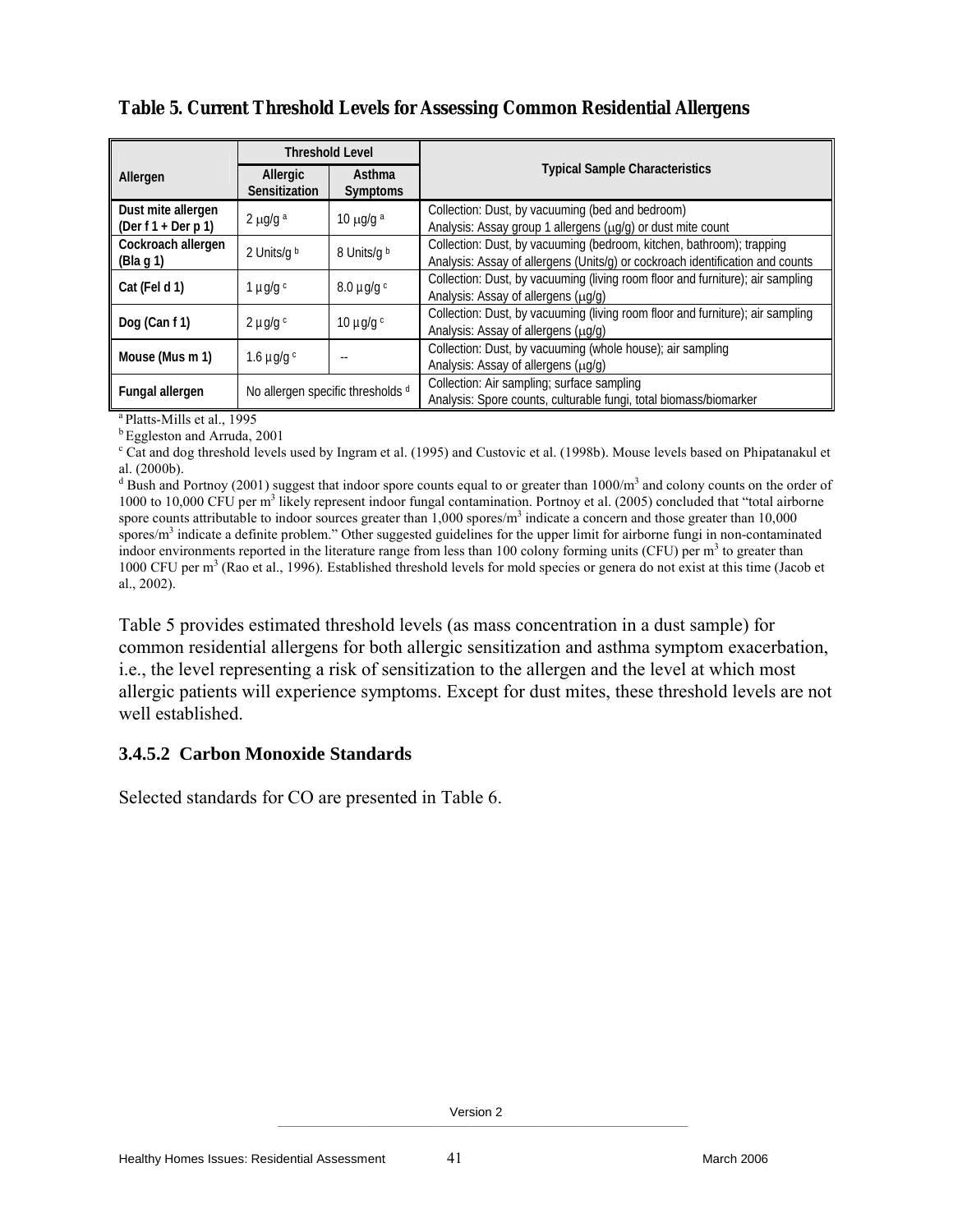#### **Table 5. Current Threshold Levels for Assessing Common Residential Allergens**

|                                            | <b>Threshold Level</b>                          |                           |                                                                                                                                                        |
|--------------------------------------------|-------------------------------------------------|---------------------------|--------------------------------------------------------------------------------------------------------------------------------------------------------|
| Allergen                                   | Asthma<br>Allergic<br>Sensitization<br>Symptoms |                           | <b>Typical Sample Characteristics</b>                                                                                                                  |
| Dust mite allergen<br>(Der $f1 + Der p1$ ) | $2 \mu g/g^a$                                   | 10 $\mu$ g/g <sup>a</sup> | Collection: Dust, by vacuuming (bed and bedroom)<br>Analysis: Assay group 1 allergens (µg/g) or dust mite count                                        |
| Cockroach allergen<br>(Bla g 1)            | 2 Units/g b                                     | 8 Units/g b               | Collection: Dust, by vacuuming (bedroom, kitchen, bathroom); trapping<br>Analysis: Assay of allergens (Units/g) or cockroach identification and counts |
| Cat (Fel d 1)                              | 1 $\mu$ g/g $\text{c}$                          | $8.0 \mu$ g/g c           | Collection: Dust, by vacuuming (living room floor and furniture); air sampling<br>Analysis: Assay of allergens (µg/g)                                  |
| Dog (Can f 1)                              | $2 \mu g/g c$                                   | 10 $\mu$ g/g $c$          | Collection: Dust, by vacuuming (living room floor and furniture); air sampling<br>Analysis: Assay of allergens (µg/g)                                  |
| Mouse (Mus m 1)                            | 1.6 $\mu$ g/g $c$                               |                           | Collection: Dust, by vacuuming (whole house); air sampling<br>Analysis: Assay of allergens (µg/g)                                                      |
| Fungal allergen                            | No allergen specific thresholds d               |                           | Collection: Air sampling; surface sampling<br>Analysis: Spore counts, culturable fungi, total biomass/biomarker                                        |

<sup>a</sup> Platts-Mills et al., 1995

<sup>b</sup> Eggleston and Arruda, 2001

<sup>c</sup> Cat and dog threshold levels used by Ingram et al. (1995) and Custovic et al. (1998b). Mouse levels based on Phipatanakul et al. (2000b).

<sup>d</sup> Bush and Portnoy (2001) suggest that indoor spore counts equal to or greater than  $1000/m<sup>3</sup>$  and colony counts on the order of 1000 to 10,000 CFU per m<sup>3</sup> likely represent indoor fungal contamination. Portnoy et al. (2005) concluded that "total airborne spore counts attributable to indoor sources greater than  $1,000$  spores/ $m<sup>3</sup>$  indicate a concern and those greater than 10,000 spores/m<sup>3</sup> indicate a definite problem." Other suggested guidelines for the upper limit for airborne fungi in non-contaminated indoor environments reported in the literature range from less than 100 colony forming units (CFU) per  $m<sup>3</sup>$  to greater than 1000 CFU per m<sup>3</sup> (Rao et al., 1996). Established threshold levels for mold species or genera do not exist at this time (Jacob et al., 2002).

Table 5 provides estimated threshold levels (as mass concentration in a dust sample) for common residential allergens for both allergic sensitization and asthma symptom exacerbation, i.e., the level representing a risk of sensitization to the allergen and the level at which most allergic patients will experience symptoms. Except for dust mites, these threshold levels are not well established.

#### **3.4.5.2 Carbon Monoxide Standards**

Selected standards for CO are presented in Table 6.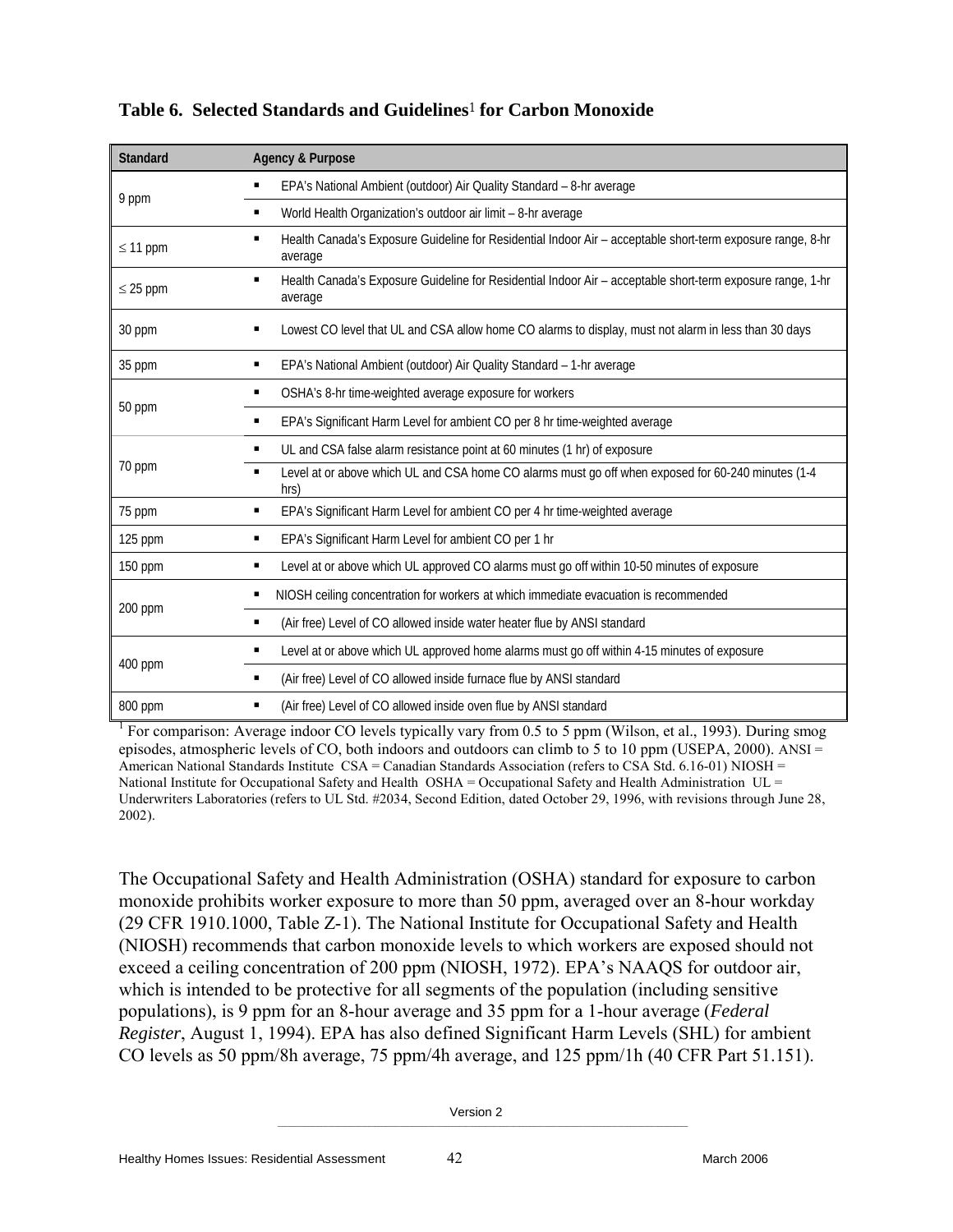| Standard      | Agency & Purpose                                                                                                                        |
|---------------|-----------------------------------------------------------------------------------------------------------------------------------------|
| 9 ppm         | EPA's National Ambient (outdoor) Air Quality Standard - 8-hr average                                                                    |
|               | World Health Organization's outdoor air limit - 8-hr average                                                                            |
| $\leq$ 11 ppm | Health Canada's Exposure Guideline for Residential Indoor Air - acceptable short-term exposure range, 8-hr<br>average                   |
| $\leq$ 25 ppm | Health Canada's Exposure Guideline for Residential Indoor Air - acceptable short-term exposure range, 1-hr<br>$\blacksquare$<br>average |
| 30 ppm        | Lowest CO level that UL and CSA allow home CO alarms to display, must not alarm in less than 30 days                                    |
| 35 ppm        | EPA's National Ambient (outdoor) Air Quality Standard - 1-hr average<br>٠                                                               |
|               | OSHA's 8-hr time-weighted average exposure for workers<br>$\blacksquare$                                                                |
| 50 ppm        | EPA's Significant Harm Level for ambient CO per 8 hr time-weighted average<br>٠                                                         |
|               | UL and CSA false alarm resistance point at 60 minutes (1 hr) of exposure                                                                |
| 70 ppm        | Level at or above which UL and CSA home CO alarms must go off when exposed for 60-240 minutes (1-4<br>hrs)                              |
| 75 ppm        | EPA's Significant Harm Level for ambient CO per 4 hr time-weighted average<br>٠                                                         |
| 125 ppm       | EPA's Significant Harm Level for ambient CO per 1 hr<br>٠                                                                               |
| 150 ppm       | Level at or above which UL approved CO alarms must go off within 10-50 minutes of exposure<br>٠                                         |
|               | NIOSH ceiling concentration for workers at which immediate evacuation is recommended                                                    |
| 200 ppm       | (Air free) Level of CO allowed inside water heater flue by ANSI standard<br>٠                                                           |
|               | Level at or above which UL approved home alarms must go off within 4-15 minutes of exposure<br>٠                                        |
| 400 ppm       | (Air free) Level of CO allowed inside furnace flue by ANSI standard                                                                     |
| 800 ppm       | (Air free) Level of CO allowed inside oven flue by ANSI standard                                                                        |

**Table 6. Selected Standards and Guidelines**1 **for Carbon Monoxide** 

<sup>1</sup> For comparison: Average indoor CO levels typically vary from 0.5 to 5 ppm (Wilson, et al., 1993). During smog episodes, atmospheric levels of CO, both indoors and outdoors can climb to 5 to 10 ppm (USEPA, 2000). ANSI = American National Standards Institute CSA = Canadian Standards Association (refers to CSA Std. 6.16-01) NIOSH = National Institute for Occupational Safety and Health OSHA = Occupational Safety and Health Administration UL = Underwriters Laboratories (refers to UL Std. #2034, Second Edition, dated October 29, 1996, with revisions through June 28, 2002).

The Occupational Safety and Health Administration (OSHA) standard for exposure to carbon monoxide prohibits worker exposure to more than 50 ppm, averaged over an 8-hour workday (29 CFR 1910.1000, Table Z-1). The National Institute for Occupational Safety and Health (NIOSH) recommends that carbon monoxide levels to which workers are exposed should not exceed a ceiling concentration of 200 ppm (NIOSH, 1972). EPA's NAAQS for outdoor air, which is intended to be protective for all segments of the population (including sensitive populations), is 9 ppm for an 8-hour average and 35 ppm for a 1-hour average (*Federal Register*, August 1, 1994). EPA has also defined Significant Harm Levels (SHL) for ambient CO levels as 50 ppm/8h average, 75 ppm/4h average, and 125 ppm/1h (40 CFR Part 51.151).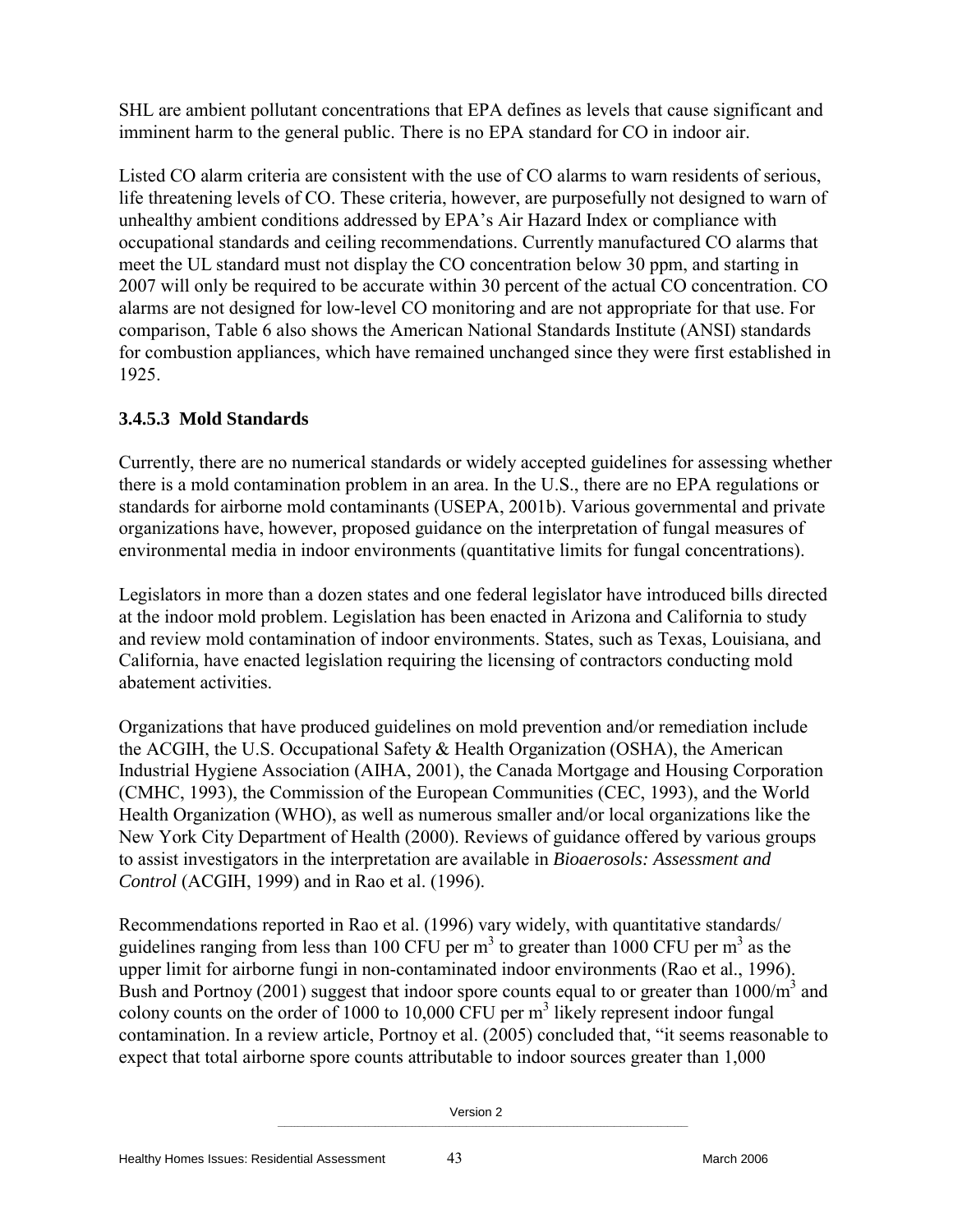SHL are ambient pollutant concentrations that EPA defines as levels that cause significant and imminent harm to the general public. There is no EPA standard for CO in indoor air.

Listed CO alarm criteria are consistent with the use of CO alarms to warn residents of serious, life threatening levels of CO. These criteria, however, are purposefully not designed to warn of unhealthy ambient conditions addressed by EPA's Air Hazard Index or compliance with occupational standards and ceiling recommendations. Currently manufactured CO alarms that meet the UL standard must not display the CO concentration below 30 ppm, and starting in 2007 will only be required to be accurate within 30 percent of the actual CO concentration. CO alarms are not designed for low-level CO monitoring and are not appropriate for that use. For comparison, Table 6 also shows the American National Standards Institute (ANSI) standards for combustion appliances, which have remained unchanged since they were first established in 1925.

## **3.4.5.3 Mold Standards**

Currently, there are no numerical standards or widely accepted guidelines for assessing whether there is a mold contamination problem in an area. In the U.S., there are no EPA regulations or standards for airborne mold contaminants (USEPA, 2001b). Various governmental and private organizations have, however, proposed guidance on the interpretation of fungal measures of environmental media in indoor environments (quantitative limits for fungal concentrations).

Legislators in more than a dozen states and one federal legislator have introduced bills directed at the indoor mold problem. Legislation has been enacted in Arizona and California to study and review mold contamination of indoor environments. States, such as Texas, Louisiana, and California, have enacted legislation requiring the licensing of contractors conducting mold abatement activities.

Organizations that have produced guidelines on mold prevention and/or remediation include the ACGIH, the U.S. Occupational Safety & Health Organization (OSHA), the American Industrial Hygiene Association (AIHA, 2001), the Canada Mortgage and Housing Corporation (CMHC, 1993), the Commission of the European Communities (CEC, 1993), and the World Health Organization (WHO), as well as numerous smaller and/or local organizations like the New York City Department of Health (2000). Reviews of guidance offered by various groups to assist investigators in the interpretation are available in *Bioaerosols: Assessment and Control* (ACGIH, 1999) and in Rao et al. (1996).

Recommendations reported in Rao et al. (1996) vary widely, with quantitative standards/ guidelines ranging from less than 100 CFU per  $m<sup>3</sup>$  to greater than 1000 CFU per  $m<sup>3</sup>$  as the upper limit for airborne fungi in non-contaminated indoor environments (Rao et al., 1996). Bush and Portnoy (2001) suggest that indoor spore counts equal to or greater than  $1000/m<sup>3</sup>$  and colony counts on the order of 1000 to 10,000 CFU per  $m<sup>3</sup>$  likely represent indoor fungal contamination. In a review article, Portnoy et al. (2005) concluded that, "it seems reasonable to expect that total airborne spore counts attributable to indoor sources greater than 1,000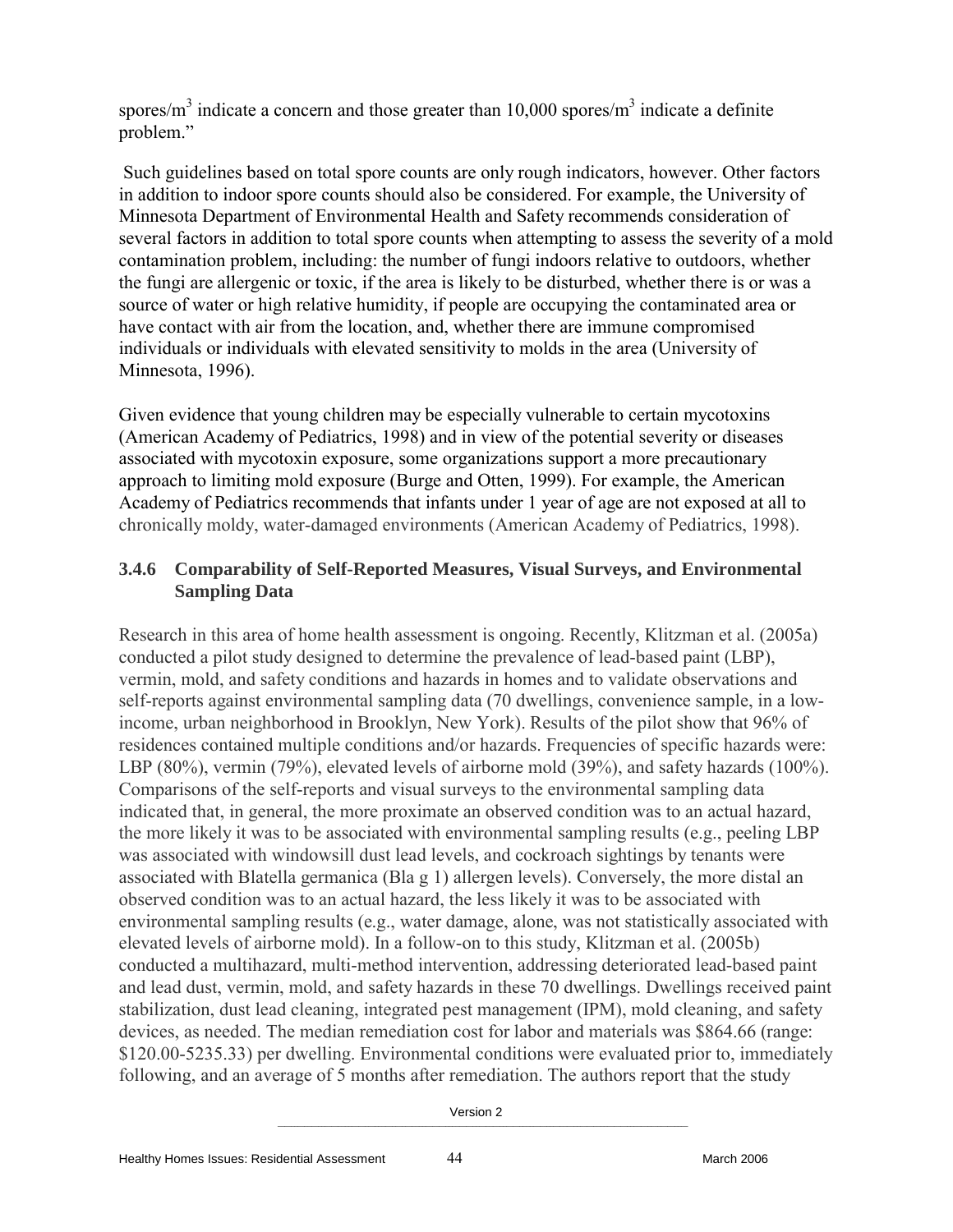spores/m<sup>3</sup> indicate a concern and those greater than 10,000 spores/m<sup>3</sup> indicate a definite problem."

 Such guidelines based on total spore counts are only rough indicators, however. Other factors in addition to indoor spore counts should also be considered. For example, the University of Minnesota Department of Environmental Health and Safety recommends consideration of several factors in addition to total spore counts when attempting to assess the severity of a mold contamination problem, including: the number of fungi indoors relative to outdoors, whether the fungi are allergenic or toxic, if the area is likely to be disturbed, whether there is or was a source of water or high relative humidity, if people are occupying the contaminated area or have contact with air from the location, and, whether there are immune compromised individuals or individuals with elevated sensitivity to molds in the area (University of Minnesota, 1996).

Given evidence that young children may be especially vulnerable to certain mycotoxins (American Academy of Pediatrics, 1998) and in view of the potential severity or diseases associated with mycotoxin exposure, some organizations support a more precautionary approach to limiting mold exposure (Burge and Otten, 1999). For example, the American Academy of Pediatrics recommends that infants under 1 year of age are not exposed at all to chronically moldy, water-damaged environments (American Academy of Pediatrics, 1998).

#### **3.4.6 Comparability of Self-Reported Measures, Visual Surveys, and Environmental Sampling Data**

Research in this area of home health assessment is ongoing. Recently, Klitzman et al. (2005a) conducted a pilot study designed to determine the prevalence of lead-based paint (LBP), vermin, mold, and safety conditions and hazards in homes and to validate observations and self-reports against environmental sampling data (70 dwellings, convenience sample, in a lowincome, urban neighborhood in Brooklyn, New York). Results of the pilot show that 96% of residences contained multiple conditions and/or hazards. Frequencies of specific hazards were: LBP (80%), vermin (79%), elevated levels of airborne mold (39%), and safety hazards (100%). Comparisons of the self-reports and visual surveys to the environmental sampling data indicated that, in general, the more proximate an observed condition was to an actual hazard, the more likely it was to be associated with environmental sampling results (e.g., peeling LBP was associated with windowsill dust lead levels, and cockroach sightings by tenants were associated with Blatella germanica (Bla g 1) allergen levels). Conversely, the more distal an observed condition was to an actual hazard, the less likely it was to be associated with environmental sampling results (e.g., water damage, alone, was not statistically associated with elevated levels of airborne mold). In a follow-on to this study, Klitzman et al. (2005b) conducted a multihazard, multi-method intervention, addressing deteriorated lead-based paint and lead dust, vermin, mold, and safety hazards in these 70 dwellings. Dwellings received paint stabilization, dust lead cleaning, integrated pest management (IPM), mold cleaning, and safety devices, as needed. The median remediation cost for labor and materials was \$864.66 (range: \$120.00-5235.33) per dwelling. Environmental conditions were evaluated prior to, immediately following, and an average of 5 months after remediation. The authors report that the study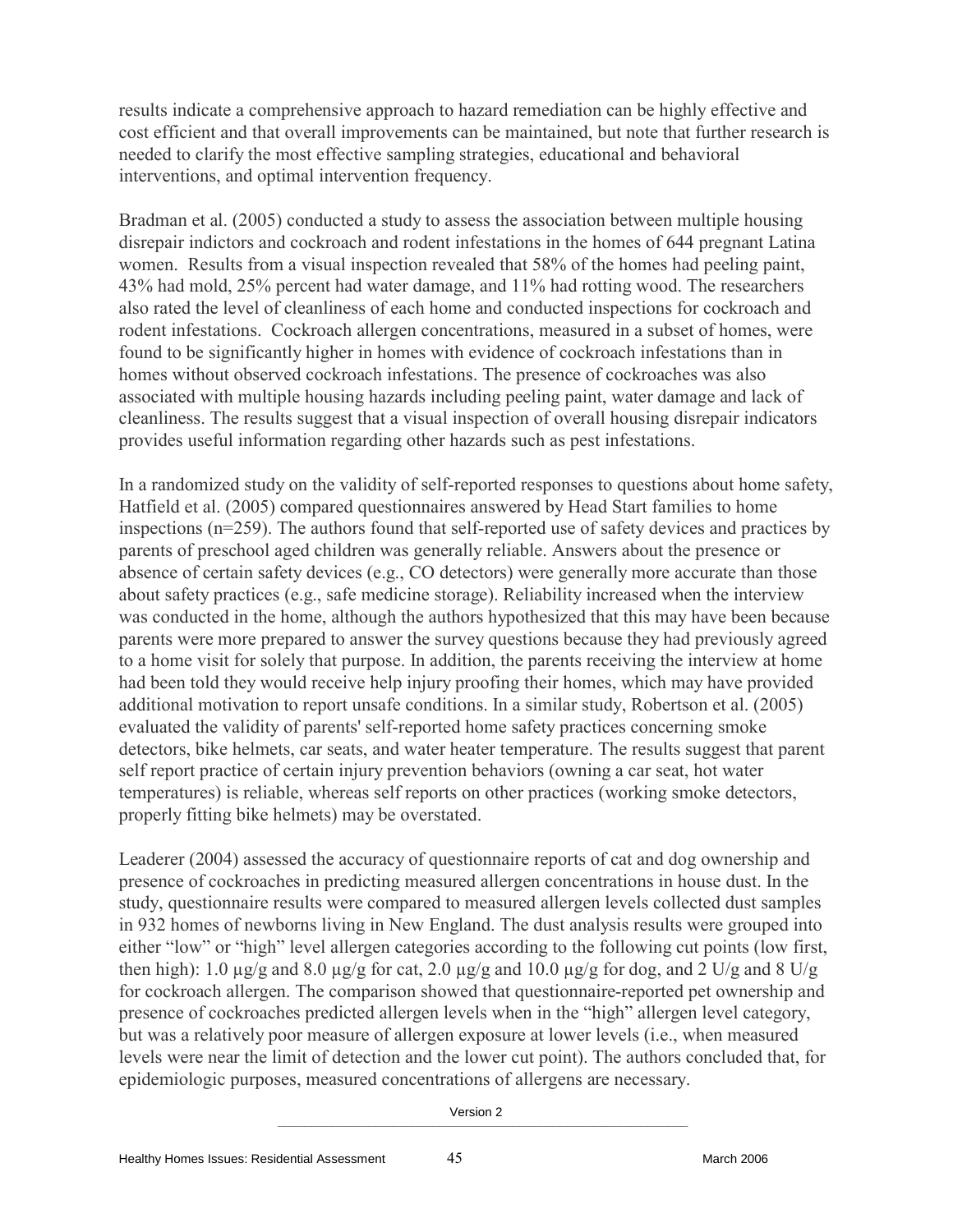results indicate a comprehensive approach to hazard remediation can be highly effective and cost efficient and that overall improvements can be maintained, but note that further research is needed to clarify the most effective sampling strategies, educational and behavioral interventions, and optimal intervention frequency.

Bradman et al. (2005) conducted a study to assess the association between multiple housing disrepair indictors and cockroach and rodent infestations in the homes of 644 pregnant Latina women. Results from a visual inspection revealed that 58% of the homes had peeling paint, 43% had mold, 25% percent had water damage, and 11% had rotting wood. The researchers also rated the level of cleanliness of each home and conducted inspections for cockroach and rodent infestations. Cockroach allergen concentrations, measured in a subset of homes, were found to be significantly higher in homes with evidence of cockroach infestations than in homes without observed cockroach infestations. The presence of cockroaches was also associated with multiple housing hazards including peeling paint, water damage and lack of cleanliness. The results suggest that a visual inspection of overall housing disrepair indicators provides useful information regarding other hazards such as pest infestations.

In a randomized study on the validity of self-reported responses to questions about home safety, Hatfield et al. (2005) compared questionnaires answered by Head Start families to home inspections (n=259). The authors found that self-reported use of safety devices and practices by parents of preschool aged children was generally reliable. Answers about the presence or absence of certain safety devices (e.g., CO detectors) were generally more accurate than those about safety practices (e.g., safe medicine storage). Reliability increased when the interview was conducted in the home, although the authors hypothesized that this may have been because parents were more prepared to answer the survey questions because they had previously agreed to a home visit for solely that purpose. In addition, the parents receiving the interview at home had been told they would receive help injury proofing their homes, which may have provided additional motivation to report unsafe conditions. In a similar study, Robertson et al. (2005) evaluated the validity of parents' self-reported home safety practices concerning smoke detectors, bike helmets, car seats, and water heater temperature. The results suggest that parent self report practice of certain injury prevention behaviors (owning a car seat, hot water temperatures) is reliable, whereas self reports on other practices (working smoke detectors, properly fitting bike helmets) may be overstated.

Leaderer (2004) assessed the accuracy of questionnaire reports of cat and dog ownership and presence of cockroaches in predicting measured allergen concentrations in house dust. In the study, questionnaire results were compared to measured allergen levels collected dust samples in 932 homes of newborns living in New England. The dust analysis results were grouped into either "low" or "high" level allergen categories according to the following cut points (low first, then high): 1.0  $\mu$ g/g and 8.0  $\mu$ g/g for cat, 2.0  $\mu$ g/g and 10.0  $\mu$ g/g for dog, and 2 U/g and 8 U/g for cockroach allergen. The comparison showed that questionnaire-reported pet ownership and presence of cockroaches predicted allergen levels when in the "high" allergen level category, but was a relatively poor measure of allergen exposure at lower levels (i.e., when measured levels were near the limit of detection and the lower cut point). The authors concluded that, for epidemiologic purposes, measured concentrations of allergens are necessary.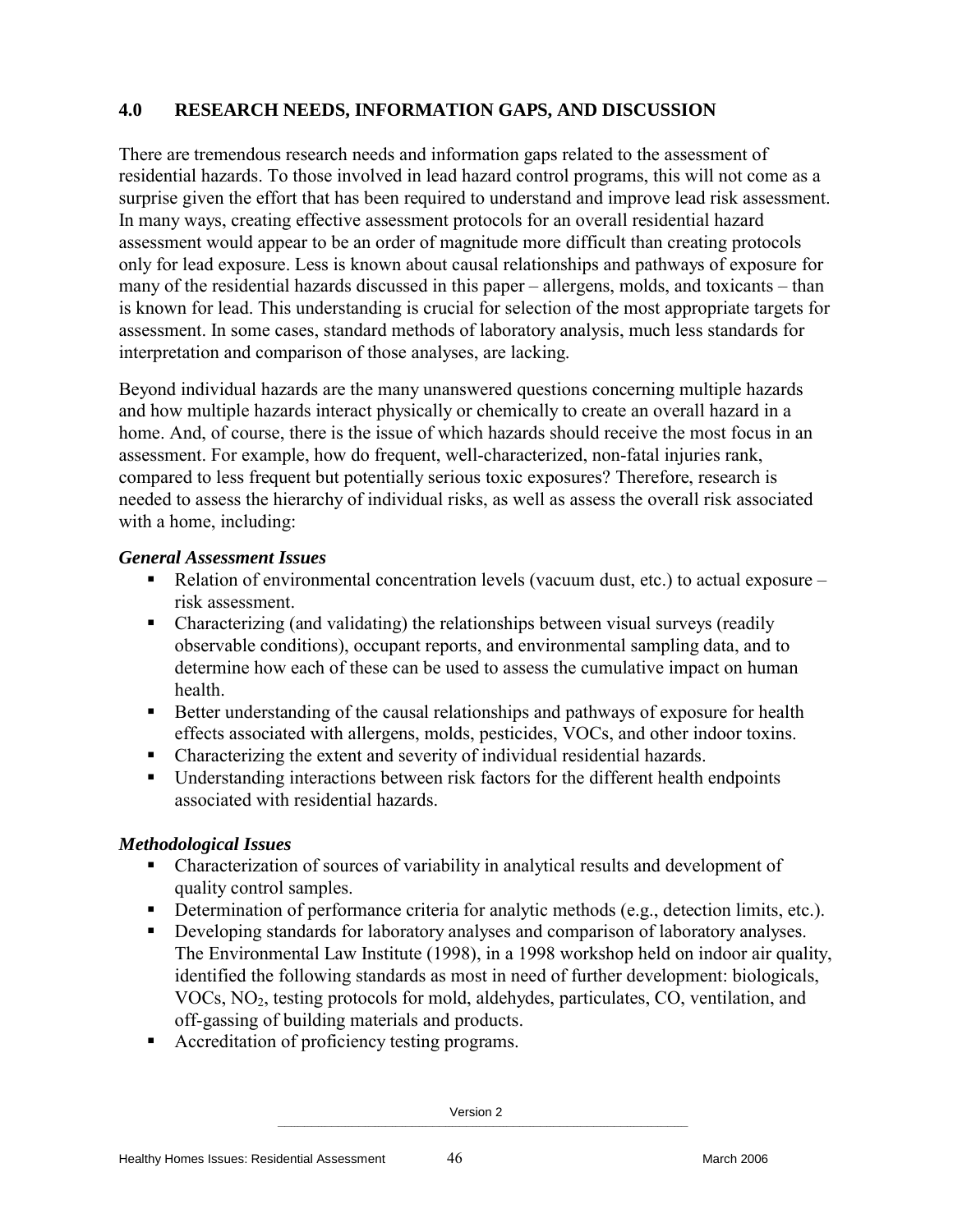### **4.0 RESEARCH NEEDS, INFORMATION GAPS, AND DISCUSSION**

There are tremendous research needs and information gaps related to the assessment of residential hazards. To those involved in lead hazard control programs, this will not come as a surprise given the effort that has been required to understand and improve lead risk assessment. In many ways, creating effective assessment protocols for an overall residential hazard assessment would appear to be an order of magnitude more difficult than creating protocols only for lead exposure. Less is known about causal relationships and pathways of exposure for many of the residential hazards discussed in this paper – allergens, molds, and toxicants – than is known for lead. This understanding is crucial for selection of the most appropriate targets for assessment. In some cases, standard methods of laboratory analysis, much less standards for interpretation and comparison of those analyses, are lacking.

Beyond individual hazards are the many unanswered questions concerning multiple hazards and how multiple hazards interact physically or chemically to create an overall hazard in a home. And, of course, there is the issue of which hazards should receive the most focus in an assessment. For example, how do frequent, well-characterized, non-fatal injuries rank, compared to less frequent but potentially serious toxic exposures? Therefore, research is needed to assess the hierarchy of individual risks, as well as assess the overall risk associated with a home, including:

#### *General Assessment Issues*

- Relation of environmental concentration levels (vacuum dust, etc.) to actual exposure risk assessment.
- Characterizing (and validating) the relationships between visual surveys (readily observable conditions), occupant reports, and environmental sampling data, and to determine how each of these can be used to assess the cumulative impact on human health.
- Better understanding of the causal relationships and pathways of exposure for health effects associated with allergens, molds, pesticides, VOCs, and other indoor toxins.
- Characterizing the extent and severity of individual residential hazards.
- Understanding interactions between risk factors for the different health endpoints associated with residential hazards.

#### *Methodological Issues*

- Characterization of sources of variability in analytical results and development of quality control samples.
- Determination of performance criteria for analytic methods (e.g., detection limits, etc.).
- Developing standards for laboratory analyses and comparison of laboratory analyses. The Environmental Law Institute (1998), in a 1998 workshop held on indoor air quality, identified the following standards as most in need of further development: biologicals, VOCs, NO2, testing protocols for mold, aldehydes, particulates, CO, ventilation, and off-gassing of building materials and products.
- Accreditation of proficiency testing programs.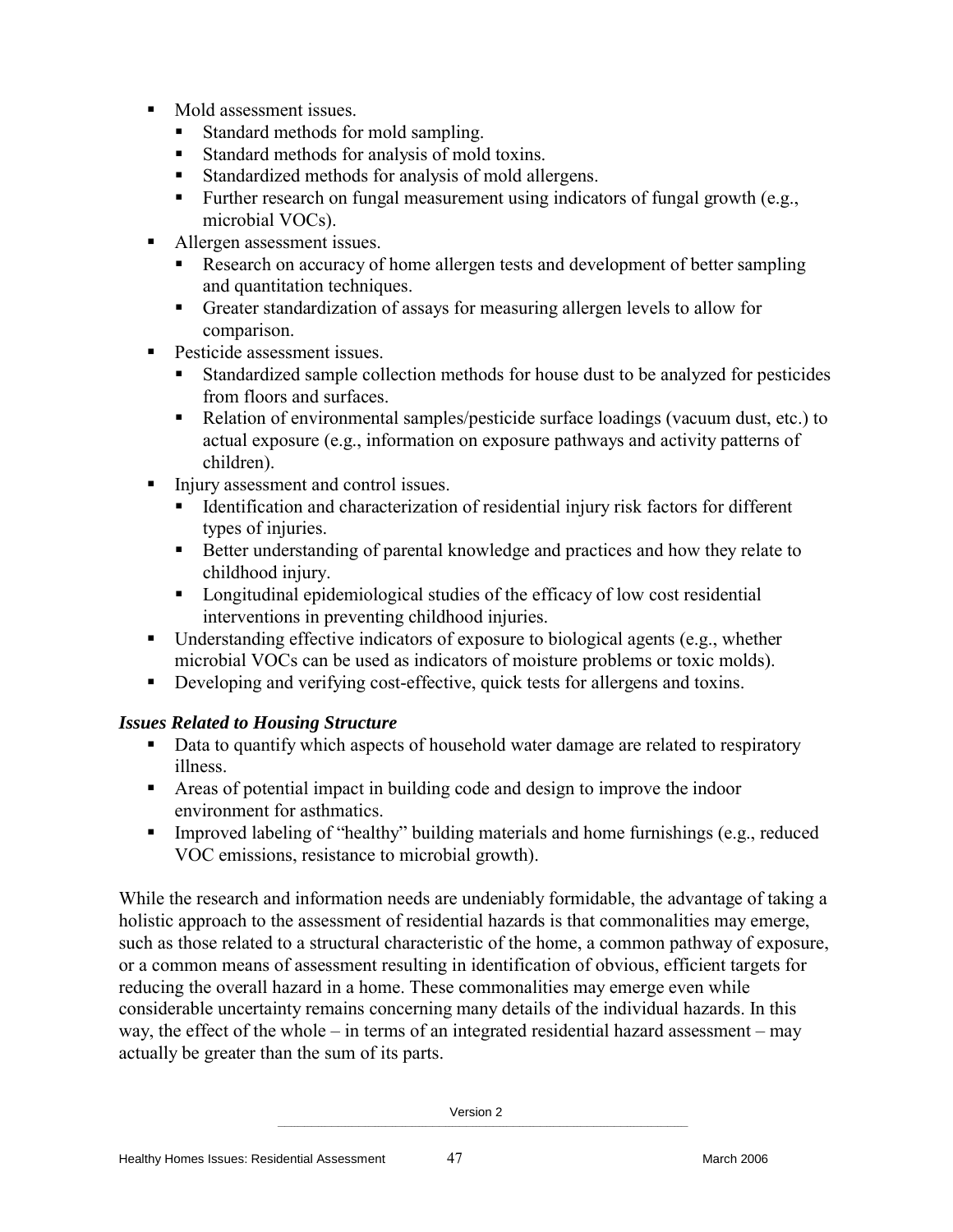- Mold assessment issues.
	- Standard methods for mold sampling.
	- Standard methods for analysis of mold toxins.
	- Standardized methods for analysis of mold allergens.
	- Further research on fungal measurement using indicators of fungal growth (e.g., microbial VOCs).
- Allergen assessment issues.
	- Research on accuracy of home allergen tests and development of better sampling and quantitation techniques.
	- Greater standardization of assays for measuring allergen levels to allow for comparison.
- **Pesticide assessment issues.** 
	- Standardized sample collection methods for house dust to be analyzed for pesticides from floors and surfaces.
	- Relation of environmental samples/pesticide surface loadings (vacuum dust, etc.) to actual exposure (e.g., information on exposure pathways and activity patterns of children).
- Injury assessment and control issues.
	- Identification and characterization of residential injury risk factors for different types of injuries.
	- Better understanding of parental knowledge and practices and how they relate to childhood injury.
	- Longitudinal epidemiological studies of the efficacy of low cost residential interventions in preventing childhood injuries.
- $\blacksquare$  Understanding effective indicators of exposure to biological agents (e.g., whether microbial VOCs can be used as indicators of moisture problems or toxic molds).
- Developing and verifying cost-effective, quick tests for allergens and toxins.

#### *Issues Related to Housing Structure*

- Data to quantify which aspects of household water damage are related to respiratory illness.
- Areas of potential impact in building code and design to improve the indoor environment for asthmatics.
- Improved labeling of "healthy" building materials and home furnishings (e.g., reduced VOC emissions, resistance to microbial growth).

While the research and information needs are undeniably formidable, the advantage of taking a holistic approach to the assessment of residential hazards is that commonalities may emerge, such as those related to a structural characteristic of the home, a common pathway of exposure, or a common means of assessment resulting in identification of obvious, efficient targets for reducing the overall hazard in a home. These commonalities may emerge even while considerable uncertainty remains concerning many details of the individual hazards. In this way, the effect of the whole – in terms of an integrated residential hazard assessment – may actually be greater than the sum of its parts.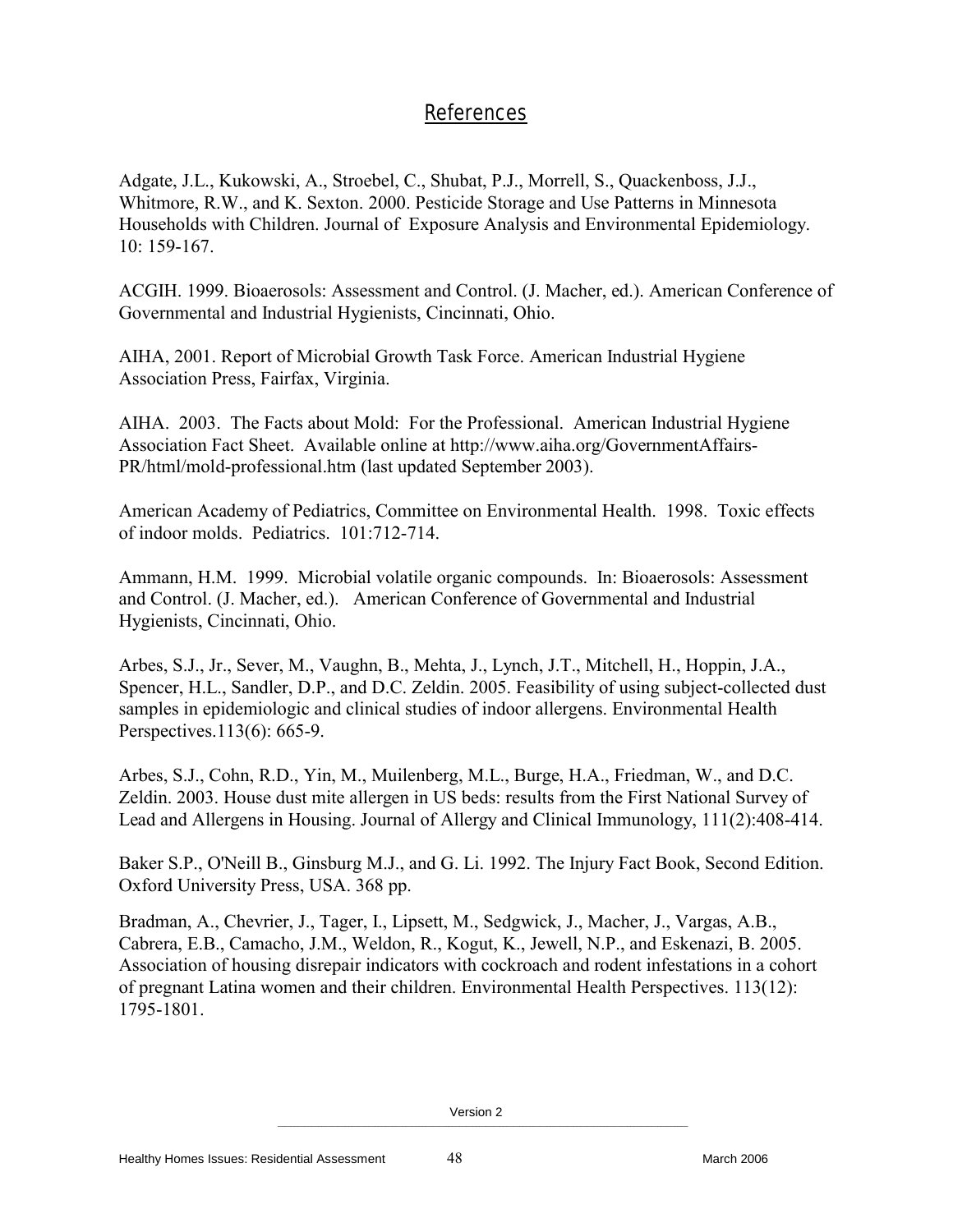# References

Adgate, J.L., Kukowski, A., Stroebel, C., Shubat, P.J., Morrell, S., Quackenboss, J.J., Whitmore, R.W., and K. Sexton. 2000. Pesticide Storage and Use Patterns in Minnesota Households with Children. Journal of Exposure Analysis and Environmental Epidemiology. 10: 159-167.

ACGIH. 1999. Bioaerosols: Assessment and Control. (J. Macher, ed.). American Conference of Governmental and Industrial Hygienists, Cincinnati, Ohio.

AIHA, 2001. Report of Microbial Growth Task Force. American Industrial Hygiene Association Press, Fairfax, Virginia.

AIHA. 2003. The Facts about Mold: For the Professional. American Industrial Hygiene Association Fact Sheet. Available online at http://www.aiha.org/GovernmentAffairs-PR/html/mold-professional.htm (last updated September 2003).

American Academy of Pediatrics, Committee on Environmental Health. 1998. Toxic effects of indoor molds. Pediatrics. 101:712-714.

Ammann, H.M. 1999. Microbial volatile organic compounds. In: Bioaerosols: Assessment and Control. (J. Macher, ed.). American Conference of Governmental and Industrial Hygienists, Cincinnati, Ohio.

Arbes, S.J., Jr., Sever, M., Vaughn, B., Mehta, J., Lynch, J.T., Mitchell, H., Hoppin, J.A., Spencer, H.L., Sandler, D.P., and D.C. Zeldin. 2005. Feasibility of using subject-collected dust samples in epidemiologic and clinical studies of indoor allergens. Environmental Health Perspectives.113(6): 665-9.

Arbes, S.J., Cohn, R.D., Yin, M., Muilenberg, M.L., Burge, H.A., Friedman, W., and D.C. Zeldin. 2003. House dust mite allergen in US beds: results from the First National Survey of Lead and Allergens in Housing. Journal of Allergy and Clinical Immunology, 111(2):408-414.

Baker S.P., O'Neill B., Ginsburg M.J., and G. Li. 1992. The Injury Fact Book, Second Edition. Oxford University Press, USA. 368 pp.

Bradman, A., Chevrier, J., Tager, I., Lipsett, M., Sedgwick, J., Macher, J., Vargas, A.B., Cabrera, E.B., Camacho, J.M., Weldon, R., Kogut, K., Jewell, N.P., and Eskenazi, B. 2005. Association of housing disrepair indicators with cockroach and rodent infestations in a cohort of pregnant Latina women and their children. Environmental Health Perspectives. 113(12): 1795-1801.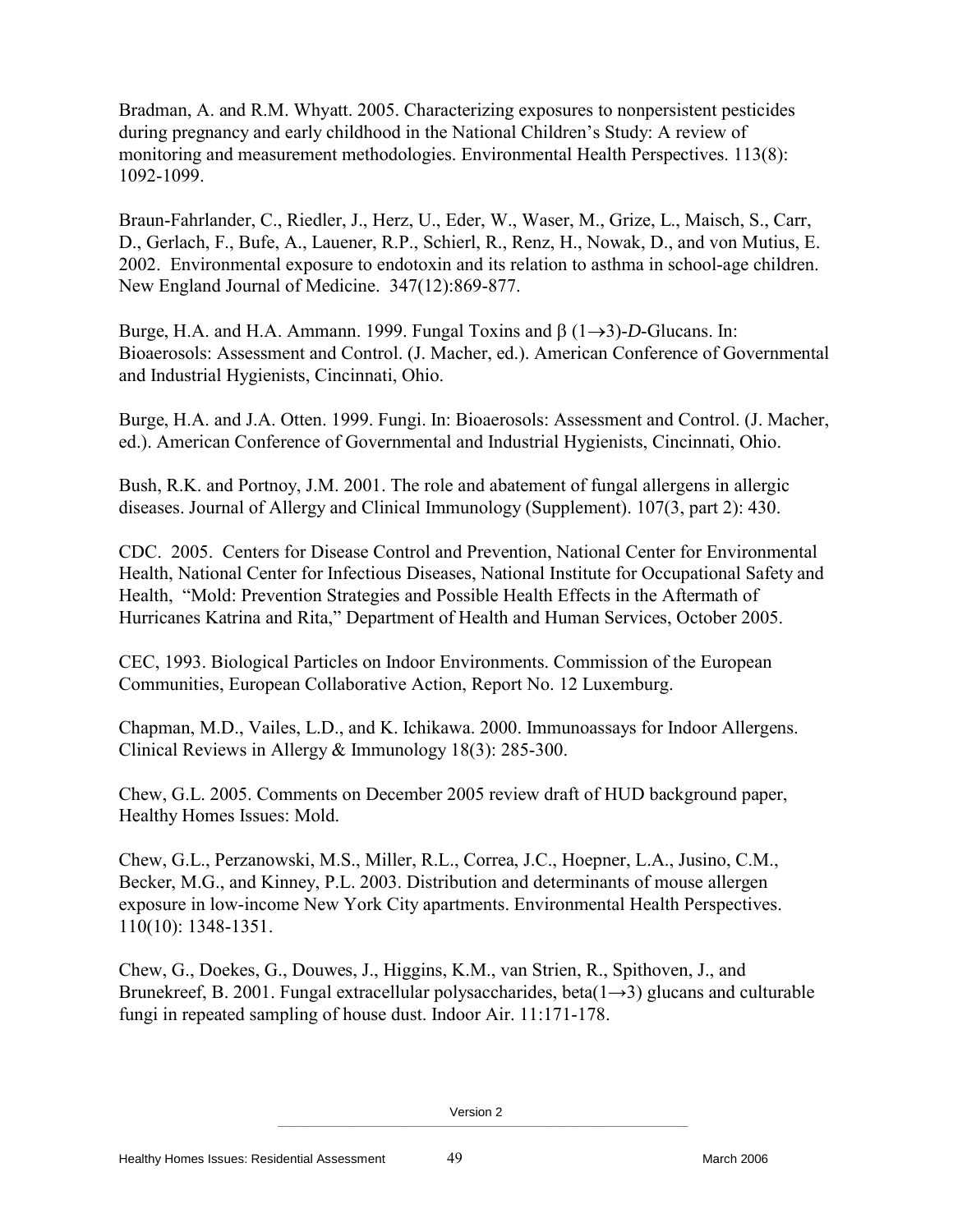Bradman, A. and R.M. Whyatt. 2005. Characterizing exposures to nonpersistent pesticides during pregnancy and early childhood in the National Children's Study: A review of monitoring and measurement methodologies. Environmental Health Perspectives. 113(8): 1092-1099.

Braun-Fahrlander, C., Riedler, J., Herz, U., Eder, W., Waser, M., Grize, L., Maisch, S., Carr, D., Gerlach, F., Bufe, A., Lauener, R.P., Schierl, R., Renz, H., Nowak, D., and von Mutius, E. 2002. Environmental exposure to endotoxin and its relation to asthma in school-age children. New England Journal of Medicine. 347(12):869-877.

Burge, H.A. and H.A. Ammann. 1999. Fungal Toxins and  $\beta$  (1 $\rightarrow$ 3)-*D*-Glucans. In: Bioaerosols: Assessment and Control. (J. Macher, ed.). American Conference of Governmental and Industrial Hygienists, Cincinnati, Ohio.

Burge, H.A. and J.A. Otten. 1999. Fungi. In: Bioaerosols: Assessment and Control. (J. Macher, ed.). American Conference of Governmental and Industrial Hygienists, Cincinnati, Ohio.

Bush, R.K. and Portnoy, J.M. 2001. The role and abatement of fungal allergens in allergic diseases. Journal of Allergy and Clinical Immunology (Supplement). 107(3, part 2): 430.

CDC. 2005. Centers for Disease Control and Prevention, National Center for Environmental Health, National Center for Infectious Diseases, National Institute for Occupational Safety and Health, "Mold: Prevention Strategies and Possible Health Effects in the Aftermath of Hurricanes Katrina and Rita," Department of Health and Human Services, October 2005.

CEC, 1993. Biological Particles on Indoor Environments. Commission of the European Communities, European Collaborative Action, Report No. 12 Luxemburg.

Chapman, M.D., Vailes, L.D., and K. Ichikawa. 2000. Immunoassays for Indoor Allergens. Clinical Reviews in Allergy & Immunology 18(3): 285-300.

Chew, G.L. 2005. Comments on December 2005 review draft of HUD background paper, Healthy Homes Issues: Mold.

Chew, G.L., Perzanowski, M.S., Miller, R.L., Correa, J.C., Hoepner, L.A., Jusino, C.M., Becker, M.G., and Kinney, P.L. 2003. Distribution and determinants of mouse allergen exposure in low-income New York City apartments. Environmental Health Perspectives. 110(10): 1348-1351.

Chew, G., Doekes, G., Douwes, J., Higgins, K.M., van Strien, R., Spithoven, J., and Brunekreef, B. 2001. Fungal extracellular polysaccharides, beta(1→3) glucans and culturable fungi in repeated sampling of house dust. Indoor Air. 11:171-178.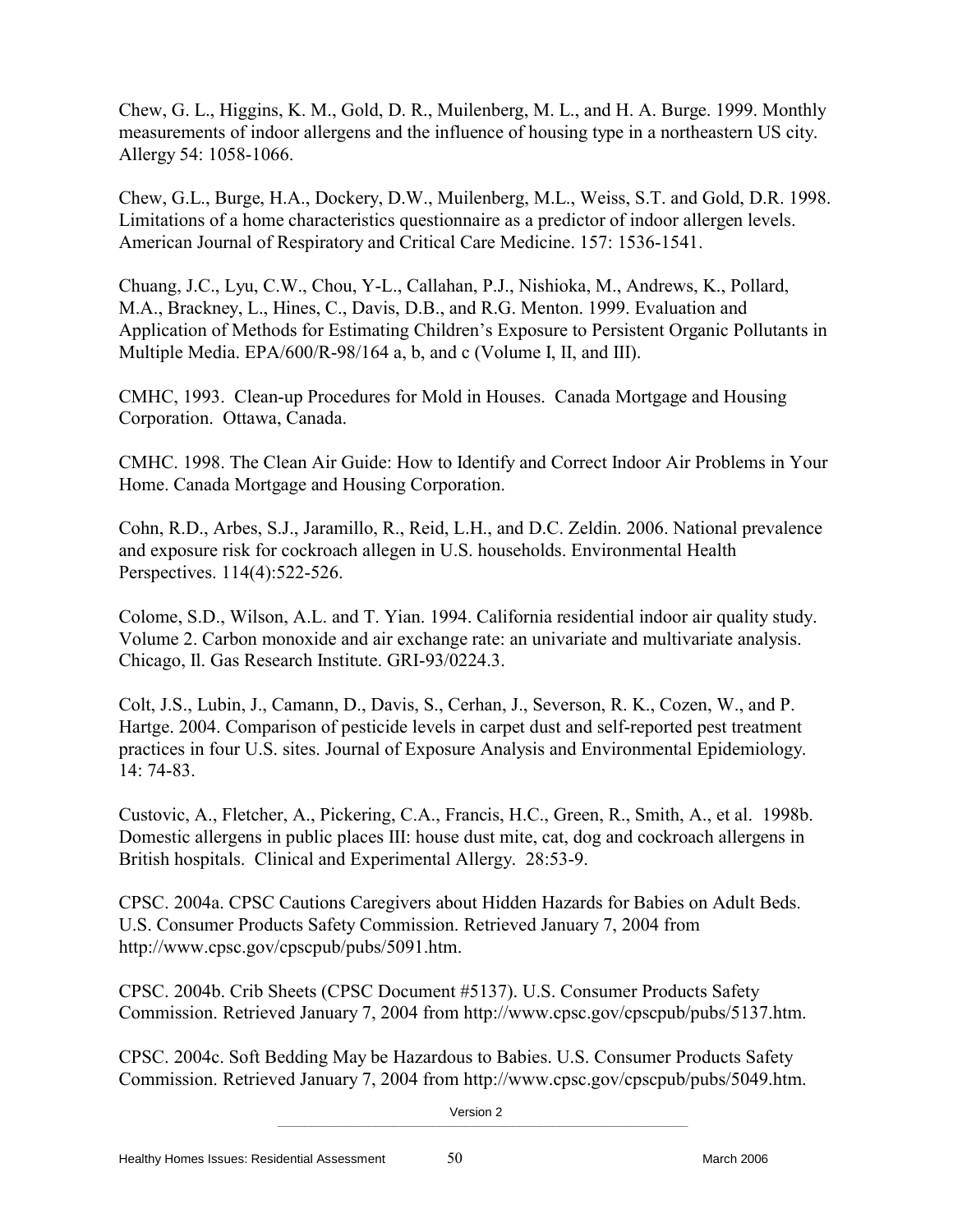Chew, G. L., Higgins, K. M., Gold, D. R., Muilenberg, M. L., and H. A. Burge. 1999. Monthly measurements of indoor allergens and the influence of housing type in a northeastern US city. Allergy 54: 1058-1066.

Chew, G.L., Burge, H.A., Dockery, D.W., Muilenberg, M.L., Weiss, S.T. and Gold, D.R. 1998. Limitations of a home characteristics questionnaire as a predictor of indoor allergen levels. American Journal of Respiratory and Critical Care Medicine. 157: 1536-1541.

Chuang, J.C., Lyu, C.W., Chou, Y-L., Callahan, P.J., Nishioka, M., Andrews, K., Pollard, M.A., Brackney, L., Hines, C., Davis, D.B., and R.G. Menton. 1999. Evaluation and Application of Methods for Estimating Children's Exposure to Persistent Organic Pollutants in Multiple Media. EPA/600/R-98/164 a, b, and c (Volume I, II, and III).

CMHC, 1993. Clean-up Procedures for Mold in Houses. Canada Mortgage and Housing Corporation. Ottawa, Canada.

CMHC. 1998. The Clean Air Guide: How to Identify and Correct Indoor Air Problems in Your Home. Canada Mortgage and Housing Corporation.

Cohn, R.D., Arbes, S.J., Jaramillo, R., Reid, L.H., and D.C. Zeldin. 2006. National prevalence and exposure risk for cockroach allegen in U.S. households. Environmental Health Perspectives. 114(4):522-526.

Colome, S.D., Wilson, A.L. and T. Yian. 1994. California residential indoor air quality study. Volume 2. Carbon monoxide and air exchange rate: an univariate and multivariate analysis. Chicago, Il. Gas Research Institute. GRI-93/0224.3.

Colt, J.S., Lubin, J., Camann, D., Davis, S., Cerhan, J., Severson, R. K., Cozen, W., and P. Hartge. 2004. Comparison of pesticide levels in carpet dust and self-reported pest treatment practices in four U.S. sites. Journal of Exposure Analysis and Environmental Epidemiology. 14: 74-83.

Custovic, A., Fletcher, A., Pickering, C.A., Francis, H.C., Green, R., Smith, A., et al. 1998b. Domestic allergens in public places III: house dust mite, cat, dog and cockroach allergens in British hospitals. Clinical and Experimental Allergy. 28:53-9.

CPSC. 2004a. CPSC Cautions Caregivers about Hidden Hazards for Babies on Adult Beds. U.S. Consumer Products Safety Commission. Retrieved January 7, 2004 from http://www.cpsc.gov/cpscpub/pubs/5091.htm.

CPSC. 2004b. Crib Sheets (CPSC Document #5137). U.S. Consumer Products Safety Commission. Retrieved January 7, 2004 from http://www.cpsc.gov/cpscpub/pubs/5137.htm.

CPSC. 2004c. Soft Bedding May be Hazardous to Babies. U.S. Consumer Products Safety Commission. Retrieved January 7, 2004 from http://www.cpsc.gov/cpscpub/pubs/5049.htm.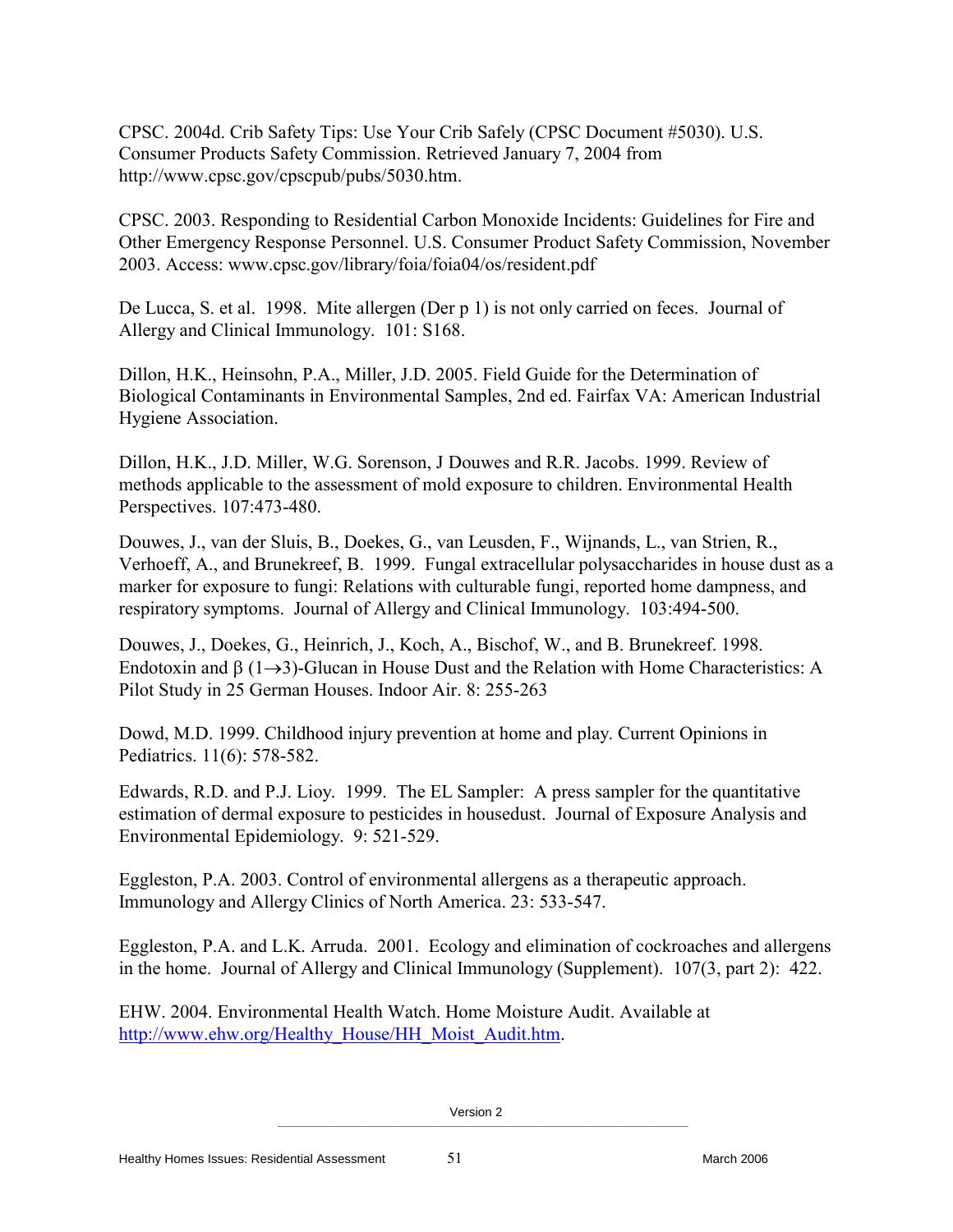CPSC. 2004d. Crib Safety Tips: Use Your Crib Safely (CPSC Document #5030). U.S. Consumer Products Safety Commission. Retrieved January 7, 2004 from http://www.cpsc.gov/cpscpub/pubs/5030.htm.

CPSC. 2003. Responding to Residential Carbon Monoxide Incidents: Guidelines for Fire and Other Emergency Response Personnel. U.S. Consumer Product Safety Commission, November 2003. Access: www.cpsc.gov/library/foia/foia04/os/resident.pdf

De Lucca, S. et al. 1998. Mite allergen (Der p 1) is not only carried on feces. Journal of Allergy and Clinical Immunology. 101: S168.

Dillon, H.K., Heinsohn, P.A., Miller, J.D. 2005. Field Guide for the Determination of Biological Contaminants in Environmental Samples, 2nd ed. Fairfax VA: American Industrial Hygiene Association.

Dillon, H.K., J.D. Miller, W.G. Sorenson, J Douwes and R.R. Jacobs. 1999. Review of methods applicable to the assessment of mold exposure to children. Environmental Health Perspectives. 107:473-480.

Douwes, J., van der Sluis, B., Doekes, G., van Leusden, F., Wijnands, L., van Strien, R., Verhoeff, A., and Brunekreef, B. 1999. Fungal extracellular polysaccharides in house dust as a marker for exposure to fungi: Relations with culturable fungi, reported home dampness, and respiratory symptoms. Journal of Allergy and Clinical Immunology. 103:494-500.

Douwes, J., Doekes, G., Heinrich, J., Koch, A., Bischof, W., and B. Brunekreef. 1998. Endotoxin and  $\beta$  (1 $\rightarrow$ 3)-Glucan in House Dust and the Relation with Home Characteristics: A Pilot Study in 25 German Houses. Indoor Air. 8: 255-263

Dowd, M.D. 1999. Childhood injury prevention at home and play. Current Opinions in Pediatrics. 11(6): 578-582.

Edwards, R.D. and P.J. Lioy. 1999. The EL Sampler: A press sampler for the quantitative estimation of dermal exposure to pesticides in housedust. Journal of Exposure Analysis and Environmental Epidemiology. 9: 521-529.

Eggleston, P.A. 2003. Control of environmental allergens as a therapeutic approach. Immunology and Allergy Clinics of North America. 23: 533-547.

Eggleston, P.A. and L.K. Arruda. 2001. Ecology and elimination of cockroaches and allergens in the home. Journal of Allergy and Clinical Immunology (Supplement). 107(3, part 2): 422.

EHW. 2004. Environmental Health Watch. Home Moisture Audit. Available at http://www.ehw.org/Healthy\_House/HH\_Moist\_Audit.htm.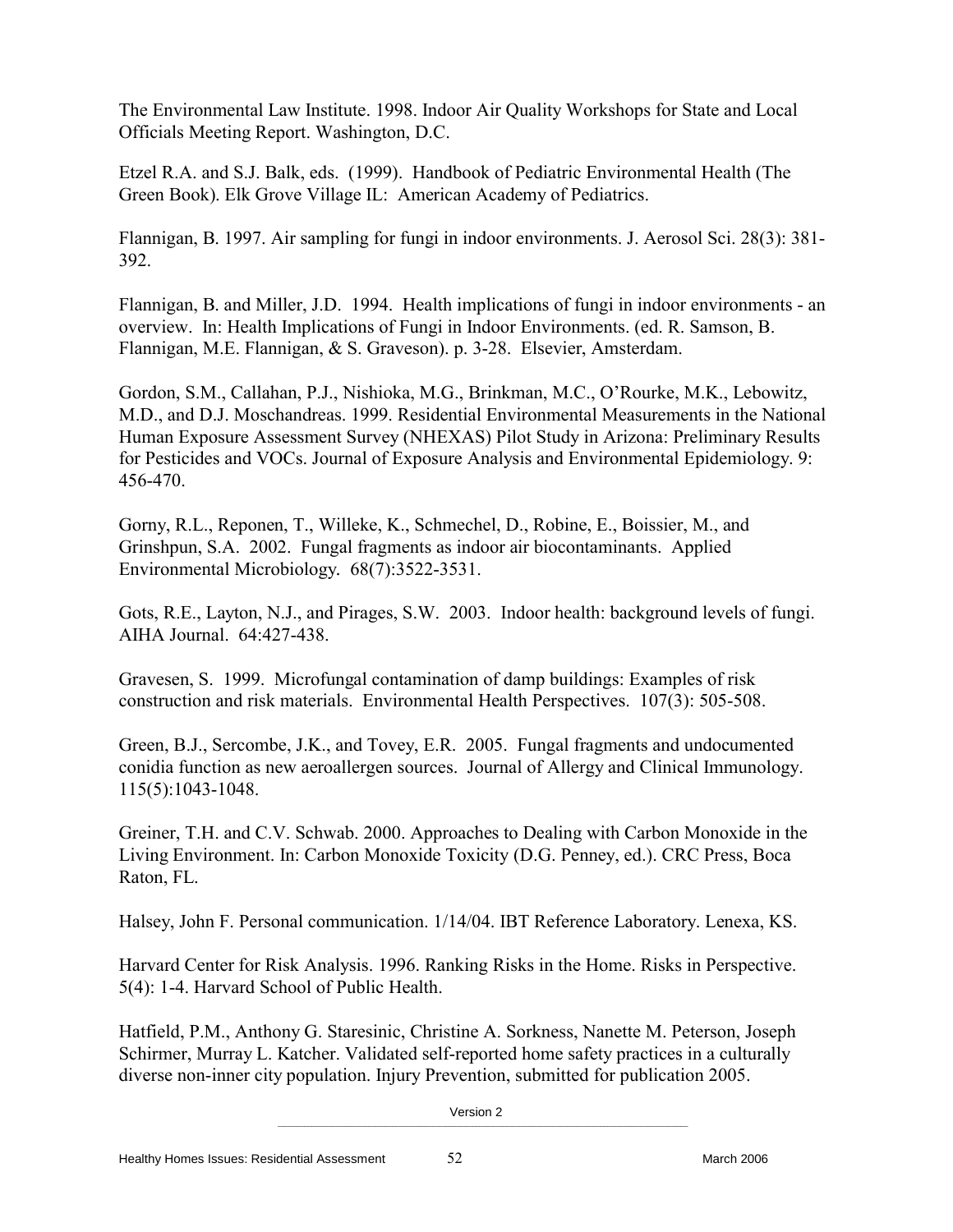The Environmental Law Institute. 1998. Indoor Air Quality Workshops for State and Local Officials Meeting Report. Washington, D.C.

Etzel R.A. and S.J. Balk, eds. (1999). Handbook of Pediatric Environmental Health (The Green Book). Elk Grove Village IL: American Academy of Pediatrics.

Flannigan, B. 1997. Air sampling for fungi in indoor environments. J. Aerosol Sci. 28(3): 381- 392.

Flannigan, B. and Miller, J.D. 1994. Health implications of fungi in indoor environments - an overview. In: Health Implications of Fungi in Indoor Environments. (ed. R. Samson, B. Flannigan, M.E. Flannigan, & S. Graveson). p. 3-28. Elsevier, Amsterdam.

Gordon, S.M., Callahan, P.J., Nishioka, M.G., Brinkman, M.C., O'Rourke, M.K., Lebowitz, M.D., and D.J. Moschandreas. 1999. Residential Environmental Measurements in the National Human Exposure Assessment Survey (NHEXAS) Pilot Study in Arizona: Preliminary Results for Pesticides and VOCs. Journal of Exposure Analysis and Environmental Epidemiology. 9: 456-470.

Gorny, R.L., Reponen, T., Willeke, K., Schmechel, D., Robine, E., Boissier, M., and Grinshpun, S.A. 2002. Fungal fragments as indoor air biocontaminants. Applied Environmental Microbiology*.* 68(7):3522-3531.

Gots, R.E., Layton, N.J., and Pirages, S.W. 2003. Indoor health: background levels of fungi. AIHA Journal. 64:427-438.

Gravesen, S. 1999. Microfungal contamination of damp buildings: Examples of risk construction and risk materials. Environmental Health Perspectives. 107(3): 505-508.

Green, B.J., Sercombe, J.K., and Tovey, E.R. 2005. Fungal fragments and undocumented conidia function as new aeroallergen sources. Journal of Allergy and Clinical Immunology. 115(5):1043-1048.

Greiner, T.H. and C.V. Schwab. 2000. Approaches to Dealing with Carbon Monoxide in the Living Environment. In: Carbon Monoxide Toxicity (D.G. Penney, ed.). CRC Press, Boca Raton, FL.

Halsey, John F. Personal communication. 1/14/04. IBT Reference Laboratory. Lenexa, KS.

Harvard Center for Risk Analysis. 1996. Ranking Risks in the Home. Risks in Perspective. 5(4): 1-4. Harvard School of Public Health.

Hatfield, P.M., Anthony G. Staresinic, Christine A. Sorkness, Nanette M. Peterson, Joseph Schirmer, Murray L. Katcher. Validated self-reported home safety practices in a culturally diverse non-inner city population. Injury Prevention, submitted for publication 2005.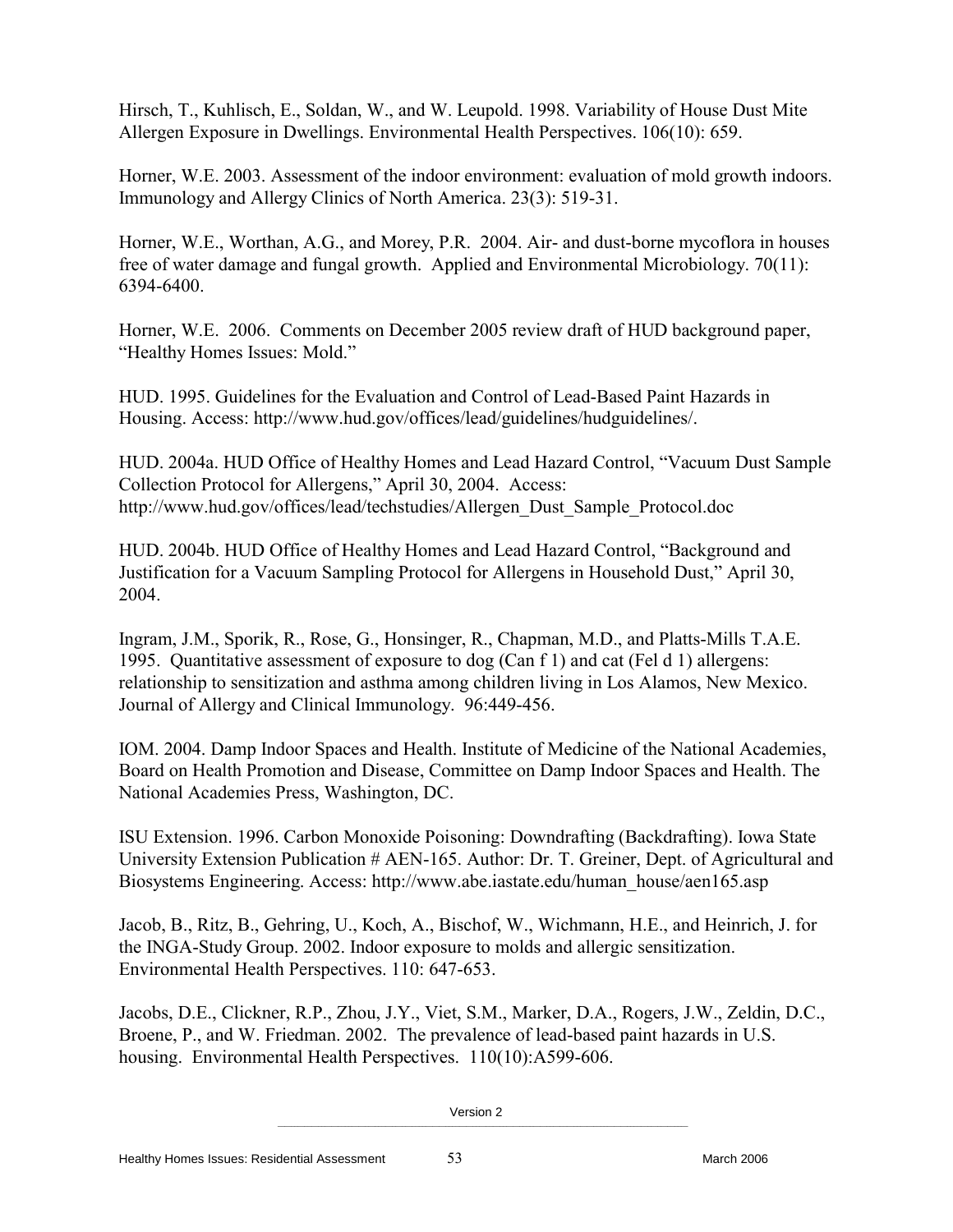Hirsch, T., Kuhlisch, E., Soldan, W., and W. Leupold. 1998. Variability of House Dust Mite Allergen Exposure in Dwellings. Environmental Health Perspectives. 106(10): 659.

Horner, W.E. 2003. Assessment of the indoor environment: evaluation of mold growth indoors. Immunology and Allergy Clinics of North America. 23(3): 519-31.

Horner, W.E., Worthan, A.G., and Morey, P.R. 2004. Air- and dust-borne mycoflora in houses free of water damage and fungal growth. Applied and Environmental Microbiology. 70(11): 6394-6400.

Horner, W.E. 2006. Comments on December 2005 review draft of HUD background paper, "Healthy Homes Issues: Mold."

HUD. 1995. Guidelines for the Evaluation and Control of Lead-Based Paint Hazards in Housing. Access: http://www.hud.gov/offices/lead/guidelines/hudguidelines/.

HUD. 2004a. HUD Office of Healthy Homes and Lead Hazard Control, "Vacuum Dust Sample Collection Protocol for Allergens," April 30, 2004. Access: http://www.hud.gov/offices/lead/techstudies/Allergen\_Dust\_Sample\_Protocol.doc

HUD. 2004b. HUD Office of Healthy Homes and Lead Hazard Control, "Background and Justification for a Vacuum Sampling Protocol for Allergens in Household Dust," April 30, 2004.

Ingram, J.M., Sporik, R., Rose, G., Honsinger, R., Chapman, M.D., and Platts-Mills T.A.E. 1995. Quantitative assessment of exposure to dog (Can f 1) and cat (Fel d 1) allergens: relationship to sensitization and asthma among children living in Los Alamos, New Mexico. Journal of Allergy and Clinical Immunology. 96:449-456.

IOM. 2004. Damp Indoor Spaces and Health. Institute of Medicine of the National Academies, Board on Health Promotion and Disease, Committee on Damp Indoor Spaces and Health. The National Academies Press, Washington, DC.

ISU Extension. 1996. Carbon Monoxide Poisoning: Downdrafting (Backdrafting). Iowa State University Extension Publication # AEN-165. Author: Dr. T. Greiner, Dept. of Agricultural and Biosystems Engineering. Access: http://www.abe.iastate.edu/human\_house/aen165.asp

Jacob, B., Ritz, B., Gehring, U., Koch, A., Bischof, W., Wichmann, H.E., and Heinrich, J. for the INGA-Study Group. 2002. Indoor exposure to molds and allergic sensitization. Environmental Health Perspectives. 110: 647-653.

Jacobs, D.E., Clickner, R.P., Zhou, J.Y., Viet, S.M., Marker, D.A., Rogers, J.W., Zeldin, D.C., Broene, P., and W. Friedman. 2002. The prevalence of lead-based paint hazards in U.S. housing. Environmental Health Perspectives. 110(10):A599-606.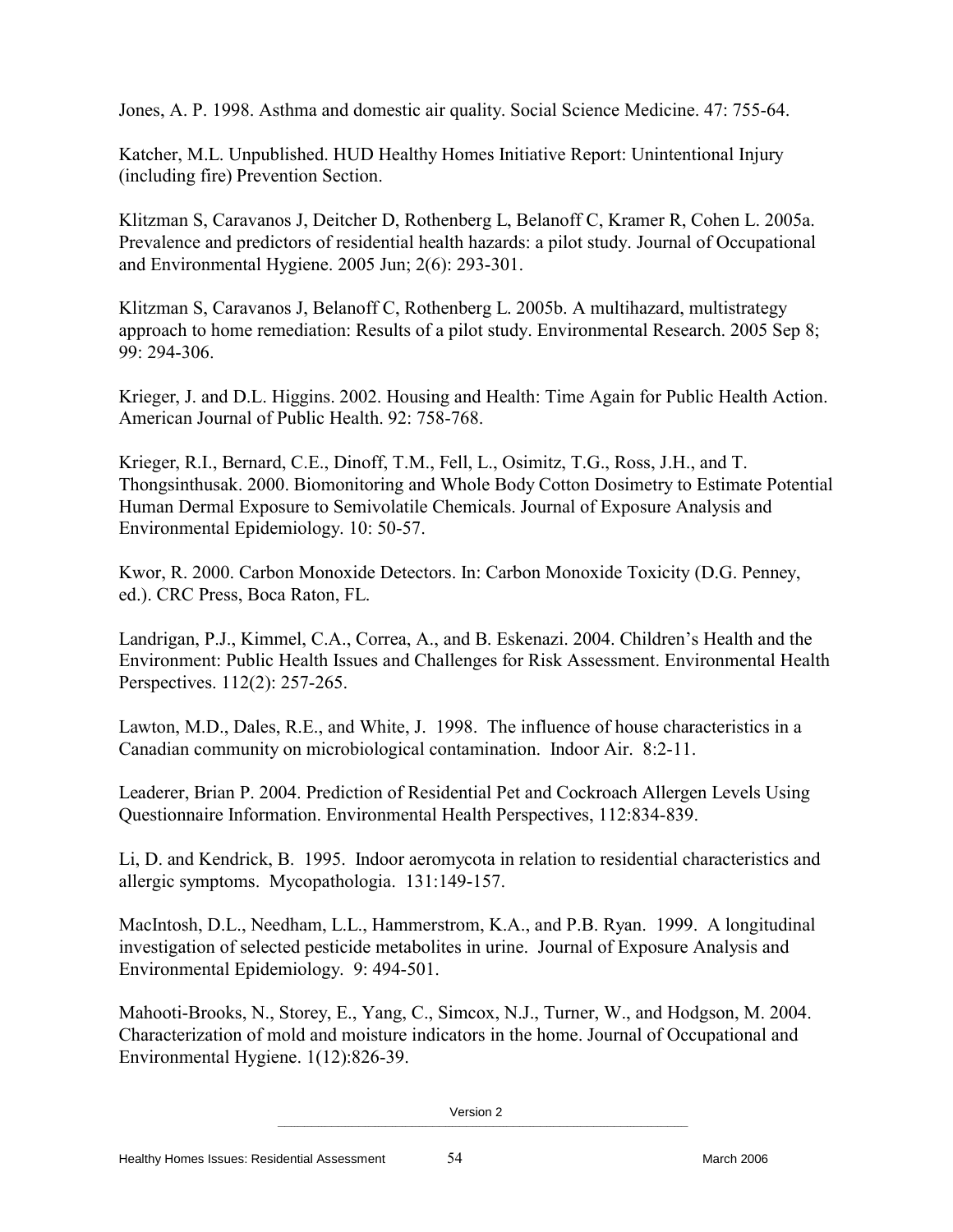Jones, A. P. 1998. Asthma and domestic air quality. Social Science Medicine. 47: 755-64.

Katcher, M.L. Unpublished. HUD Healthy Homes Initiative Report: Unintentional Injury (including fire) Prevention Section.

Klitzman S, Caravanos J, Deitcher D, Rothenberg L, Belanoff C, Kramer R, Cohen L. 2005a. Prevalence and predictors of residential health hazards: a pilot study. Journal of Occupational and Environmental Hygiene. 2005 Jun; 2(6): 293-301.

Klitzman S, Caravanos J, Belanoff C, Rothenberg L. 2005b. A multihazard, multistrategy approach to home remediation: Results of a pilot study. Environmental Research. 2005 Sep 8; 99: 294-306.

Krieger, J. and D.L. Higgins. 2002. Housing and Health: Time Again for Public Health Action. American Journal of Public Health. 92: 758-768.

Krieger, R.I., Bernard, C.E., Dinoff, T.M., Fell, L., Osimitz, T.G., Ross, J.H., and T. Thongsinthusak. 2000. Biomonitoring and Whole Body Cotton Dosimetry to Estimate Potential Human Dermal Exposure to Semivolatile Chemicals. Journal of Exposure Analysis and Environmental Epidemiology. 10: 50-57.

Kwor, R. 2000. Carbon Monoxide Detectors. In: Carbon Monoxide Toxicity (D.G. Penney, ed.). CRC Press, Boca Raton, FL.

Landrigan, P.J., Kimmel, C.A., Correa, A., and B. Eskenazi. 2004. Children's Health and the Environment: Public Health Issues and Challenges for Risk Assessment. Environmental Health Perspectives. 112(2): 257-265.

Lawton, M.D., Dales, R.E., and White, J. 1998. The influence of house characteristics in a Canadian community on microbiological contamination. Indoor Air. 8:2-11.

Leaderer, Brian P. 2004. Prediction of Residential Pet and Cockroach Allergen Levels Using Questionnaire Information. Environmental Health Perspectives, 112:834-839.

Li, D. and Kendrick, B. 1995. Indoor aeromycota in relation to residential characteristics and allergic symptoms. Mycopathologia. 131:149-157.

MacIntosh, D.L., Needham, L.L., Hammerstrom, K.A., and P.B. Ryan. 1999. A longitudinal investigation of selected pesticide metabolites in urine. Journal of Exposure Analysis and Environmental Epidemiology. 9: 494-501.

Mahooti-Brooks, N., Storey, E., Yang, C., Simcox, N.J., Turner, W., and Hodgson, M. 2004. Characterization of mold and moisture indicators in the home. Journal of Occupational and Environmental Hygiene. 1(12):826-39.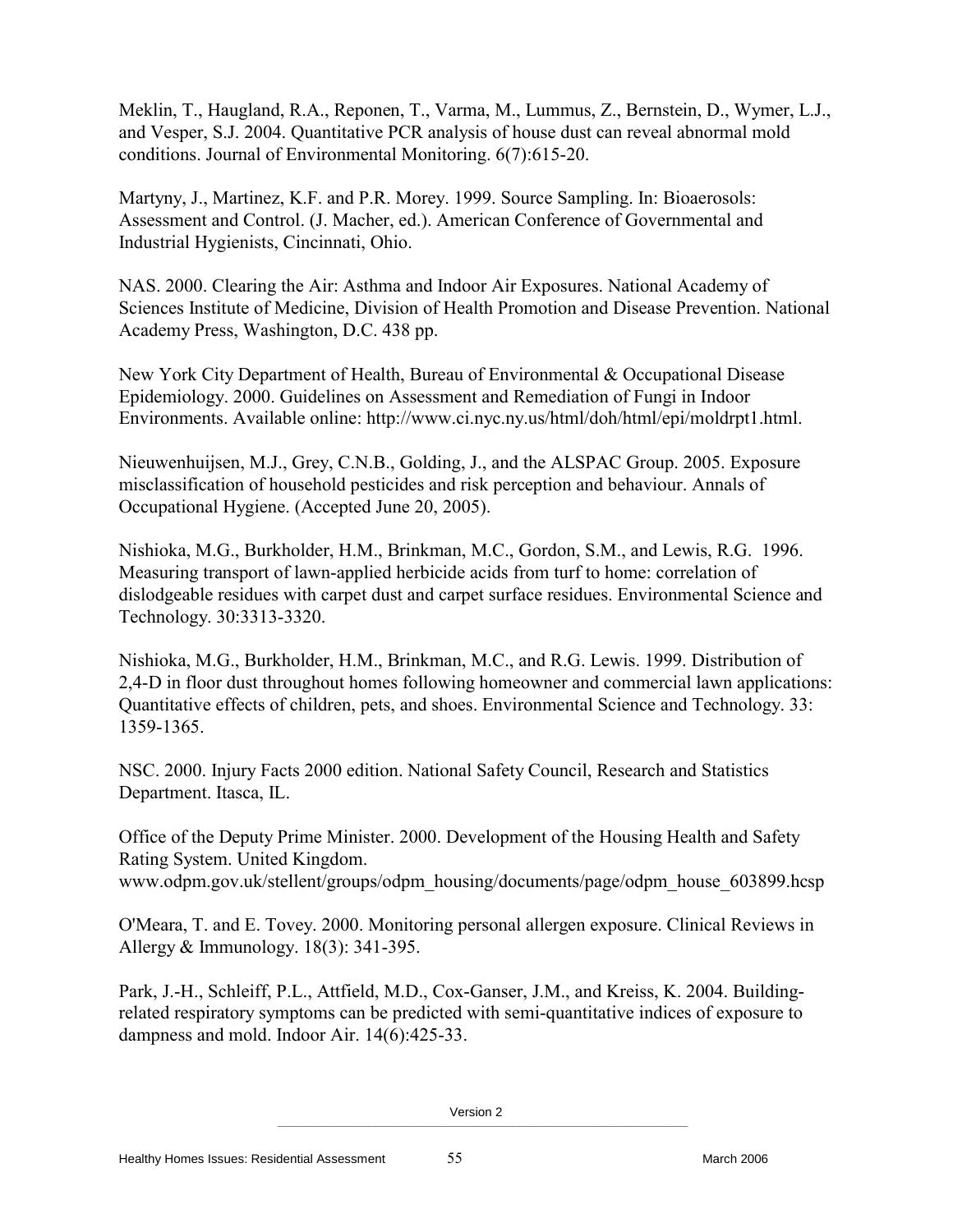Meklin, T., Haugland, R.A., Reponen, T., Varma, M., Lummus, Z., Bernstein, D., Wymer, L.J., and Vesper, S.J. 2004. Quantitative PCR analysis of house dust can reveal abnormal mold conditions. Journal of Environmental Monitoring. 6(7):615-20.

Martyny, J., Martinez, K.F. and P.R. Morey. 1999. Source Sampling. In: Bioaerosols: Assessment and Control. (J. Macher, ed.). American Conference of Governmental and Industrial Hygienists, Cincinnati, Ohio.

NAS. 2000. Clearing the Air: Asthma and Indoor Air Exposures. National Academy of Sciences Institute of Medicine, Division of Health Promotion and Disease Prevention. National Academy Press, Washington, D.C. 438 pp.

New York City Department of Health, Bureau of Environmental & Occupational Disease Epidemiology. 2000. Guidelines on Assessment and Remediation of Fungi in Indoor Environments. Available online: http://www.ci.nyc.ny.us/html/doh/html/epi/moldrpt1.html.

Nieuwenhuijsen, M.J., Grey, C.N.B., Golding, J., and the ALSPAC Group. 2005. Exposure misclassification of household pesticides and risk perception and behaviour. Annals of Occupational Hygiene. (Accepted June 20, 2005).

Nishioka, M.G., Burkholder, H.M., Brinkman, M.C., Gordon, S.M., and Lewis, R.G. 1996. Measuring transport of lawn-applied herbicide acids from turf to home: correlation of dislodgeable residues with carpet dust and carpet surface residues. Environmental Science and Technology. 30:3313-3320.

Nishioka, M.G., Burkholder, H.M., Brinkman, M.C., and R.G. Lewis. 1999. Distribution of 2,4-D in floor dust throughout homes following homeowner and commercial lawn applications: Quantitative effects of children, pets, and shoes. Environmental Science and Technology. 33: 1359-1365.

NSC. 2000. Injury Facts 2000 edition. National Safety Council, Research and Statistics Department. Itasca, IL.

Office of the Deputy Prime Minister. 2000. Development of the Housing Health and Safety Rating System. United Kingdom.

www.odpm.gov.uk/stellent/groups/odpm\_housing/documents/page/odpm\_house\_603899.hcsp

O'Meara, T. and E. Tovey. 2000. Monitoring personal allergen exposure. Clinical Reviews in Allergy & Immunology. 18(3): 341-395.

Park, J.-H., Schleiff, P.L., Attfield, M.D., Cox-Ganser, J.M., and Kreiss, K. 2004. Buildingrelated respiratory symptoms can be predicted with semi-quantitative indices of exposure to dampness and mold. Indoor Air. 14(6):425-33.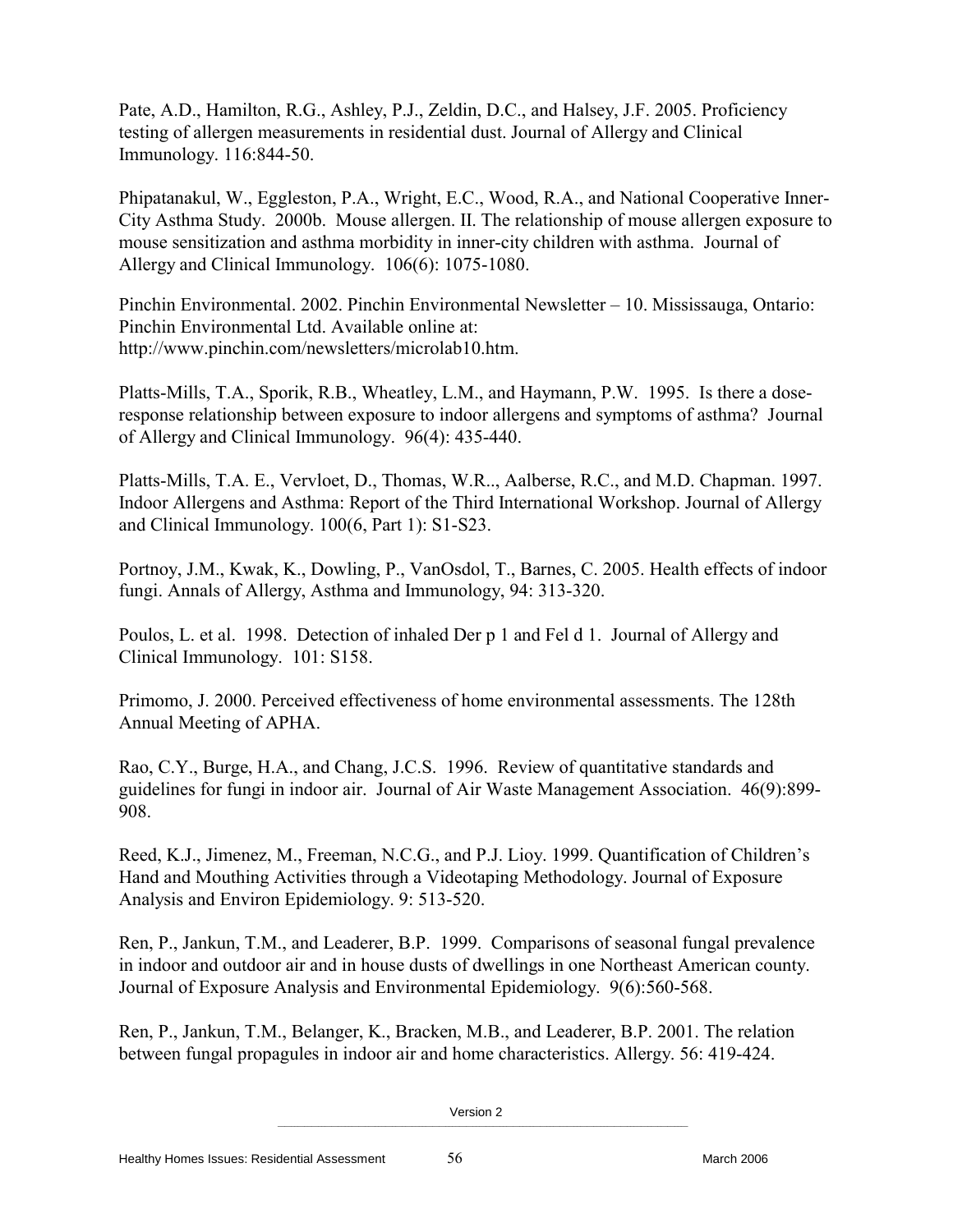Pate, A.D., Hamilton, R.G., Ashley, P.J., Zeldin, D.C., and Halsey, J.F. 2005. Proficiency testing of allergen measurements in residential dust. Journal of Allergy and Clinical Immunology. 116:844-50.

Phipatanakul, W., Eggleston, P.A., Wright, E.C., Wood, R.A., and National Cooperative Inner-City Asthma Study. 2000b. Mouse allergen. II. The relationship of mouse allergen exposure to mouse sensitization and asthma morbidity in inner-city children with asthma. Journal of Allergy and Clinical Immunology. 106(6): 1075-1080.

Pinchin Environmental. 2002. Pinchin Environmental Newsletter – 10. Mississauga, Ontario: Pinchin Environmental Ltd. Available online at: http://www.pinchin.com/newsletters/microlab10.htm.

Platts-Mills, T.A., Sporik, R.B., Wheatley, L.M., and Haymann, P.W. 1995. Is there a doseresponse relationship between exposure to indoor allergens and symptoms of asthma? Journal of Allergy and Clinical Immunology. 96(4): 435-440.

Platts-Mills, T.A. E., Vervloet, D., Thomas, W.R.., Aalberse, R.C., and M.D. Chapman. 1997. Indoor Allergens and Asthma: Report of the Third International Workshop. Journal of Allergy and Clinical Immunology. 100(6, Part 1): S1-S23.

Portnoy, J.M., Kwak, K., Dowling, P., VanOsdol, T., Barnes, C. 2005. Health effects of indoor fungi. Annals of Allergy, Asthma and Immunology, 94: 313-320.

Poulos, L. et al. 1998. Detection of inhaled Der p 1 and Fel d 1. Journal of Allergy and Clinical Immunology. 101: S158.

Primomo, J. 2000. Perceived effectiveness of home environmental assessments. The 128th Annual Meeting of APHA.

Rao, C.Y., Burge, H.A., and Chang, J.C.S. 1996. Review of quantitative standards and guidelines for fungi in indoor air. Journal of Air Waste Management Association. 46(9):899- 908.

Reed, K.J., Jimenez, M., Freeman, N.C.G., and P.J. Lioy. 1999. Quantification of Children's Hand and Mouthing Activities through a Videotaping Methodology. Journal of Exposure Analysis and Environ Epidemiology. 9: 513-520.

Ren, P., Jankun, T.M., and Leaderer, B.P. 1999. Comparisons of seasonal fungal prevalence in indoor and outdoor air and in house dusts of dwellings in one Northeast American county. Journal of Exposure Analysis and Environmental Epidemiology. 9(6):560-568.

Ren, P., Jankun, T.M., Belanger, K., Bracken, M.B., and Leaderer, B.P. 2001. The relation between fungal propagules in indoor air and home characteristics. Allergy. 56: 419-424.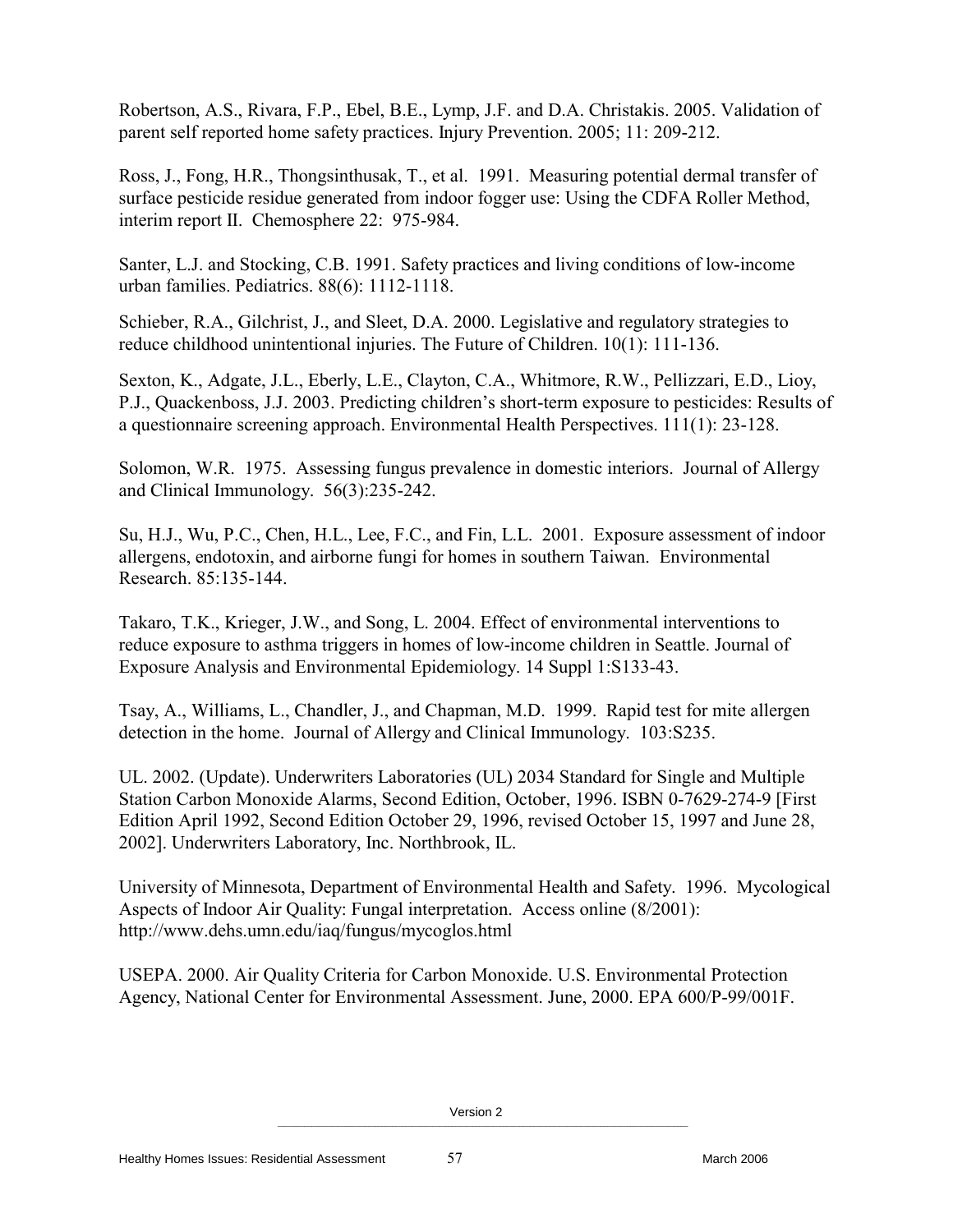Robertson, A.S., Rivara, F.P., Ebel, B.E., Lymp, J.F. and D.A. Christakis. 2005. Validation of parent self reported home safety practices. Injury Prevention. 2005; 11: 209-212.

Ross, J., Fong, H.R., Thongsinthusak, T., et al. 1991. Measuring potential dermal transfer of surface pesticide residue generated from indoor fogger use: Using the CDFA Roller Method, interim report II. Chemosphere 22: 975-984.

Santer, L.J. and Stocking, C.B. 1991. Safety practices and living conditions of low-income urban families. Pediatrics. 88(6): 1112-1118.

Schieber, R.A., Gilchrist, J., and Sleet, D.A. 2000. Legislative and regulatory strategies to reduce childhood unintentional injuries. The Future of Children. 10(1): 111-136.

Sexton, K., Adgate, J.L., Eberly, L.E., Clayton, C.A., Whitmore, R.W., Pellizzari, E.D., Lioy, P.J., Quackenboss, J.J. 2003. Predicting children's short-term exposure to pesticides: Results of a questionnaire screening approach. Environmental Health Perspectives. 111(1): 23-128.

Solomon, W.R. 1975. Assessing fungus prevalence in domestic interiors. Journal of Allergy and Clinical Immunology. 56(3):235-242.

Su, H.J., Wu, P.C., Chen, H.L., Lee, F.C., and Fin, L.L. 2001. Exposure assessment of indoor allergens, endotoxin, and airborne fungi for homes in southern Taiwan. Environmental Research. 85:135-144.

Takaro, T.K., Krieger, J.W., and Song, L. 2004. Effect of environmental interventions to reduce exposure to asthma triggers in homes of low-income children in Seattle. Journal of Exposure Analysis and Environmental Epidemiology. 14 Suppl 1:S133-43.

Tsay, A., Williams, L., Chandler, J., and Chapman, M.D. 1999. Rapid test for mite allergen detection in the home. Journal of Allergy and Clinical Immunology. 103:S235.

UL. 2002. (Update). Underwriters Laboratories (UL) 2034 Standard for Single and Multiple Station Carbon Monoxide Alarms, Second Edition, October, 1996. ISBN 0-7629-274-9 [First Edition April 1992, Second Edition October 29, 1996, revised October 15, 1997 and June 28, 2002]. Underwriters Laboratory, Inc. Northbrook, IL.

University of Minnesota, Department of Environmental Health and Safety. 1996. Mycological Aspects of Indoor Air Quality: Fungal interpretation. Access online (8/2001): http://www.dehs.umn.edu/iaq/fungus/mycoglos.html

USEPA. 2000. Air Quality Criteria for Carbon Monoxide. U.S. Environmental Protection Agency, National Center for Environmental Assessment. June, 2000. EPA 600/P-99/001F.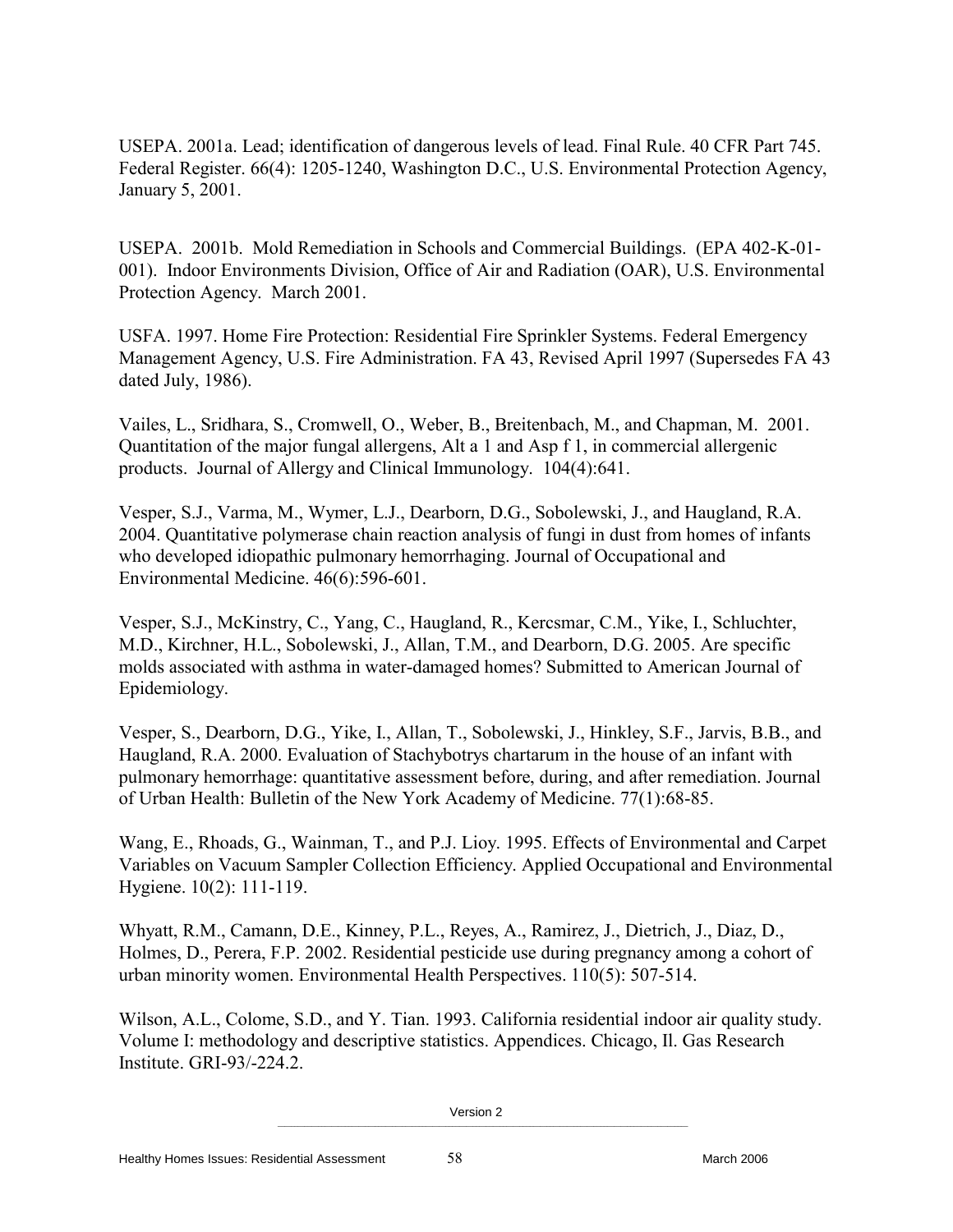USEPA. 2001a. Lead; identification of dangerous levels of lead. Final Rule. 40 CFR Part 745. Federal Register. 66(4): 1205-1240, Washington D.C., U.S. Environmental Protection Agency, January 5, 2001.

USEPA. 2001b. Mold Remediation in Schools and Commercial Buildings. (EPA 402-K-01- 001). Indoor Environments Division, Office of Air and Radiation (OAR), U.S. Environmental Protection Agency. March 2001.

USFA. 1997. Home Fire Protection: Residential Fire Sprinkler Systems. Federal Emergency Management Agency, U.S. Fire Administration. FA 43, Revised April 1997 (Supersedes FA 43 dated July, 1986).

Vailes, L., Sridhara, S., Cromwell, O., Weber, B., Breitenbach, M., and Chapman, M. 2001. Quantitation of the major fungal allergens, Alt a 1 and Asp f 1, in commercial allergenic products. Journal of Allergy and Clinical Immunology. 104(4):641.

Vesper, S.J., Varma, M., Wymer, L.J., Dearborn, D.G., Sobolewski, J., and Haugland, R.A. 2004. Quantitative polymerase chain reaction analysis of fungi in dust from homes of infants who developed idiopathic pulmonary hemorrhaging. Journal of Occupational and Environmental Medicine. 46(6):596-601.

Vesper, S.J., McKinstry, C., Yang, C., Haugland, R., Kercsmar, C.M., Yike, I., Schluchter, M.D., Kirchner, H.L., Sobolewski, J., Allan, T.M., and Dearborn, D.G. 2005. Are specific molds associated with asthma in water-damaged homes? Submitted to American Journal of Epidemiology.

Vesper, S., Dearborn, D.G., Yike, I., Allan, T., Sobolewski, J., Hinkley, S.F., Jarvis, B.B., and Haugland, R.A. 2000. Evaluation of Stachybotrys chartarum in the house of an infant with pulmonary hemorrhage: quantitative assessment before, during, and after remediation. Journal of Urban Health: Bulletin of the New York Academy of Medicine. 77(1):68-85.

Wang, E., Rhoads, G., Wainman, T., and P.J. Lioy. 1995. Effects of Environmental and Carpet Variables on Vacuum Sampler Collection Efficiency. Applied Occupational and Environmental Hygiene. 10(2): 111-119.

Whyatt, R.M., Camann, D.E., Kinney, P.L., Reyes, A., Ramirez, J., Dietrich, J., Diaz, D., Holmes, D., Perera, F.P. 2002. Residential pesticide use during pregnancy among a cohort of urban minority women. Environmental Health Perspectives. 110(5): 507-514.

Wilson, A.L., Colome, S.D., and Y. Tian. 1993. California residential indoor air quality study. Volume I: methodology and descriptive statistics. Appendices. Chicago, Il. Gas Research Institute. GRI-93/-224.2.